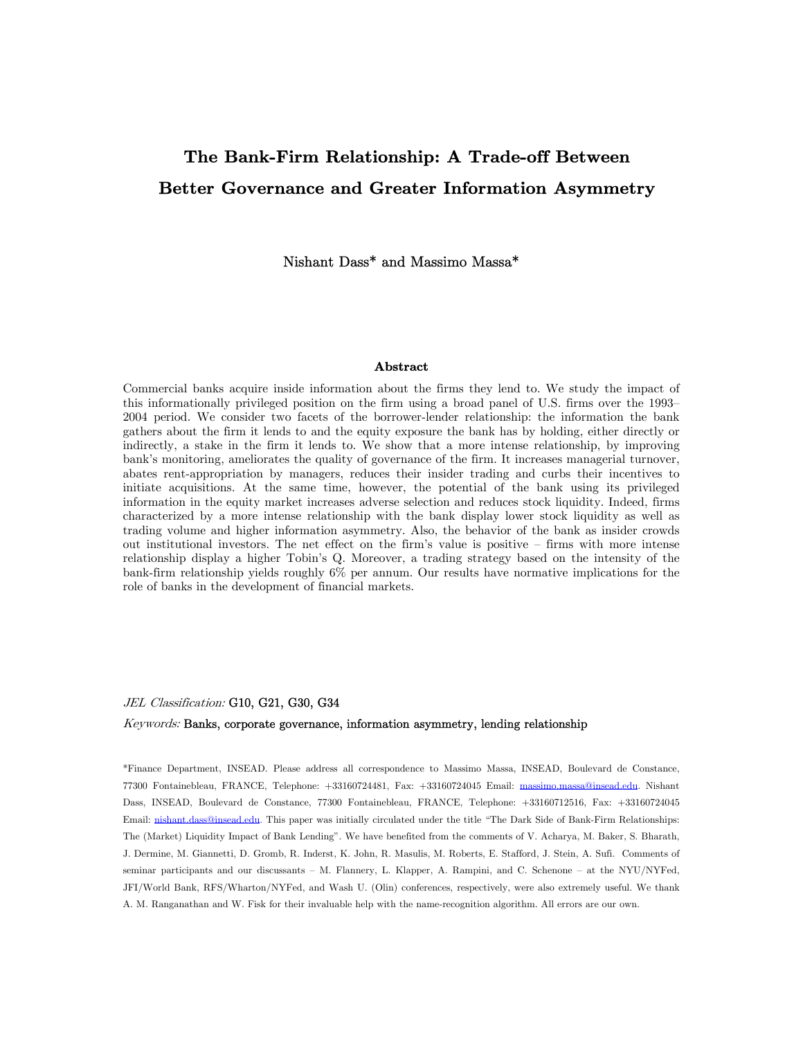# The Bank-Firm Relationship: A Trade-off Between Better Governance and Greater Information Asymmetry

Nishant Dass\* and Massimo Massa\*

#### Abstract

Commercial banks acquire inside information about the firms they lend to. We study the impact of this informationally privileged position on the firm using a broad panel of U.S. firms over the 1993— 2004 period. We consider two facets of the borrower-lender relationship: the information the bank gathers about the firm it lends to and the equity exposure the bank has by holding, either directly or indirectly, a stake in the firm it lends to. We show that a more intense relationship, by improving bank's monitoring, ameliorates the quality of governance of the firm. It increases managerial turnover, abates rent-appropriation by managers, reduces their insider trading and curbs their incentives to initiate acquisitions. At the same time, however, the potential of the bank using its privileged information in the equity market increases adverse selection and reduces stock liquidity. Indeed, firms characterized by a more intense relationship with the bank display lower stock liquidity as well as trading volume and higher information asymmetry. Also, the behavior of the bank as insider crowds out institutional investors. The net effect on the firm's value is positive — firms with more intense relationship display a higher Tobin's Q. Moreover, a trading strategy based on the intensity of the bank-firm relationship yields roughly 6% per annum. Our results have normative implications for the role of banks in the development of financial markets.

#### JEL Classification: G10, G21, G30, G34

#### Keywords: Banks, corporate governance, information asymmetry, lending relationship

\*Finance Department, INSEAD. Please address all correspondence to Massimo Massa, INSEAD, Boulevard de Constance, 77300 Fontainebleau, FRANCE, Telephone: +33160724481, Fax: +33160724045 Email: massimo.massa@insead.edu. Nishant Dass, INSEAD, Boulevard de Constance, 77300 Fontainebleau, FRANCE, Telephone: +33160712516, Fax: +33160724045 Email: nishant.dass@insead.edu. This paper was initially circulated under the title "The Dark Side of Bank-Firm Relationships: The (Market) Liquidity Impact of Bank Lending". We have benefited from the comments of V. Acharya, M. Baker, S. Bharath, J. Dermine, M. Giannetti, D. Gromb, R. Inderst, K. John, R. Masulis, M. Roberts, E. Stafford, J. Stein, A. Sufi. Comments of seminar participants and our discussants - M. Flannery, L. Klapper, A. Rampini, and C. Schenone - at the NYU/NYFed, JFI/World Bank, RFS/Wharton/NYFed, and Wash U. (Olin) conferences, respectively, were also extremely useful. We thank A. M. Ranganathan and W. Fisk for their invaluable help with the name-recognition algorithm. All errors are our own.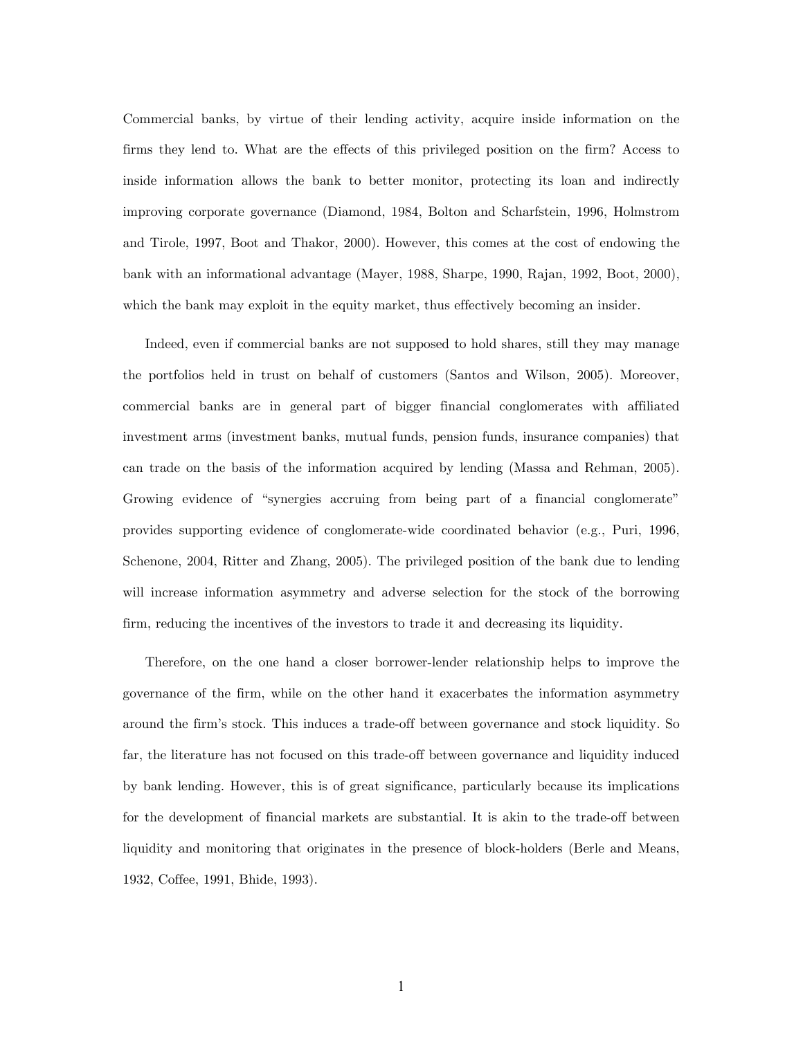Commercial banks, by virtue of their lending activity, acquire inside information on the firms they lend to. What are the effects of this privileged position on the firm? Access to inside information allows the bank to better monitor, protecting its loan and indirectly improving corporate governance (Diamond, 1984, Bolton and Scharfstein, 1996, Holmstrom and Tirole, 1997, Boot and Thakor, 2000). However, this comes at the cost of endowing the bank with an informational advantage (Mayer, 1988, Sharpe, 1990, Rajan, 1992, Boot, 2000), which the bank may exploit in the equity market, thus effectively becoming an insider.

Indeed, even if commercial banks are not supposed to hold shares, still they may manage the portfolios held in trust on behalf of customers (Santos and Wilson, 2005). Moreover, commercial banks are in general part of bigger financial conglomerates with affiliated investment arms (investment banks, mutual funds, pension funds, insurance companies) that can trade on the basis of the information acquired by lending (Massa and Rehman, 2005). Growing evidence of "synergies accruing from being part of a financial conglomerate" provides supporting evidence of conglomerate-wide coordinated behavior (e.g., Puri, 1996, Schenone, 2004, Ritter and Zhang, 2005). The privileged position of the bank due to lending will increase information asymmetry and adverse selection for the stock of the borrowing firm, reducing the incentives of the investors to trade it and decreasing its liquidity.

Therefore, on the one hand a closer borrower-lender relationship helps to improve the governance of the firm, while on the other hand it exacerbates the information asymmetry around the firm's stock. This induces a trade-off between governance and stock liquidity. So far, the literature has not focused on this trade-off between governance and liquidity induced by bank lending. However, this is of great significance, particularly because its implications for the development of financial markets are substantial. It is akin to the trade-off between liquidity and monitoring that originates in the presence of block-holders (Berle and Means, 1932, Coffee, 1991, Bhide, 1993).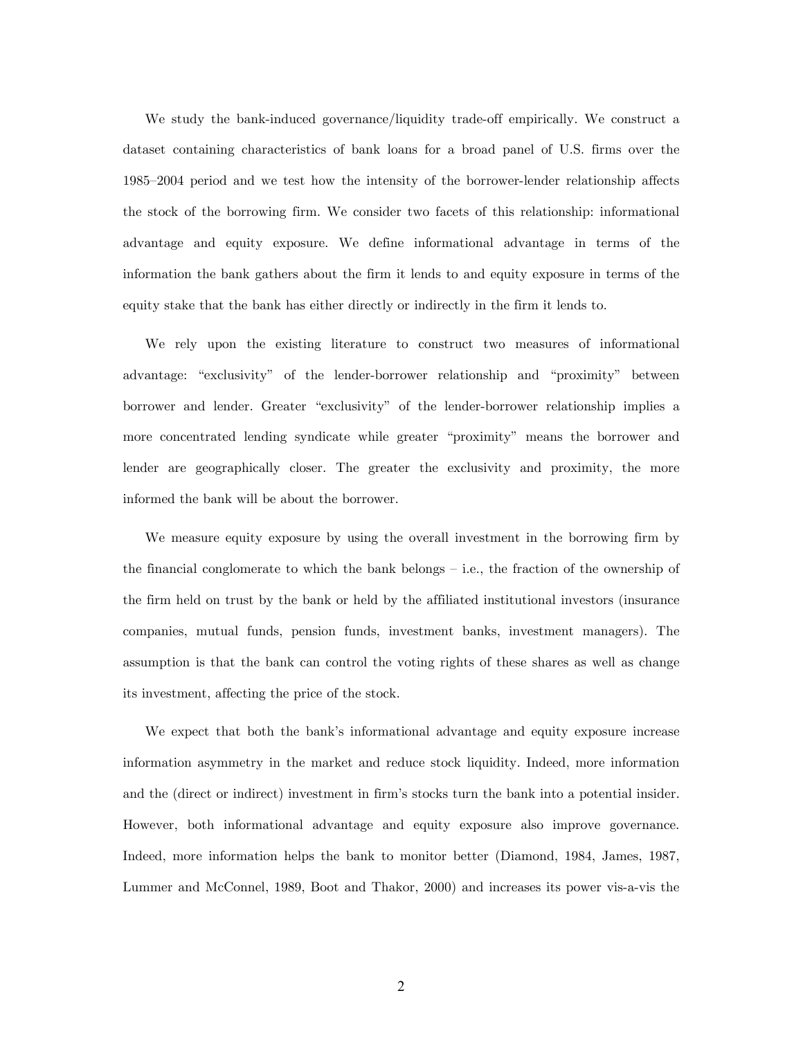We study the bank-induced governance/liquidity trade-off empirically. We construct a dataset containing characteristics of bank loans for a broad panel of U.S. firms over the 1985—2004 period and we test how the intensity of the borrower-lender relationship affects the stock of the borrowing firm. We consider two facets of this relationship: informational advantage and equity exposure. We define informational advantage in terms of the information the bank gathers about the firm it lends to and equity exposure in terms of the equity stake that the bank has either directly or indirectly in the firm it lends to.

We rely upon the existing literature to construct two measures of informational advantage: "exclusivity" of the lender-borrower relationship and "proximity" between borrower and lender. Greater "exclusivity" of the lender-borrower relationship implies a more concentrated lending syndicate while greater "proximity" means the borrower and lender are geographically closer. The greater the exclusivity and proximity, the more informed the bank will be about the borrower.

We measure equity exposure by using the overall investment in the borrowing firm by the financial conglomerate to which the bank belongs — i.e., the fraction of the ownership of the firm held on trust by the bank or held by the affiliated institutional investors (insurance companies, mutual funds, pension funds, investment banks, investment managers). The assumption is that the bank can control the voting rights of these shares as well as change its investment, affecting the price of the stock.

We expect that both the bank's informational advantage and equity exposure increase information asymmetry in the market and reduce stock liquidity. Indeed, more information and the (direct or indirect) investment in firm's stocks turn the bank into a potential insider. However, both informational advantage and equity exposure also improve governance. Indeed, more information helps the bank to monitor better (Diamond, 1984, James, 1987, Lummer and McConnel, 1989, Boot and Thakor, 2000) and increases its power vis-a-vis the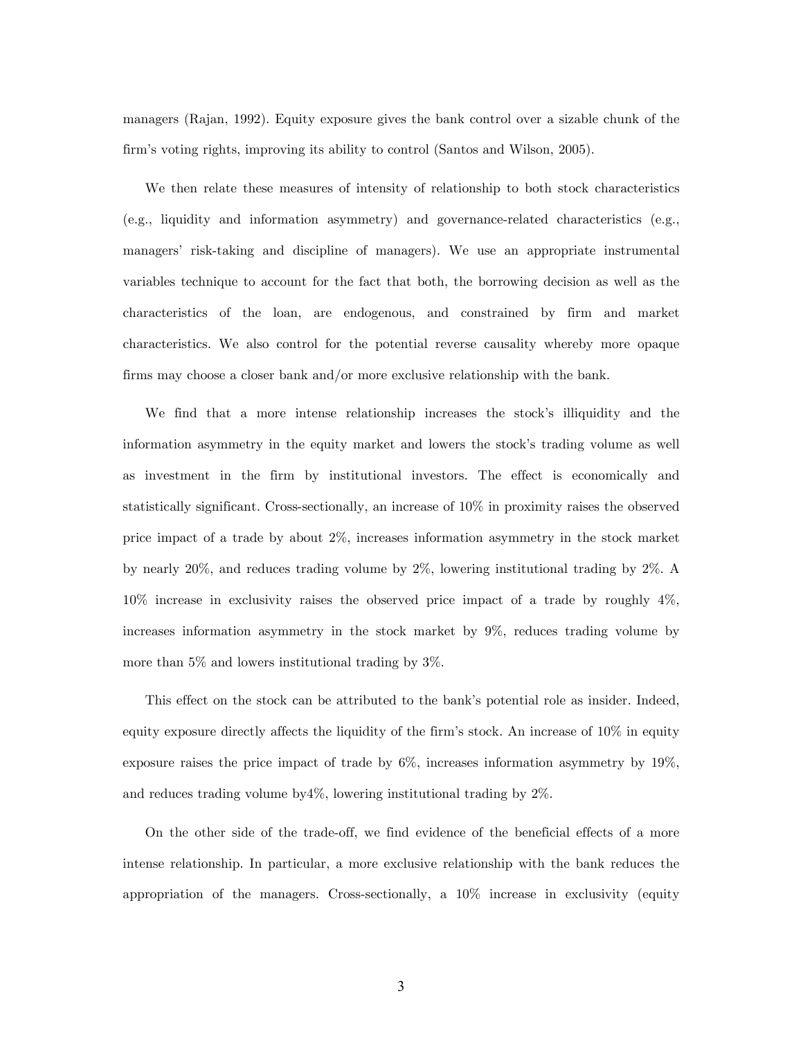managers (Rajan, 1992). Equity exposure gives the bank control over a sizable chunk of the firm's voting rights, improving its ability to control (Santos and Wilson, 2005).

We then relate these measures of intensity of relationship to both stock characteristics (e.g., liquidity and information asymmetry) and governance-related characteristics (e.g., managers' risk-taking and discipline of managers). We use an appropriate instrumental variables technique to account for the fact that both, the borrowing decision as well as the characteristics of the loan, are endogenous, and constrained by firm and market characteristics. We also control for the potential reverse causality whereby more opaque firms may choose a closer bank and/or more exclusive relationship with the bank.

We find that a more intense relationship increases the stock's illiquidity and the information asymmetry in the equity market and lowers the stock's trading volume as well as investment in the firm by institutional investors. The effect is economically and statistically significant. Cross-sectionally, an increase of 10% in proximity raises the observed price impact of a trade by about 2%, increases information asymmetry in the stock market by nearly 20%, and reduces trading volume by 2%, lowering institutional trading by 2%. A 10% increase in exclusivity raises the observed price impact of a trade by roughly 4%, increases information asymmetry in the stock market by 9%, reduces trading volume by more than 5% and lowers institutional trading by 3%.

This effect on the stock can be attributed to the bank's potential role as insider. Indeed, equity exposure directly affects the liquidity of the firm's stock. An increase of 10% in equity exposure raises the price impact of trade by 6%, increases information asymmetry by 19%, and reduces trading volume by4%, lowering institutional trading by 2%.

On the other side of the trade-off, we find evidence of the beneficial effects of a more intense relationship. In particular, a more exclusive relationship with the bank reduces the appropriation of the managers. Cross-sectionally, a 10% increase in exclusivity (equity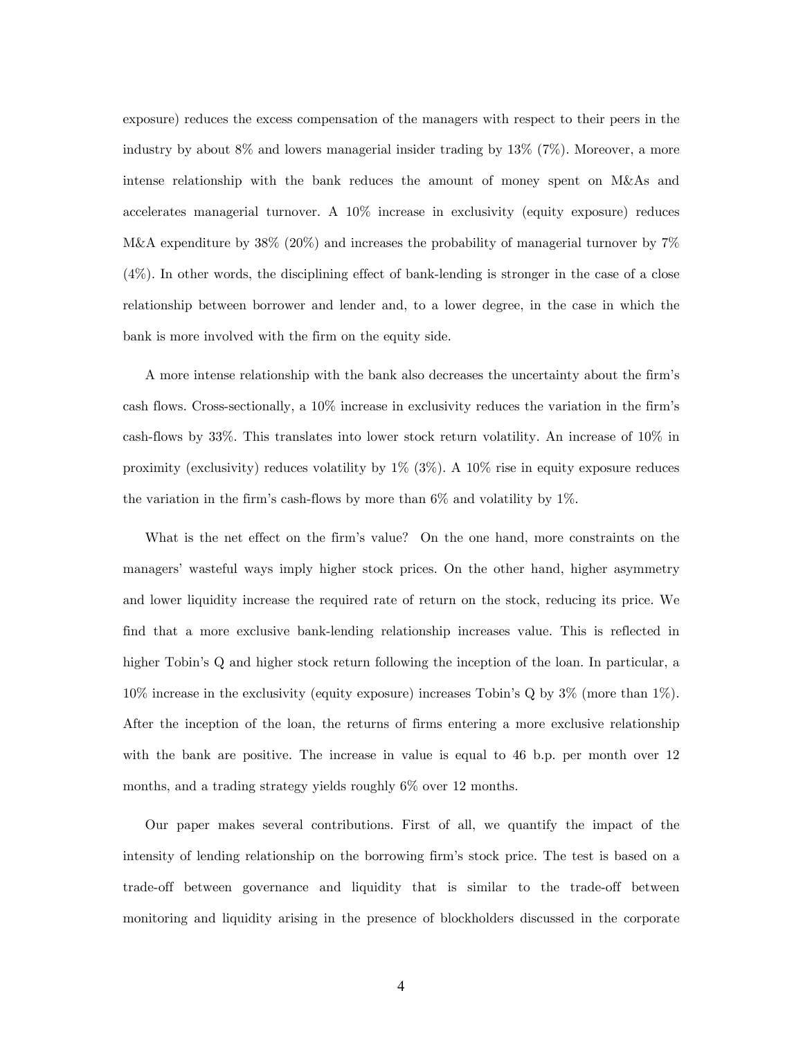exposure) reduces the excess compensation of the managers with respect to their peers in the industry by about 8% and lowers managerial insider trading by 13% (7%). Moreover, a more intense relationship with the bank reduces the amount of money spent on M&As and accelerates managerial turnover. A 10% increase in exclusivity (equity exposure) reduces M&A expenditure by 38% (20%) and increases the probability of managerial turnover by 7% (4%). In other words, the disciplining effect of bank-lending is stronger in the case of a close relationship between borrower and lender and, to a lower degree, in the case in which the bank is more involved with the firm on the equity side.

A more intense relationship with the bank also decreases the uncertainty about the firm's cash flows. Cross-sectionally, a 10% increase in exclusivity reduces the variation in the firm's cash-flows by 33%. This translates into lower stock return volatility. An increase of 10% in proximity (exclusivity) reduces volatility by 1% (3%). A 10% rise in equity exposure reduces the variation in the firm's cash-flows by more than  $6\%$  and volatility by 1%.

What is the net effect on the firm's value? On the one hand, more constraints on the managers' wasteful ways imply higher stock prices. On the other hand, higher asymmetry and lower liquidity increase the required rate of return on the stock, reducing its price. We find that a more exclusive bank-lending relationship increases value. This is reflected in higher Tobin's Q and higher stock return following the inception of the loan. In particular, a 10% increase in the exclusivity (equity exposure) increases Tobin's Q by 3% (more than 1%). After the inception of the loan, the returns of firms entering a more exclusive relationship with the bank are positive. The increase in value is equal to 46 b.p. per month over 12 months, and a trading strategy yields roughly 6% over 12 months.

Our paper makes several contributions. First of all, we quantify the impact of the intensity of lending relationship on the borrowing firm's stock price. The test is based on a trade-off between governance and liquidity that is similar to the trade-off between monitoring and liquidity arising in the presence of blockholders discussed in the corporate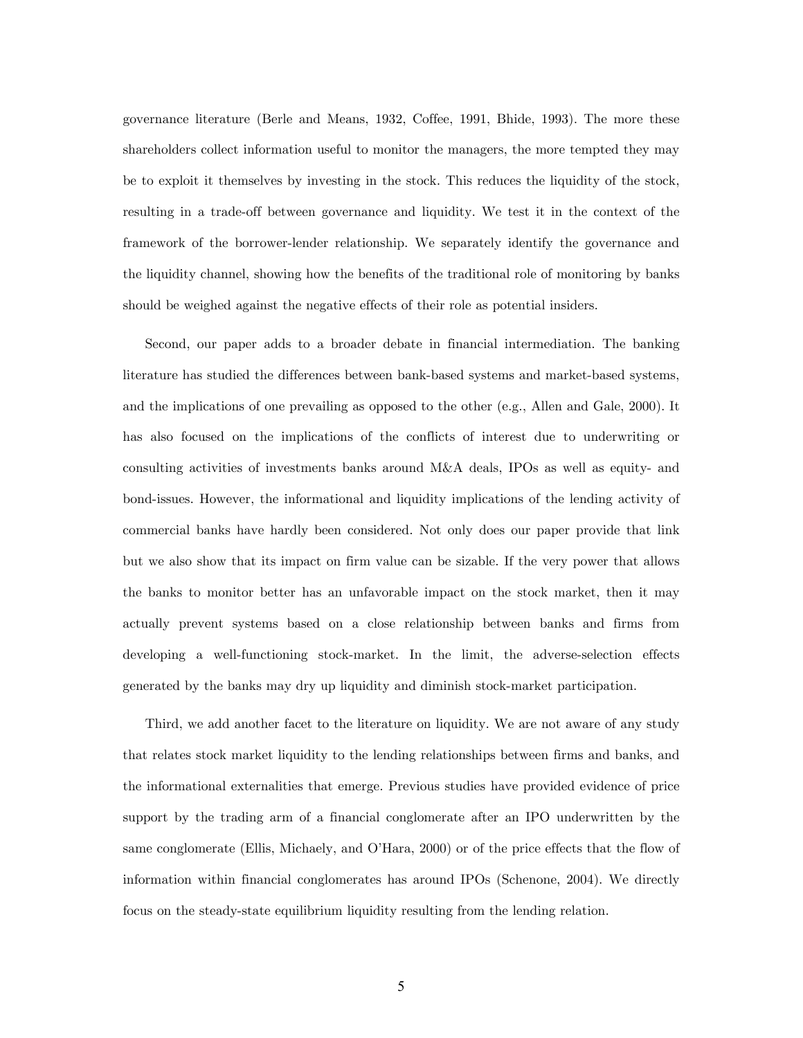governance literature (Berle and Means, 1932, Coffee, 1991, Bhide, 1993). The more these shareholders collect information useful to monitor the managers, the more tempted they may be to exploit it themselves by investing in the stock. This reduces the liquidity of the stock, resulting in a trade-off between governance and liquidity. We test it in the context of the framework of the borrower-lender relationship. We separately identify the governance and the liquidity channel, showing how the benefits of the traditional role of monitoring by banks should be weighed against the negative effects of their role as potential insiders.

Second, our paper adds to a broader debate in financial intermediation. The banking literature has studied the differences between bank-based systems and market-based systems, and the implications of one prevailing as opposed to the other (e.g., Allen and Gale, 2000). It has also focused on the implications of the conflicts of interest due to underwriting or consulting activities of investments banks around M&A deals, IPOs as well as equity- and bond-issues. However, the informational and liquidity implications of the lending activity of commercial banks have hardly been considered. Not only does our paper provide that link but we also show that its impact on firm value can be sizable. If the very power that allows the banks to monitor better has an unfavorable impact on the stock market, then it may actually prevent systems based on a close relationship between banks and firms from developing a well-functioning stock-market. In the limit, the adverse-selection effects generated by the banks may dry up liquidity and diminish stock-market participation.

Third, we add another facet to the literature on liquidity. We are not aware of any study that relates stock market liquidity to the lending relationships between firms and banks, and the informational externalities that emerge. Previous studies have provided evidence of price support by the trading arm of a financial conglomerate after an IPO underwritten by the same conglomerate (Ellis, Michaely, and O'Hara, 2000) or of the price effects that the flow of information within financial conglomerates has around IPOs (Schenone, 2004). We directly focus on the steady-state equilibrium liquidity resulting from the lending relation.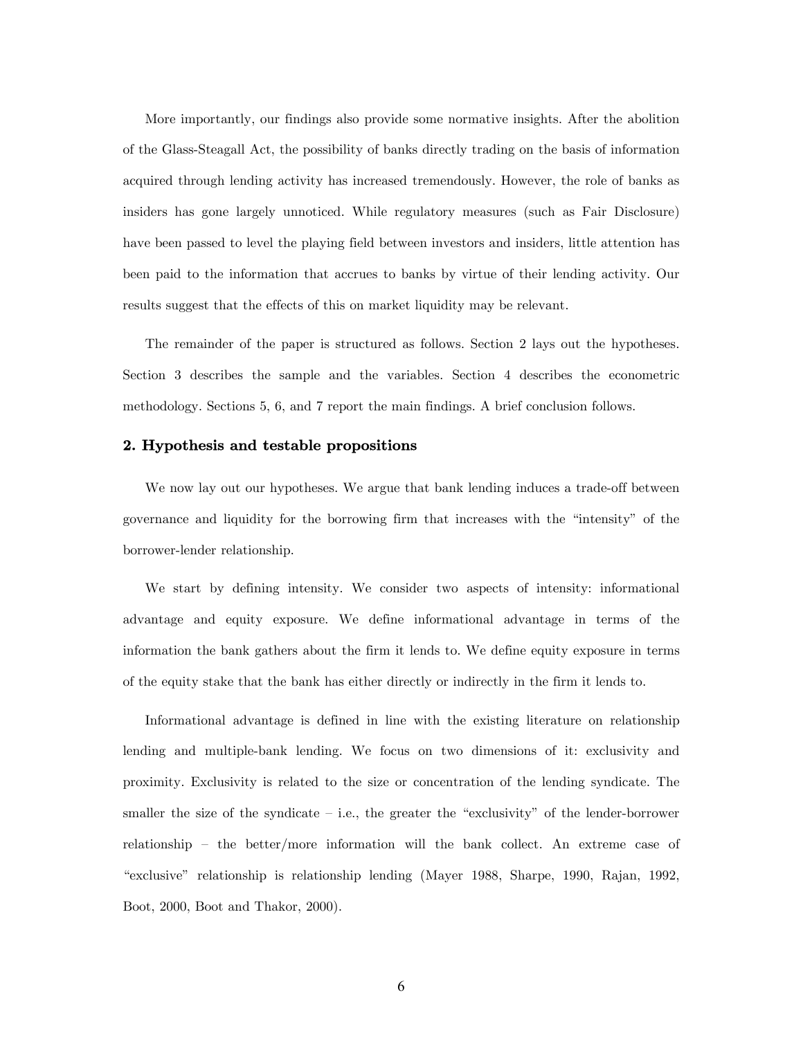More importantly, our findings also provide some normative insights. After the abolition of the Glass-Steagall Act, the possibility of banks directly trading on the basis of information acquired through lending activity has increased tremendously. However, the role of banks as insiders has gone largely unnoticed. While regulatory measures (such as Fair Disclosure) have been passed to level the playing field between investors and insiders, little attention has been paid to the information that accrues to banks by virtue of their lending activity. Our results suggest that the effects of this on market liquidity may be relevant.

The remainder of the paper is structured as follows. Section 2 lays out the hypotheses. Section 3 describes the sample and the variables. Section 4 describes the econometric methodology. Sections 5, 6, and 7 report the main findings. A brief conclusion follows.

## 2. Hypothesis and testable propositions

We now lay out our hypotheses. We argue that bank lending induces a trade-off between governance and liquidity for the borrowing firm that increases with the "intensity" of the borrower-lender relationship.

We start by defining intensity. We consider two aspects of intensity: informational advantage and equity exposure. We define informational advantage in terms of the information the bank gathers about the firm it lends to. We define equity exposure in terms of the equity stake that the bank has either directly or indirectly in the firm it lends to.

Informational advantage is defined in line with the existing literature on relationship lending and multiple-bank lending. We focus on two dimensions of it: exclusivity and proximity. Exclusivity is related to the size or concentration of the lending syndicate. The smaller the size of the syndicate  $-$  i.e., the greater the "exclusivity" of the lender-borrower relationship — the better/more information will the bank collect. An extreme case of "exclusive" relationship is relationship lending (Mayer 1988, Sharpe, 1990, Rajan, 1992, Boot, 2000, Boot and Thakor, 2000).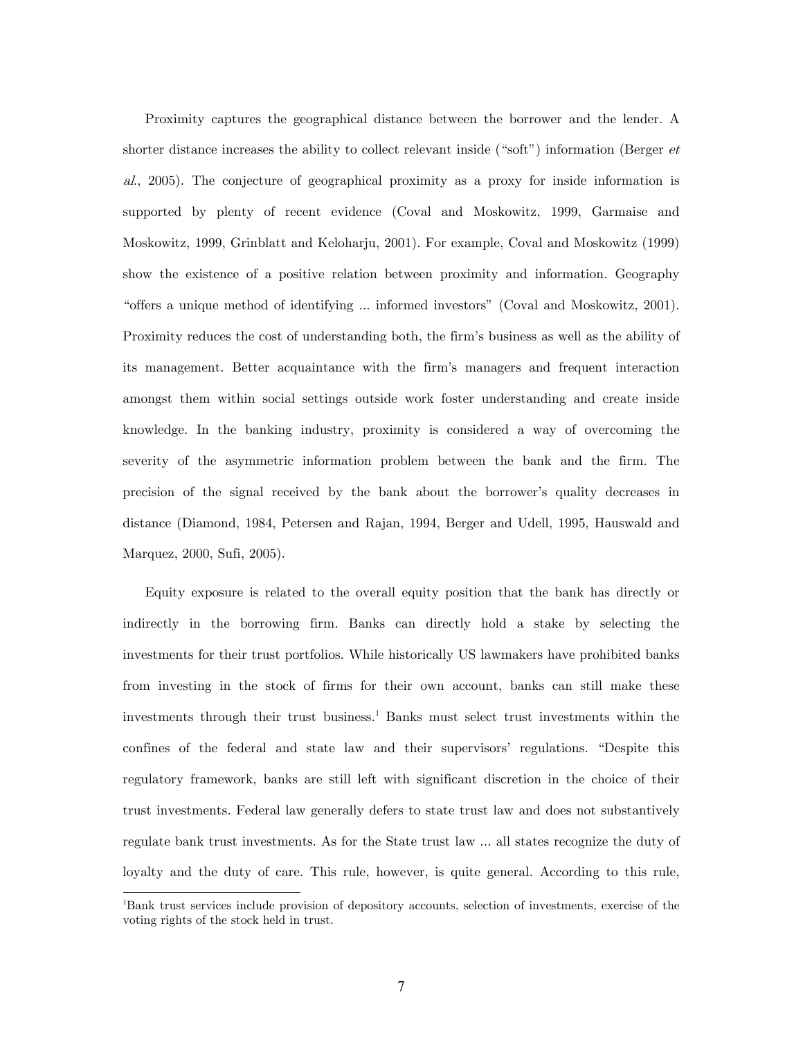Proximity captures the geographical distance between the borrower and the lender. A shorter distance increases the ability to collect relevant inside ("soft") information (Berger  $et$ al., 2005). The conjecture of geographical proximity as a proxy for inside information is supported by plenty of recent evidence (Coval and Moskowitz, 1999, Garmaise and Moskowitz, 1999, Grinblatt and Keloharju, 2001). For example, Coval and Moskowitz (1999) show the existence of a positive relation between proximity and information. Geography "offers a unique method of identifying ... informed investors" (Coval and Moskowitz, 2001). Proximity reduces the cost of understanding both, the firm's business as well as the ability of its management. Better acquaintance with the firm's managers and frequent interaction amongst them within social settings outside work foster understanding and create inside knowledge. In the banking industry, proximity is considered a way of overcoming the severity of the asymmetric information problem between the bank and the firm. The precision of the signal received by the bank about the borrower's quality decreases in distance (Diamond, 1984, Petersen and Rajan, 1994, Berger and Udell, 1995, Hauswald and Marquez, 2000, Sufi, 2005).

Equity exposure is related to the overall equity position that the bank has directly or indirectly in the borrowing firm. Banks can directly hold a stake by selecting the investments for their trust portfolios. While historically US lawmakers have prohibited banks from investing in the stock of firms for their own account, banks can still make these investments through their trust business.<sup>1</sup> Banks must select trust investments within the confines of the federal and state law and their supervisors' regulations. "Despite this regulatory framework, banks are still left with significant discretion in the choice of their trust investments. Federal law generally defers to state trust law and does not substantively regulate bank trust investments. As for the State trust law ... all states recognize the duty of loyalty and the duty of care. This rule, however, is quite general. According to this rule,

-

<sup>1</sup> Bank trust services include provision of depository accounts, selection of investments, exercise of the voting rights of the stock held in trust.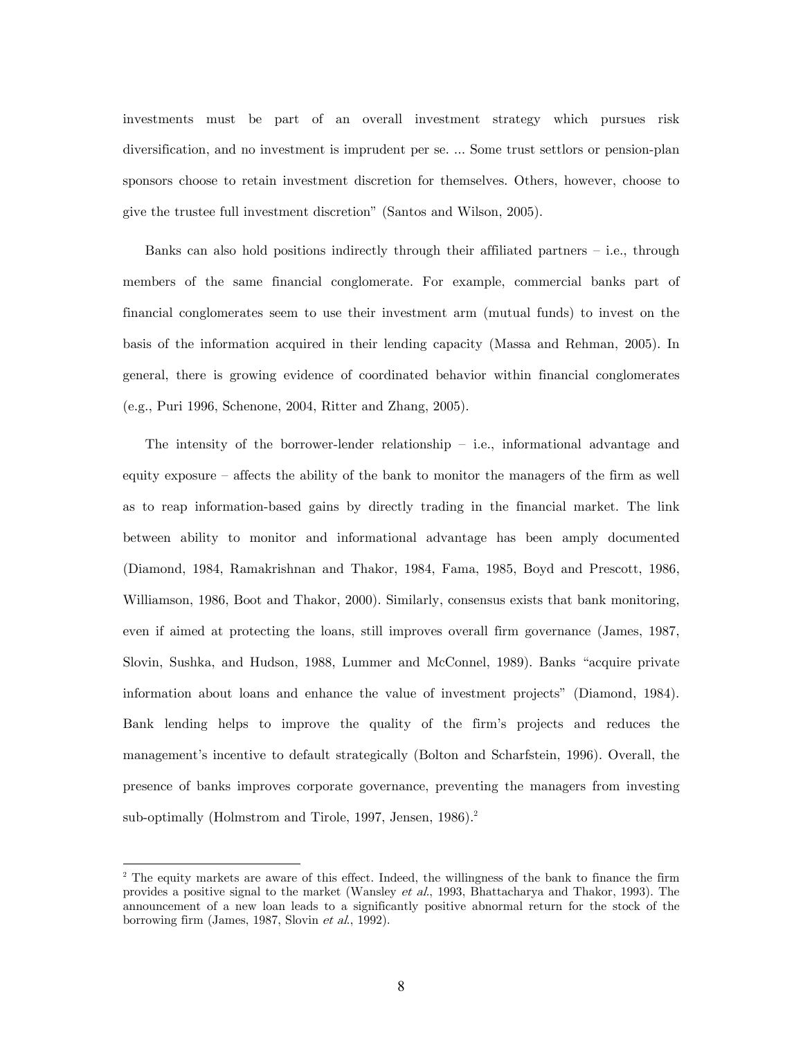investments must be part of an overall investment strategy which pursues risk diversification, and no investment is imprudent per se. ... Some trust settlors or pension-plan sponsors choose to retain investment discretion for themselves. Others, however, choose to give the trustee full investment discretion" (Santos and Wilson, 2005).

Banks can also hold positions indirectly through their affiliated partners  $-$  i.e., through members of the same financial conglomerate. For example, commercial banks part of financial conglomerates seem to use their investment arm (mutual funds) to invest on the basis of the information acquired in their lending capacity (Massa and Rehman, 2005). In general, there is growing evidence of coordinated behavior within financial conglomerates (e.g., Puri 1996, Schenone, 2004, Ritter and Zhang, 2005).

The intensity of the borrower-lender relationship — i.e., informational advantage and equity exposure — affects the ability of the bank to monitor the managers of the firm as well as to reap information-based gains by directly trading in the financial market. The link between ability to monitor and informational advantage has been amply documented (Diamond, 1984, Ramakrishnan and Thakor, 1984, Fama, 1985, Boyd and Prescott, 1986, Williamson, 1986, Boot and Thakor, 2000). Similarly, consensus exists that bank monitoring, even if aimed at protecting the loans, still improves overall firm governance (James, 1987, Slovin, Sushka, and Hudson, 1988, Lummer and McConnel, 1989). Banks "acquire private information about loans and enhance the value of investment projects" (Diamond, 1984). Bank lending helps to improve the quality of the firm's projects and reduces the management's incentive to default strategically (Bolton and Scharfstein, 1996). Overall, the presence of banks improves corporate governance, preventing the managers from investing sub-optimally (Holmstrom and Tirole, 1997, Jensen, 1986).<sup>2</sup>

-

<sup>&</sup>lt;sup>2</sup> The equity markets are aware of this effect. Indeed, the willingness of the bank to finance the firm provides a positive signal to the market (Wansley et al., 1993, Bhattacharya and Thakor, 1993). The announcement of a new loan leads to a significantly positive abnormal return for the stock of the borrowing firm (James, 1987, Slovin et al., 1992).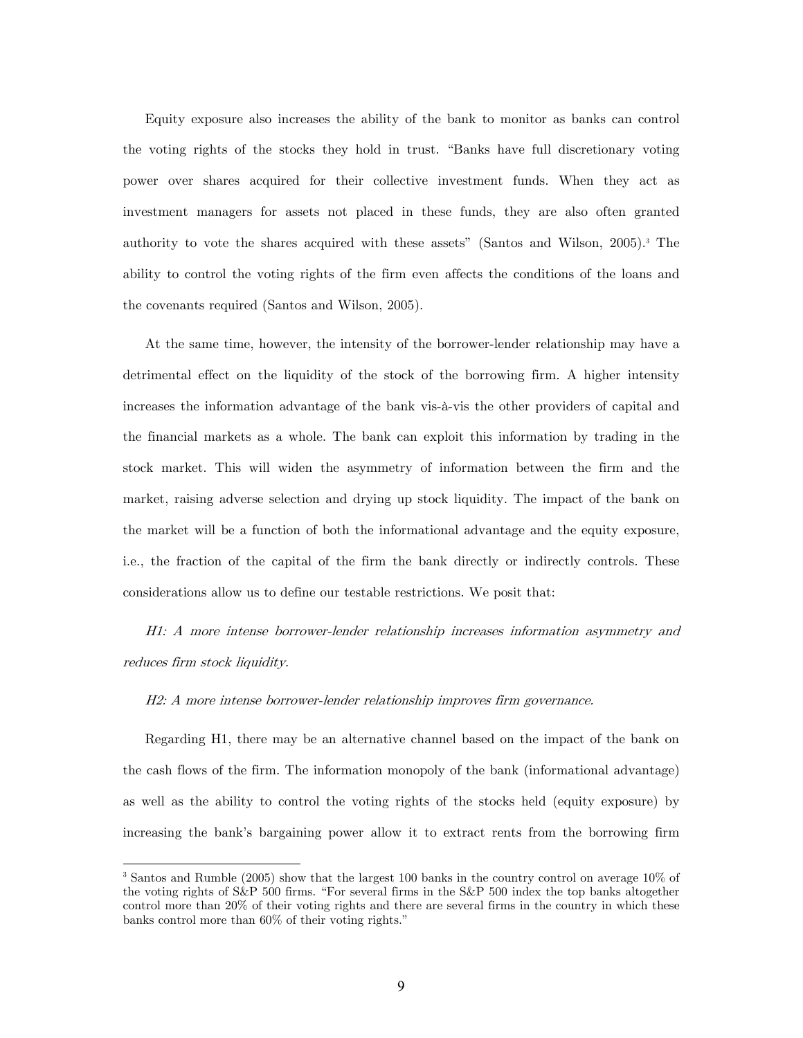Equity exposure also increases the ability of the bank to monitor as banks can control the voting rights of the stocks they hold in trust. "Banks have full discretionary voting power over shares acquired for their collective investment funds. When they act as investment managers for assets not placed in these funds, they are also often granted authority to vote the shares acquired with these assets" (Santos and Wilson, 2005).3 The ability to control the voting rights of the firm even affects the conditions of the loans and the covenants required (Santos and Wilson, 2005).

At the same time, however, the intensity of the borrower-lender relationship may have a detrimental effect on the liquidity of the stock of the borrowing firm. A higher intensity increases the information advantage of the bank vis-à-vis the other providers of capital and the financial markets as a whole. The bank can exploit this information by trading in the stock market. This will widen the asymmetry of information between the firm and the market, raising adverse selection and drying up stock liquidity. The impact of the bank on the market will be a function of both the informational advantage and the equity exposure, i.e., the fraction of the capital of the firm the bank directly or indirectly controls. These considerations allow us to define our testable restrictions. We posit that:

H1: A more intense borrower-lender relationship increases information asymmetry and reduces firm stock liquidity.

## H2: A more intense borrower-lender relationship improves firm governance.

-

Regarding H1, there may be an alternative channel based on the impact of the bank on the cash flows of the firm. The information monopoly of the bank (informational advantage) as well as the ability to control the voting rights of the stocks held (equity exposure) by increasing the bank's bargaining power allow it to extract rents from the borrowing firm

<sup>&</sup>lt;sup>3</sup> Santos and Rumble (2005) show that the largest 100 banks in the country control on average 10% of the voting rights of S&P 500 firms. "For several firms in the S&P 500 index the top banks altogether control more than 20% of their voting rights and there are several firms in the country in which these banks control more than 60% of their voting rights."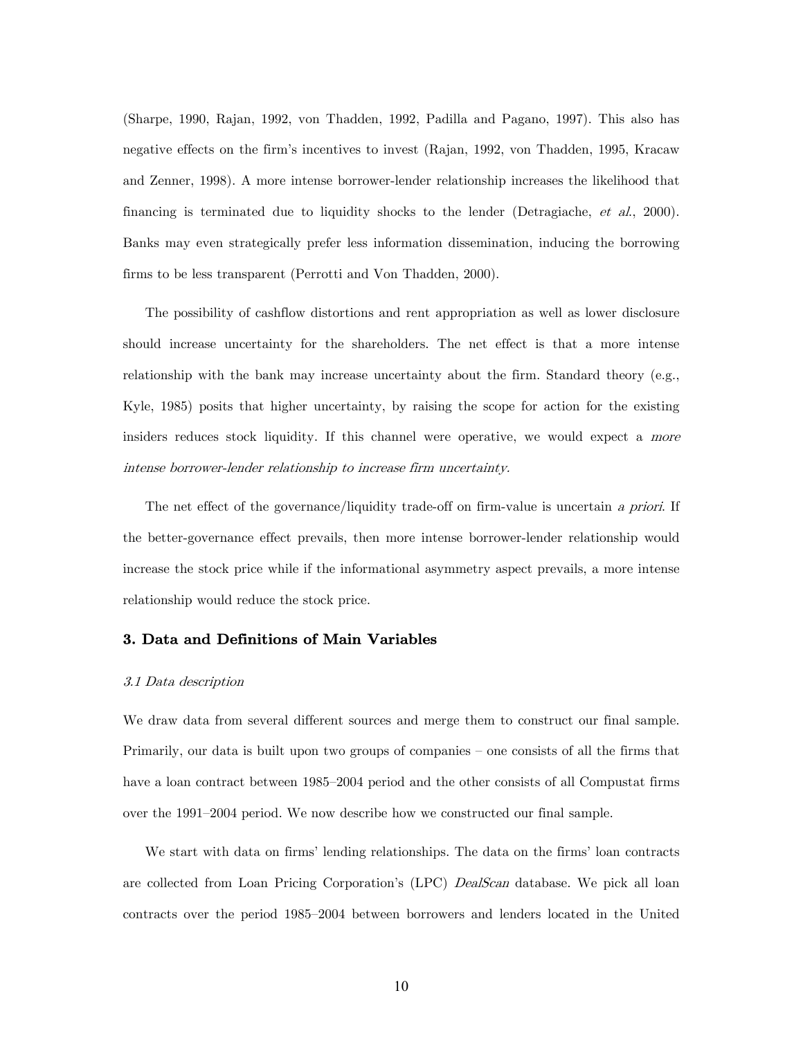(Sharpe, 1990, Rajan, 1992, von Thadden, 1992, Padilla and Pagano, 1997). This also has negative effects on the firm's incentives to invest (Rajan, 1992, von Thadden, 1995, Kracaw and Zenner, 1998). A more intense borrower-lender relationship increases the likelihood that financing is terminated due to liquidity shocks to the lender (Detragiache, et al., 2000). Banks may even strategically prefer less information dissemination, inducing the borrowing firms to be less transparent (Perrotti and Von Thadden, 2000).

The possibility of cashflow distortions and rent appropriation as well as lower disclosure should increase uncertainty for the shareholders. The net effect is that a more intense relationship with the bank may increase uncertainty about the firm. Standard theory (e.g., Kyle, 1985) posits that higher uncertainty, by raising the scope for action for the existing insiders reduces stock liquidity. If this channel were operative, we would expect a more intense borrower-lender relationship to increase firm uncertainty.

The net effect of the governance/liquidity trade-off on firm-value is uncertain a priori. If the better-governance effect prevails, then more intense borrower-lender relationship would increase the stock price while if the informational asymmetry aspect prevails, a more intense relationship would reduce the stock price.

## 3. Data and Definitions of Main Variables

#### 3.1 Data description

We draw data from several different sources and merge them to construct our final sample. Primarily, our data is built upon two groups of companies — one consists of all the firms that have a loan contract between 1985—2004 period and the other consists of all Compustat firms over the 1991—2004 period. We now describe how we constructed our final sample.

We start with data on firms' lending relationships. The data on the firms' loan contracts are collected from Loan Pricing Corporation's (LPC) DealScan database. We pick all loan contracts over the period 1985—2004 between borrowers and lenders located in the United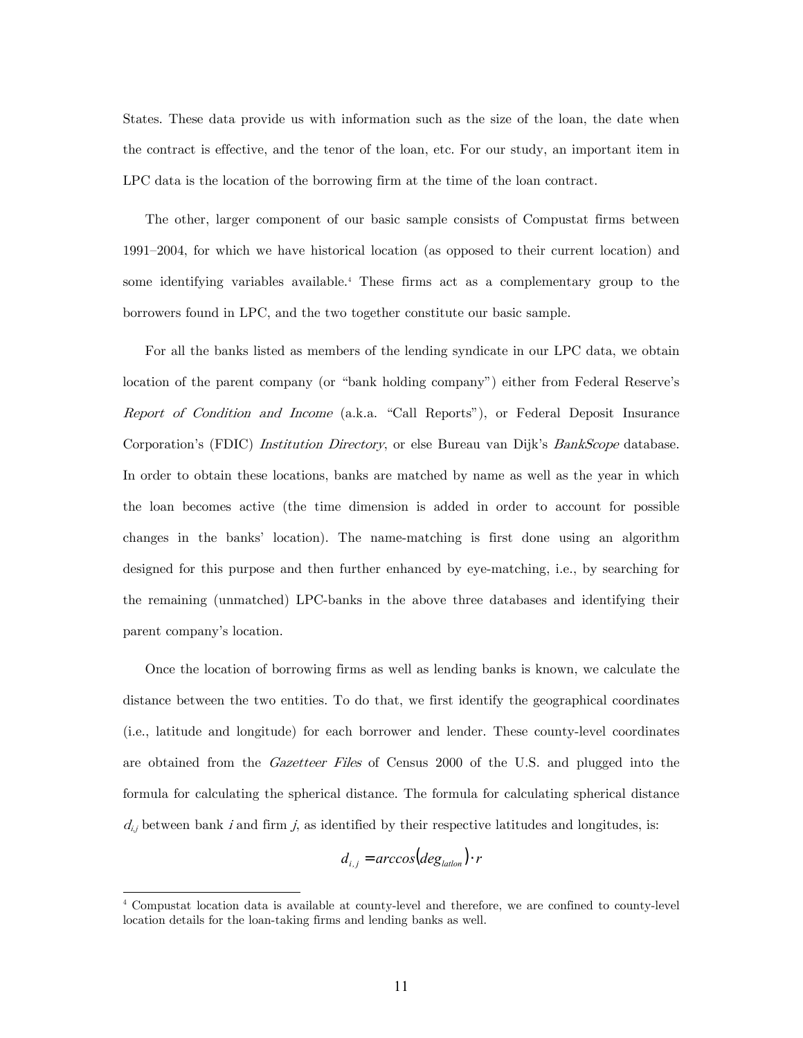States. These data provide us with information such as the size of the loan, the date when the contract is effective, and the tenor of the loan, etc. For our study, an important item in LPC data is the location of the borrowing firm at the time of the loan contract.

The other, larger component of our basic sample consists of Compustat firms between 1991—2004, for which we have historical location (as opposed to their current location) and some identifying variables available.4 These firms act as a complementary group to the borrowers found in LPC, and the two together constitute our basic sample.

For all the banks listed as members of the lending syndicate in our LPC data, we obtain location of the parent company (or "bank holding company") either from Federal Reserve's Report of Condition and Income (a.k.a. "Call Reports"), or Federal Deposit Insurance Corporation's (FDIC) *Institution Directory*, or else Bureau van Dijk's *BankScope* database. In order to obtain these locations, banks are matched by name as well as the year in which the loan becomes active (the time dimension is added in order to account for possible changes in the banks' location). The name-matching is first done using an algorithm designed for this purpose and then further enhanced by eye-matching, i.e., by searching for the remaining (unmatched) LPC-banks in the above three databases and identifying their parent company's location.

Once the location of borrowing firms as well as lending banks is known, we calculate the distance between the two entities. To do that, we first identify the geographical coordinates (i.e., latitude and longitude) for each borrower and lender. These county-level coordinates are obtained from the *Gazetteer Files* of Census 2000 of the U.S. and plugged into the formula for calculating the spherical distance. The formula for calculating spherical distance  $d_{i,j}$  between bank i and firm j, as identified by their respective latitudes and longitudes, is:

$$
d_{i,j} = \arccos(\deg_{\text{lation}}) \cdot r
$$

-

<sup>4</sup> Compustat location data is available at county-level and therefore, we are confined to county-level location details for the loan-taking firms and lending banks as well.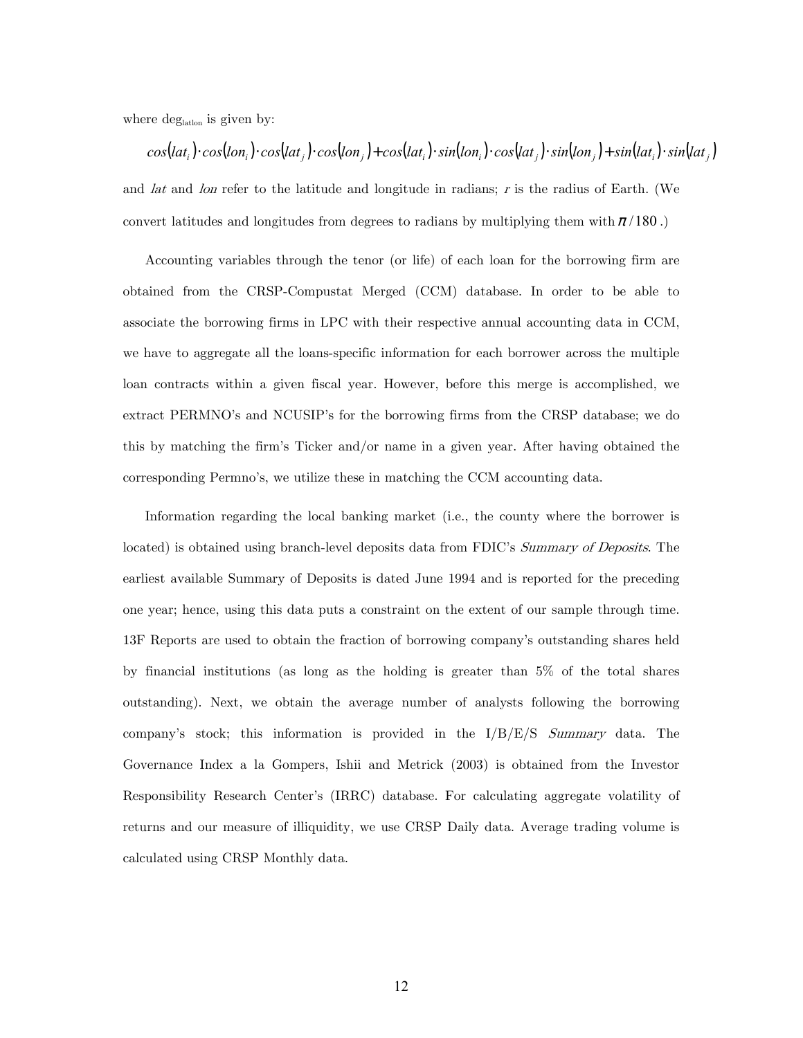where  $\deg_{\text{latton}}$  is given by:

 $cos(lat_i) \cdot cos(lon_i) \cdot cos(lat_i) \cdot cos(lon_i) + cos(lat_i) \cdot sin(lon_i) \cdot cos(lat_i) \cdot sin(lon_i) + sin(lat_i) \cdot sin(lat_i)$ and *lat* and *lon* refer to the latitude and longitude in radians; r is the radius of Earth. (We convert latitudes and longitudes from degrees to radians by multiplying them with  $\pi/180$ .)

Accounting variables through the tenor (or life) of each loan for the borrowing firm are obtained from the CRSP-Compustat Merged (CCM) database. In order to be able to associate the borrowing firms in LPC with their respective annual accounting data in CCM, we have to aggregate all the loans-specific information for each borrower across the multiple loan contracts within a given fiscal year. However, before this merge is accomplished, we extract PERMNO's and NCUSIP's for the borrowing firms from the CRSP database; we do this by matching the firm's Ticker and/or name in a given year. After having obtained the corresponding Permno's, we utilize these in matching the CCM accounting data.

Information regarding the local banking market (i.e., the county where the borrower is located) is obtained using branch-level deposits data from FDIC's Summary of Deposits. The earliest available Summary of Deposits is dated June 1994 and is reported for the preceding one year; hence, using this data puts a constraint on the extent of our sample through time. 13F Reports are used to obtain the fraction of borrowing company's outstanding shares held by financial institutions (as long as the holding is greater than 5% of the total shares outstanding). Next, we obtain the average number of analysts following the borrowing company's stock; this information is provided in the I/B/E/S Summary data. The Governance Index a la Gompers, Ishii and Metrick (2003) is obtained from the Investor Responsibility Research Center's (IRRC) database. For calculating aggregate volatility of returns and our measure of illiquidity, we use CRSP Daily data. Average trading volume is calculated using CRSP Monthly data.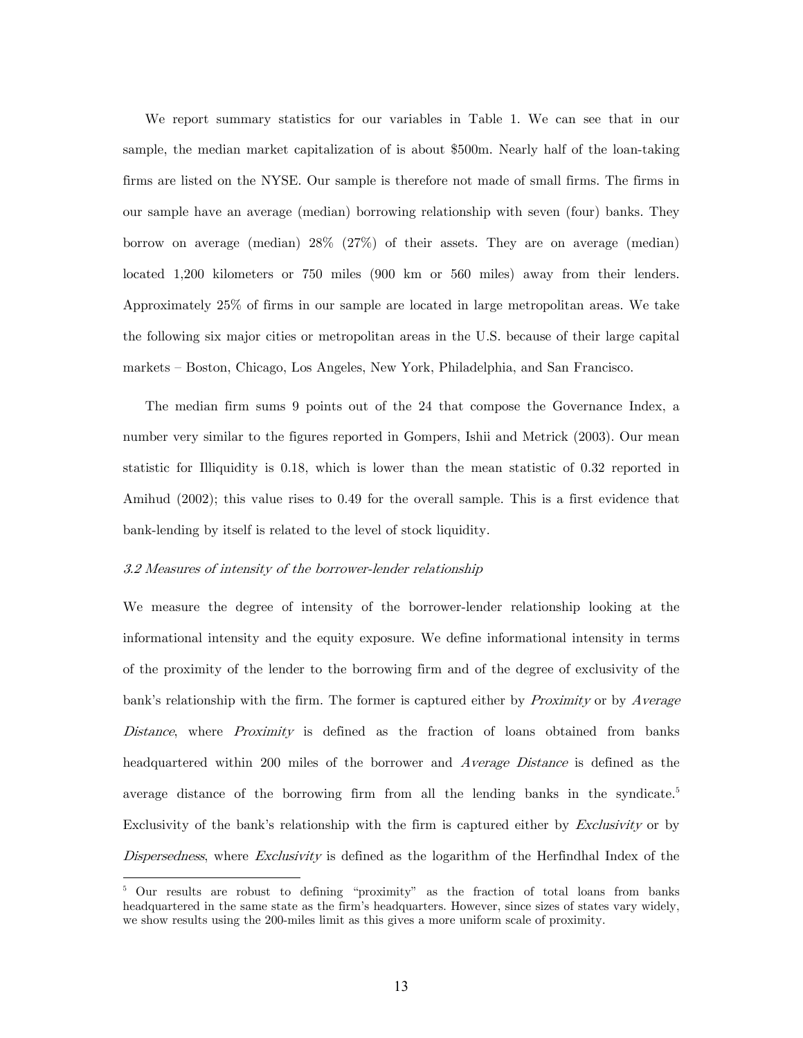We report summary statistics for our variables in Table 1. We can see that in our sample, the median market capitalization of is about \$500m. Nearly half of the loan-taking firms are listed on the NYSE. Our sample is therefore not made of small firms. The firms in our sample have an average (median) borrowing relationship with seven (four) banks. They borrow on average (median) 28% (27%) of their assets. They are on average (median) located 1,200 kilometers or 750 miles (900 km or 560 miles) away from their lenders. Approximately 25% of firms in our sample are located in large metropolitan areas. We take the following six major cities or metropolitan areas in the U.S. because of their large capital markets — Boston, Chicago, Los Angeles, New York, Philadelphia, and San Francisco.

The median firm sums 9 points out of the 24 that compose the Governance Index, a number very similar to the figures reported in Gompers, Ishii and Metrick (2003). Our mean statistic for Illiquidity is 0.18, which is lower than the mean statistic of 0.32 reported in Amihud (2002); this value rises to 0.49 for the overall sample. This is a first evidence that bank-lending by itself is related to the level of stock liquidity.

# 3.2 Measures of intensity of the borrower-lender relationship

-

We measure the degree of intensity of the borrower-lender relationship looking at the informational intensity and the equity exposure. We define informational intensity in terms of the proximity of the lender to the borrowing firm and of the degree of exclusivity of the bank's relationship with the firm. The former is captured either by *Proximity* or by *Average* Distance, where *Proximity* is defined as the fraction of loans obtained from banks headquartered within 200 miles of the borrower and *Average Distance* is defined as the average distance of the borrowing firm from all the lending banks in the syndicate.<sup>5</sup> Exclusivity of the bank's relationship with the firm is captured either by *Exclusivity* or by Dispersedness, where Exclusivity is defined as the logarithm of the Herfindhal Index of the

<sup>&</sup>lt;sup>5</sup> Our results are robust to defining "proximity" as the fraction of total loans from banks headquartered in the same state as the firm's headquarters. However, since sizes of states vary widely, we show results using the 200-miles limit as this gives a more uniform scale of proximity.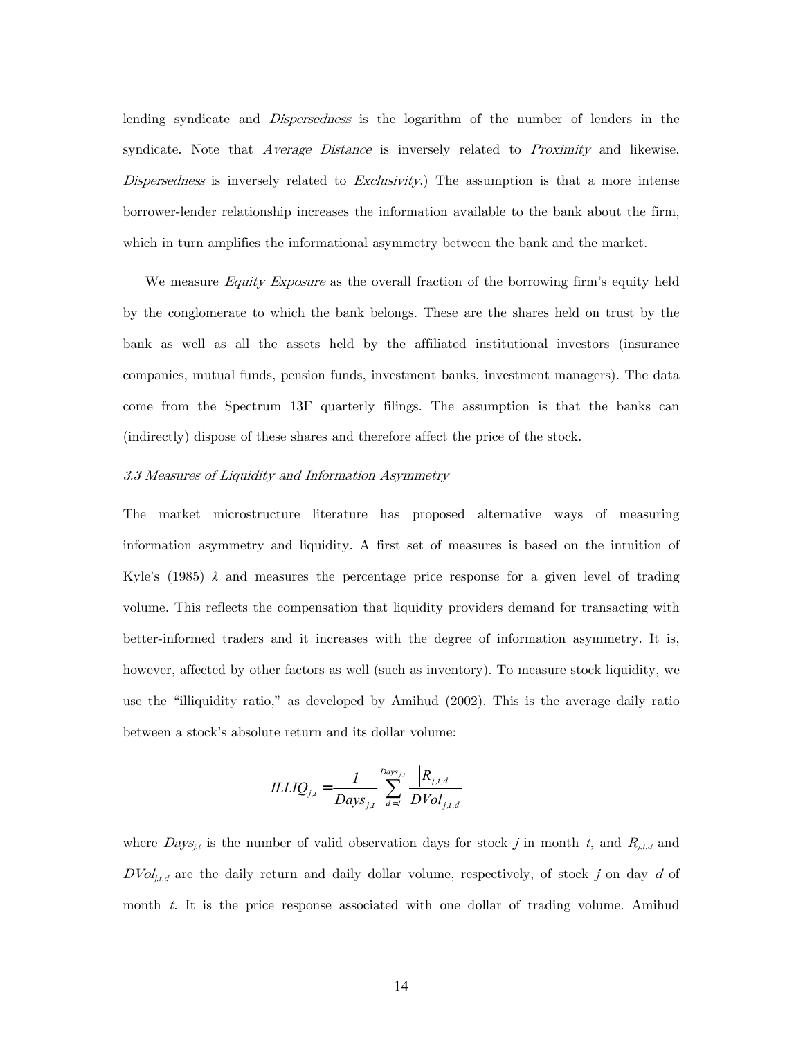lending syndicate and Dispersedness is the logarithm of the number of lenders in the syndicate. Note that *Average Distance* is inversely related to *Proximity* and likewise, Dispersedness is inversely related to  $Exclusivity$ . The assumption is that a more intense borrower-lender relationship increases the information available to the bank about the firm, which in turn amplifies the informational asymmetry between the bank and the market.

We measure *Equity Exposure* as the overall fraction of the borrowing firm's equity held by the conglomerate to which the bank belongs. These are the shares held on trust by the bank as well as all the assets held by the affiliated institutional investors (insurance companies, mutual funds, pension funds, investment banks, investment managers). The data come from the Spectrum 13F quarterly filings. The assumption is that the banks can (indirectly) dispose of these shares and therefore affect the price of the stock.

### 3.3 Measures of Liquidity and Information Asymmetry

The market microstructure literature has proposed alternative ways of measuring information asymmetry and liquidity. A first set of measures is based on the intuition of Kyle's (1985) *λ* and measures the percentage price response for a given level of trading volume. This reflects the compensation that liquidity providers demand for transacting with better-informed traders and it increases with the degree of information asymmetry. It is, however, affected by other factors as well (such as inventory). To measure stock liquidity, we use the "illiquidity ratio," as developed by Amihud (2002). This is the average daily ratio between a stock's absolute return and its dollar volume:

$$
ILLIQ_{j,t} = \frac{1}{Days_{j,t}} \sum_{d=1}^{Days_{j,t}} \frac{|R_{j,t,d}|}{DVol_{j,t,d}}
$$

where  $Days_{j,t}$  is the number of valid observation days for stock j in month t, and  $R_{j,t,d}$  and  $DVol_{j,t,d}$  are the daily return and daily dollar volume, respectively, of stock j on day d of month  $t$ . It is the price response associated with one dollar of trading volume. Amihud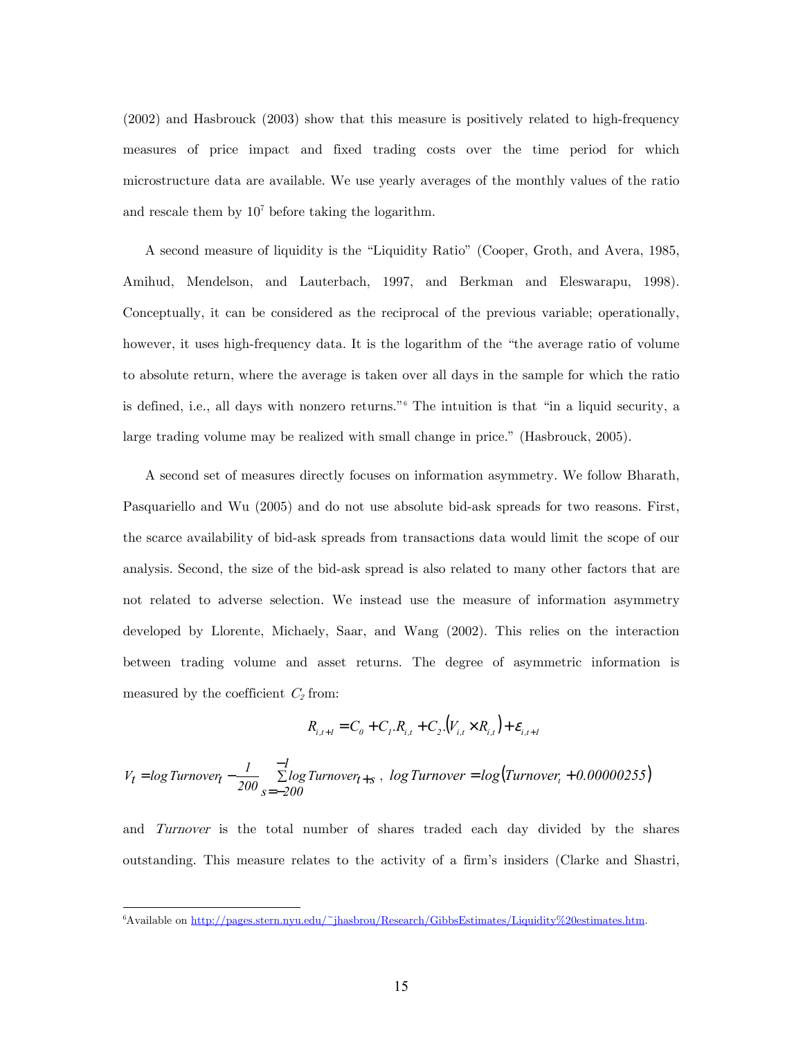(2002) and Hasbrouck (2003) show that this measure is positively related to high-frequency measures of price impact and fixed trading costs over the time period for which microstructure data are available. We use yearly averages of the monthly values of the ratio and rescale them by  $10<sup>7</sup>$  before taking the logarithm.

A second measure of liquidity is the "Liquidity Ratio" (Cooper, Groth, and Avera, 1985, Amihud, Mendelson, and Lauterbach, 1997, and Berkman and Eleswarapu, 1998). Conceptually, it can be considered as the reciprocal of the previous variable; operationally, however, it uses high-frequency data. It is the logarithm of the "the average ratio of volume to absolute return, where the average is taken over all days in the sample for which the ratio is defined, i.e., all days with nonzero returns."6 The intuition is that "in a liquid security, a large trading volume may be realized with small change in price." (Hasbrouck, 2005).

A second set of measures directly focuses on information asymmetry. We follow Bharath, Pasquariello and Wu (2005) and do not use absolute bid-ask spreads for two reasons. First, the scarce availability of bid-ask spreads from transactions data would limit the scope of our analysis. Second, the size of the bid-ask spread is also related to many other factors that are not related to adverse selection. We instead use the measure of information asymmetry developed by Llorente, Michaely, Saar, and Wang (2002). This relies on the interaction between trading volume and asset returns. The degree of asymmetric information is measured by the coefficient  $C_2$  from:

$$
R_{i,t+1} = C_0 + C_1.R_{i,t} + C_2.(V_{i,t} \times R_{i,t}) + \varepsilon_{i,t+1}
$$

$$
V_t = log Turnover_t - \frac{1}{200} \sum_{s=-200}^{-1} Log Turnover_{t+s}
$$
,  $log Turnover = log(Turnover_t + 0.00000255)$ 

and Turnover is the total number of shares traded each day divided by the shares outstanding. This measure relates to the activity of a firm's insiders (Clarke and Shastri,

-

<sup>6</sup> Available on http://pages.stern.nyu.edu/~jhasbrou/Research/GibbsEstimates/Liquidity%20estimates.htm.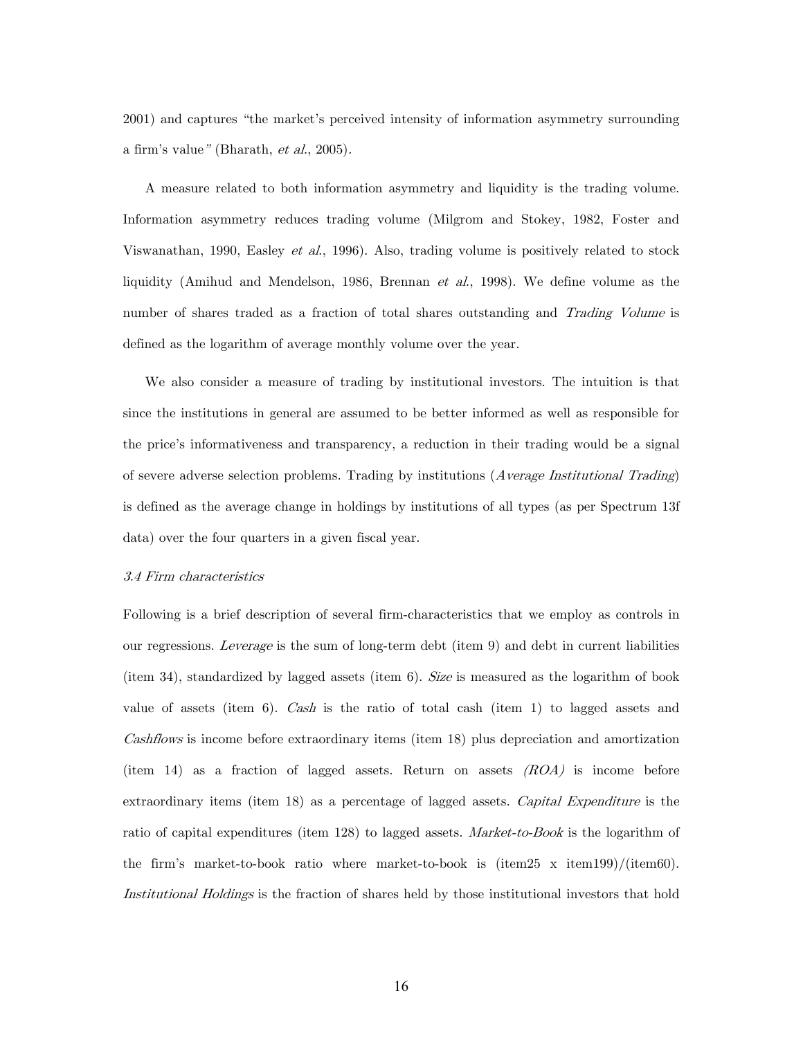2001) and captures "the market's perceived intensity of information asymmetry surrounding a firm's value" (Bharath, et al., 2005).

A measure related to both information asymmetry and liquidity is the trading volume. Information asymmetry reduces trading volume (Milgrom and Stokey, 1982, Foster and Viswanathan, 1990, Easley et al., 1996). Also, trading volume is positively related to stock liquidity (Amihud and Mendelson, 1986, Brennan et al., 1998). We define volume as the number of shares traded as a fraction of total shares outstanding and Trading Volume is defined as the logarithm of average monthly volume over the year.

We also consider a measure of trading by institutional investors. The intuition is that since the institutions in general are assumed to be better informed as well as responsible for the price's informativeness and transparency, a reduction in their trading would be a signal of severe adverse selection problems. Trading by institutions (Average Institutional Trading) is defined as the average change in holdings by institutions of all types (as per Spectrum 13f data) over the four quarters in a given fiscal year.

#### 3.4 Firm characteristics

Following is a brief description of several firm-characteristics that we employ as controls in our regressions. Leverage is the sum of long-term debt (item 9) and debt in current liabilities (item 34), standardized by lagged assets (item 6). Size is measured as the logarithm of book value of assets (item 6). Cash is the ratio of total cash (item 1) to lagged assets and Cashflows is income before extraordinary items (item 18) plus depreciation and amortization (item 14) as a fraction of lagged assets. Return on assets  $(ROA)$  is income before extraordinary items (item 18) as a percentage of lagged assets. Capital Expenditure is the ratio of capital expenditures (item 128) to lagged assets. Market-to-Book is the logarithm of the firm's market-to-book ratio where market-to-book is (item25 x item199)/(item60). Institutional Holdings is the fraction of shares held by those institutional investors that hold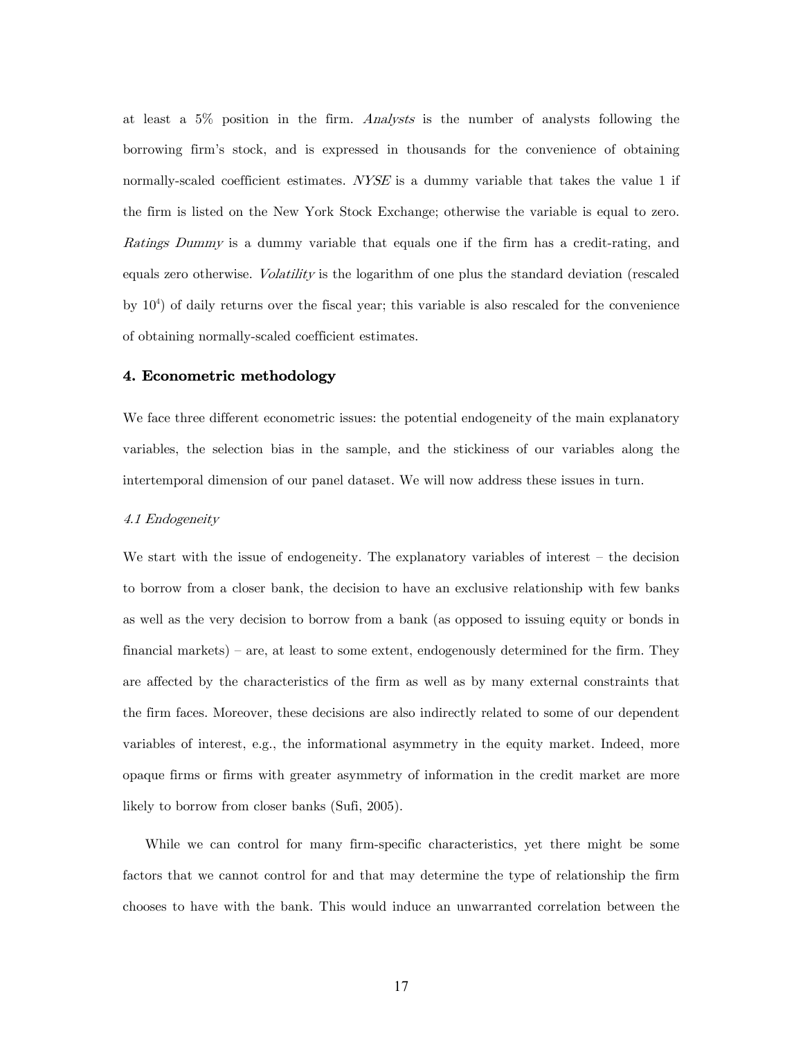at least a 5% position in the firm. Analysts is the number of analysts following the borrowing firm's stock, and is expressed in thousands for the convenience of obtaining normally-scaled coefficient estimates. NYSE is a dummy variable that takes the value 1 if the firm is listed on the New York Stock Exchange; otherwise the variable is equal to zero. Ratings Dummy is a dummy variable that equals one if the firm has a credit-rating, and equals zero otherwise. Volatility is the logarithm of one plus the standard deviation (rescaled by 104 ) of daily returns over the fiscal year; this variable is also rescaled for the convenience of obtaining normally-scaled coefficient estimates.

## 4. Econometric methodology

We face three different econometric issues: the potential endogeneity of the main explanatory variables, the selection bias in the sample, and the stickiness of our variables along the intertemporal dimension of our panel dataset. We will now address these issues in turn.

#### 4.1 Endogeneity

We start with the issue of endogeneity. The explanatory variables of interest – the decision to borrow from a closer bank, the decision to have an exclusive relationship with few banks as well as the very decision to borrow from a bank (as opposed to issuing equity or bonds in financial markets) — are, at least to some extent, endogenously determined for the firm. They are affected by the characteristics of the firm as well as by many external constraints that the firm faces. Moreover, these decisions are also indirectly related to some of our dependent variables of interest, e.g., the informational asymmetry in the equity market. Indeed, more opaque firms or firms with greater asymmetry of information in the credit market are more likely to borrow from closer banks (Sufi, 2005).

While we can control for many firm-specific characteristics, yet there might be some factors that we cannot control for and that may determine the type of relationship the firm chooses to have with the bank. This would induce an unwarranted correlation between the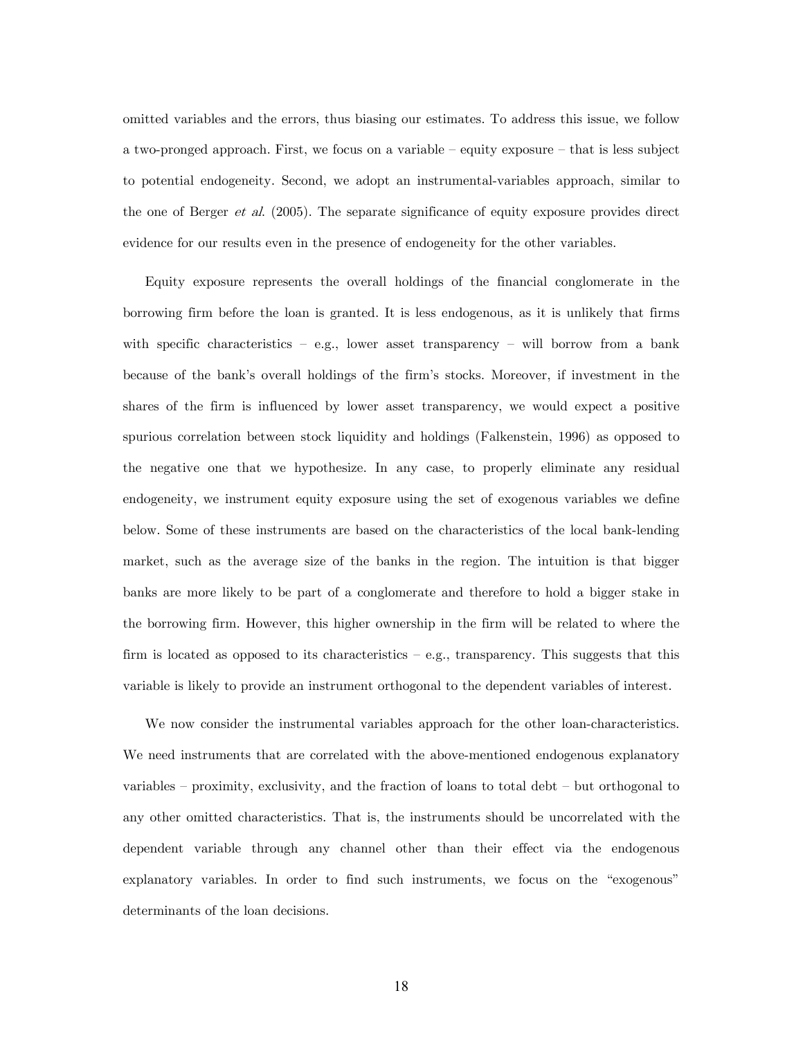omitted variables and the errors, thus biasing our estimates. To address this issue, we follow a two-pronged approach. First, we focus on a variable — equity exposure — that is less subject to potential endogeneity. Second, we adopt an instrumental-variables approach, similar to the one of Berger *et al.* (2005). The separate significance of equity exposure provides direct evidence for our results even in the presence of endogeneity for the other variables.

Equity exposure represents the overall holdings of the financial conglomerate in the borrowing firm before the loan is granted. It is less endogenous, as it is unlikely that firms with specific characteristics – e.g., lower asset transparency – will borrow from a bank because of the bank's overall holdings of the firm's stocks. Moreover, if investment in the shares of the firm is influenced by lower asset transparency, we would expect a positive spurious correlation between stock liquidity and holdings (Falkenstein, 1996) as opposed to the negative one that we hypothesize. In any case, to properly eliminate any residual endogeneity, we instrument equity exposure using the set of exogenous variables we define below. Some of these instruments are based on the characteristics of the local bank-lending market, such as the average size of the banks in the region. The intuition is that bigger banks are more likely to be part of a conglomerate and therefore to hold a bigger stake in the borrowing firm. However, this higher ownership in the firm will be related to where the firm is located as opposed to its characteristics — e.g., transparency. This suggests that this variable is likely to provide an instrument orthogonal to the dependent variables of interest.

We now consider the instrumental variables approach for the other loan-characteristics. We need instruments that are correlated with the above-mentioned endogenous explanatory variables — proximity, exclusivity, and the fraction of loans to total debt — but orthogonal to any other omitted characteristics. That is, the instruments should be uncorrelated with the dependent variable through any channel other than their effect via the endogenous explanatory variables. In order to find such instruments, we focus on the "exogenous" determinants of the loan decisions.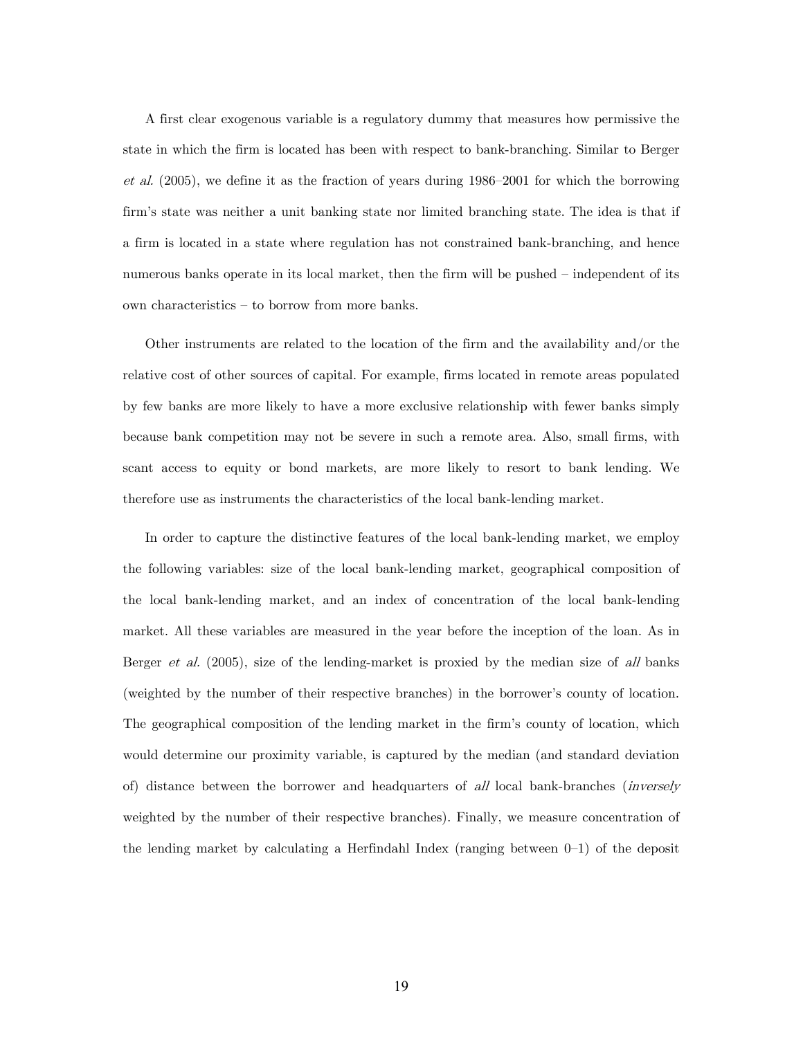A first clear exogenous variable is a regulatory dummy that measures how permissive the state in which the firm is located has been with respect to bank-branching. Similar to Berger et al. (2005), we define it as the fraction of years during 1986—2001 for which the borrowing firm's state was neither a unit banking state nor limited branching state. The idea is that if a firm is located in a state where regulation has not constrained bank-branching, and hence numerous banks operate in its local market, then the firm will be pushed — independent of its own characteristics — to borrow from more banks.

Other instruments are related to the location of the firm and the availability and/or the relative cost of other sources of capital. For example, firms located in remote areas populated by few banks are more likely to have a more exclusive relationship with fewer banks simply because bank competition may not be severe in such a remote area. Also, small firms, with scant access to equity or bond markets, are more likely to resort to bank lending. We therefore use as instruments the characteristics of the local bank-lending market.

In order to capture the distinctive features of the local bank-lending market, we employ the following variables: size of the local bank-lending market, geographical composition of the local bank-lending market, and an index of concentration of the local bank-lending market. All these variables are measured in the year before the inception of the loan. As in Berger *et al.* (2005), size of the lending-market is proxied by the median size of all banks (weighted by the number of their respective branches) in the borrower's county of location. The geographical composition of the lending market in the firm's county of location, which would determine our proximity variable, is captured by the median (and standard deviation of) distance between the borrower and headquarters of all local bank-branches (inversely weighted by the number of their respective branches). Finally, we measure concentration of the lending market by calculating a Herfindahl Index (ranging between  $0-1$ ) of the deposit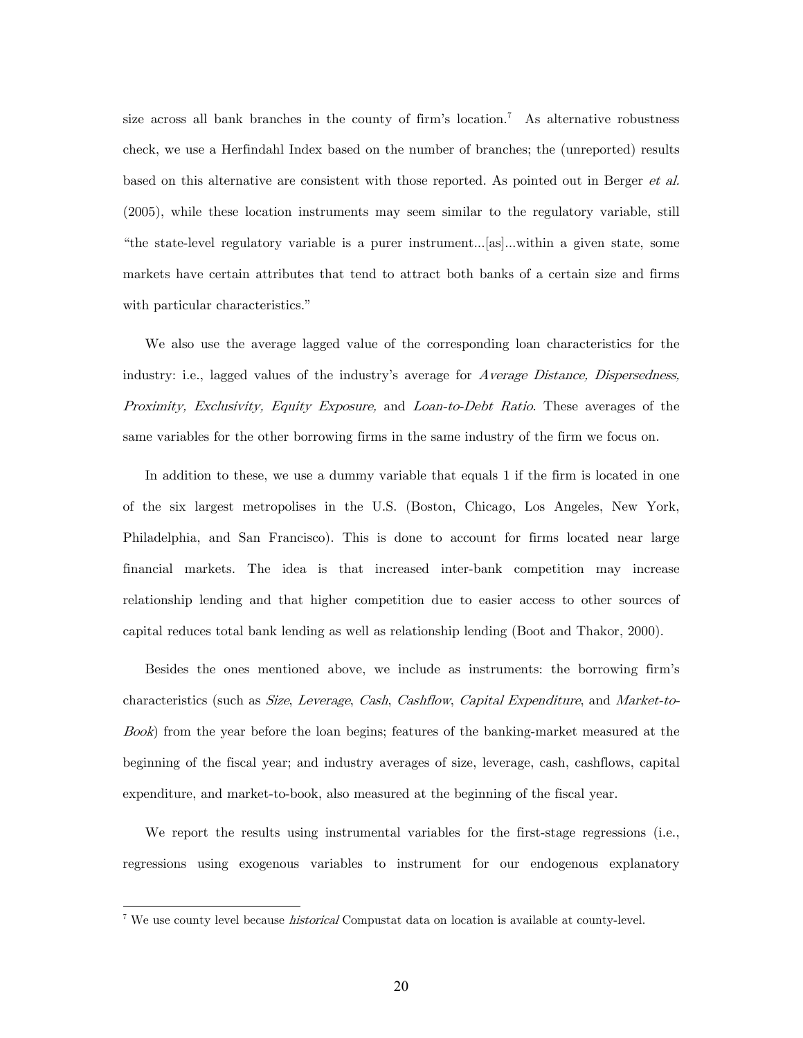size across all bank branches in the county of firm's location.<sup>7</sup> As alternative robustness check, we use a Herfindahl Index based on the number of branches; the (unreported) results based on this alternative are consistent with those reported. As pointed out in Berger et al. (2005), while these location instruments may seem similar to the regulatory variable, still "the state-level regulatory variable is a purer instrument...[as]...within a given state, some markets have certain attributes that tend to attract both banks of a certain size and firms with particular characteristics."

We also use the average lagged value of the corresponding loan characteristics for the industry: i.e., lagged values of the industry's average for Average Distance, Dispersedness, Proximity, Exclusivity, Equity Exposure, and Loan-to-Debt Ratio. These averages of the same variables for the other borrowing firms in the same industry of the firm we focus on.

In addition to these, we use a dummy variable that equals 1 if the firm is located in one of the six largest metropolises in the U.S. (Boston, Chicago, Los Angeles, New York, Philadelphia, and San Francisco). This is done to account for firms located near large financial markets. The idea is that increased inter-bank competition may increase relationship lending and that higher competition due to easier access to other sources of capital reduces total bank lending as well as relationship lending (Boot and Thakor, 2000).

Besides the ones mentioned above, we include as instruments: the borrowing firm's characteristics (such as Size, Leverage, Cash, Cashflow, Capital Expenditure, and Market-to-Book) from the year before the loan begins; features of the banking-market measured at the beginning of the fiscal year; and industry averages of size, leverage, cash, cashflows, capital expenditure, and market-to-book, also measured at the beginning of the fiscal year.

We report the results using instrumental variables for the first-stage regressions (i.e., regressions using exogenous variables to instrument for our endogenous explanatory

-

<sup>&</sup>lt;sup>7</sup> We use county level because *historical* Compustat data on location is available at county-level.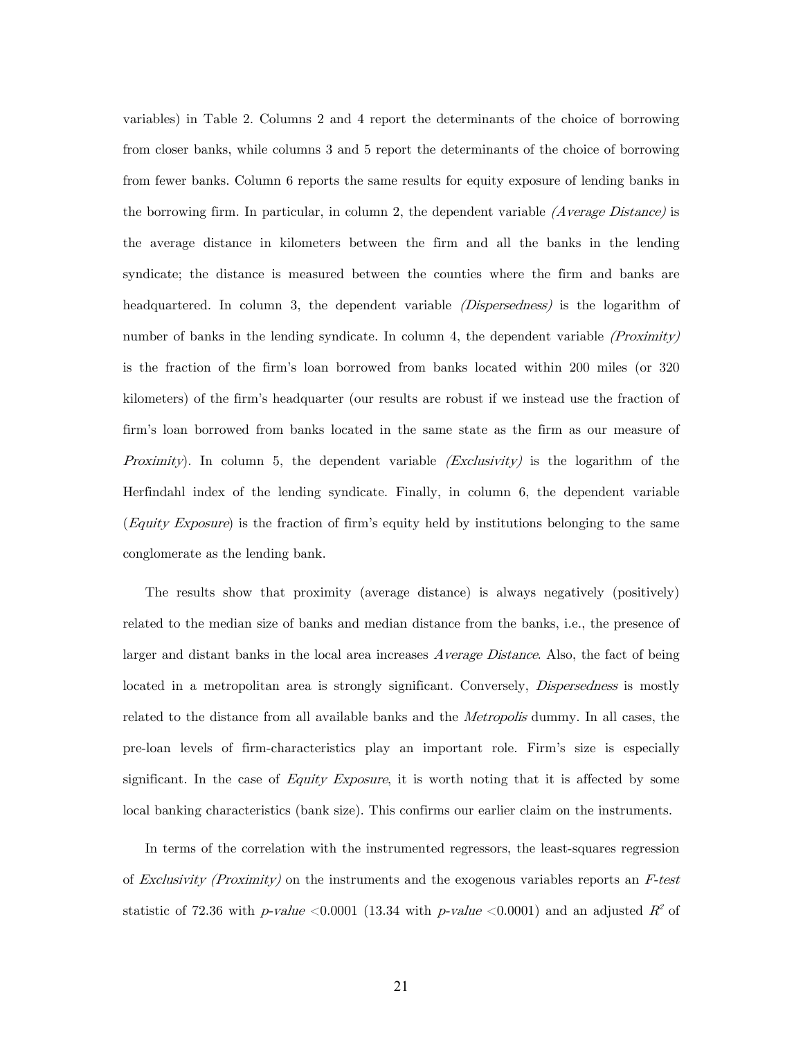variables) in Table 2. Columns 2 and 4 report the determinants of the choice of borrowing from closer banks, while columns 3 and 5 report the determinants of the choice of borrowing from fewer banks. Column 6 reports the same results for equity exposure of lending banks in the borrowing firm. In particular, in column 2, the dependent variable  $(Average Distance)$  is the average distance in kilometers between the firm and all the banks in the lending syndicate; the distance is measured between the counties where the firm and banks are headquartered. In column 3, the dependent variable *(Dispersedness)* is the logarithm of number of banks in the lending syndicate. In column 4, the dependent variable  $(Proximity)$ is the fraction of the firm's loan borrowed from banks located within 200 miles (or 320 kilometers) of the firm's headquarter (our results are robust if we instead use the fraction of firm's loan borrowed from banks located in the same state as the firm as our measure of *Proximity*). In column 5, the dependent variable  $(Exclusivity)$  is the logarithm of the Herfindahl index of the lending syndicate. Finally, in column 6, the dependent variable (Equity Exposure) is the fraction of firm's equity held by institutions belonging to the same conglomerate as the lending bank.

The results show that proximity (average distance) is always negatively (positively) related to the median size of banks and median distance from the banks, i.e., the presence of larger and distant banks in the local area increases *Average Distance*. Also, the fact of being located in a metropolitan area is strongly significant. Conversely, *Dispersedness* is mostly related to the distance from all available banks and the *Metropolis* dummy. In all cases, the pre-loan levels of firm-characteristics play an important role. Firm's size is especially significant. In the case of Equity Exposure, it is worth noting that it is affected by some local banking characteristics (bank size). This confirms our earlier claim on the instruments.

In terms of the correlation with the instrumented regressors, the least-squares regression of Exclusivity (Proximity) on the instruments and the exogenous variables reports an  $F$ -test statistic of 72.36 with p-value  $\lt$  0.0001 (13.34 with p-value  $\lt$  0.0001) and an adjusted  $R^2$  of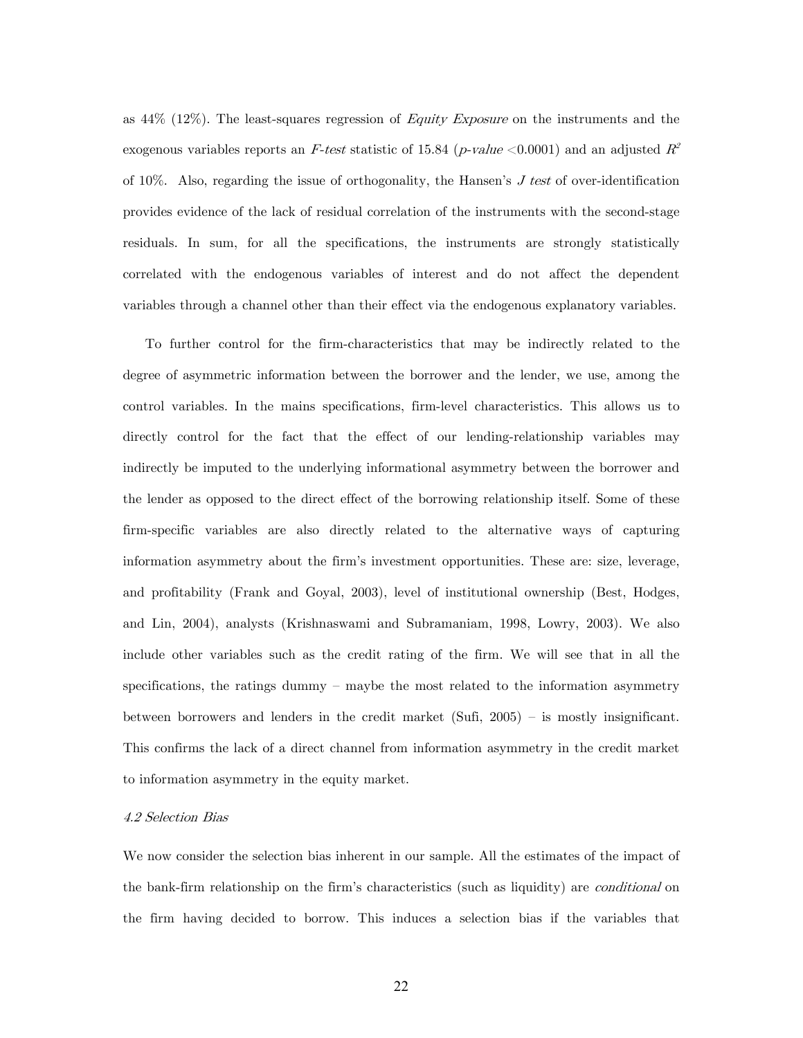as  $44\%$  (12%). The least-squares regression of *Equity Exposure* on the instruments and the exogenous variables reports an F-test statistic of 15.84 (p-value  $\lt 0.0001$ ) and an adjusted  $R^2$ of 10%. Also, regarding the issue of orthogonality, the Hansen's  $J$  test of over-identification provides evidence of the lack of residual correlation of the instruments with the second-stage residuals. In sum, for all the specifications, the instruments are strongly statistically correlated with the endogenous variables of interest and do not affect the dependent variables through a channel other than their effect via the endogenous explanatory variables.

To further control for the firm-characteristics that may be indirectly related to the degree of asymmetric information between the borrower and the lender, we use, among the control variables. In the mains specifications, firm-level characteristics. This allows us to directly control for the fact that the effect of our lending-relationship variables may indirectly be imputed to the underlying informational asymmetry between the borrower and the lender as opposed to the direct effect of the borrowing relationship itself. Some of these firm-specific variables are also directly related to the alternative ways of capturing information asymmetry about the firm's investment opportunities. These are: size, leverage, and profitability (Frank and Goyal, 2003), level of institutional ownership (Best, Hodges, and Lin, 2004), analysts (Krishnaswami and Subramaniam, 1998, Lowry, 2003). We also include other variables such as the credit rating of the firm. We will see that in all the specifications, the ratings dummy — maybe the most related to the information asymmetry between borrowers and lenders in the credit market (Sufi, 2005) — is mostly insignificant. This confirms the lack of a direct channel from information asymmetry in the credit market to information asymmetry in the equity market.

#### 4.2 Selection Bias

We now consider the selection bias inherent in our sample. All the estimates of the impact of the bank-firm relationship on the firm's characteristics (such as liquidity) are *conditional* on the firm having decided to borrow. This induces a selection bias if the variables that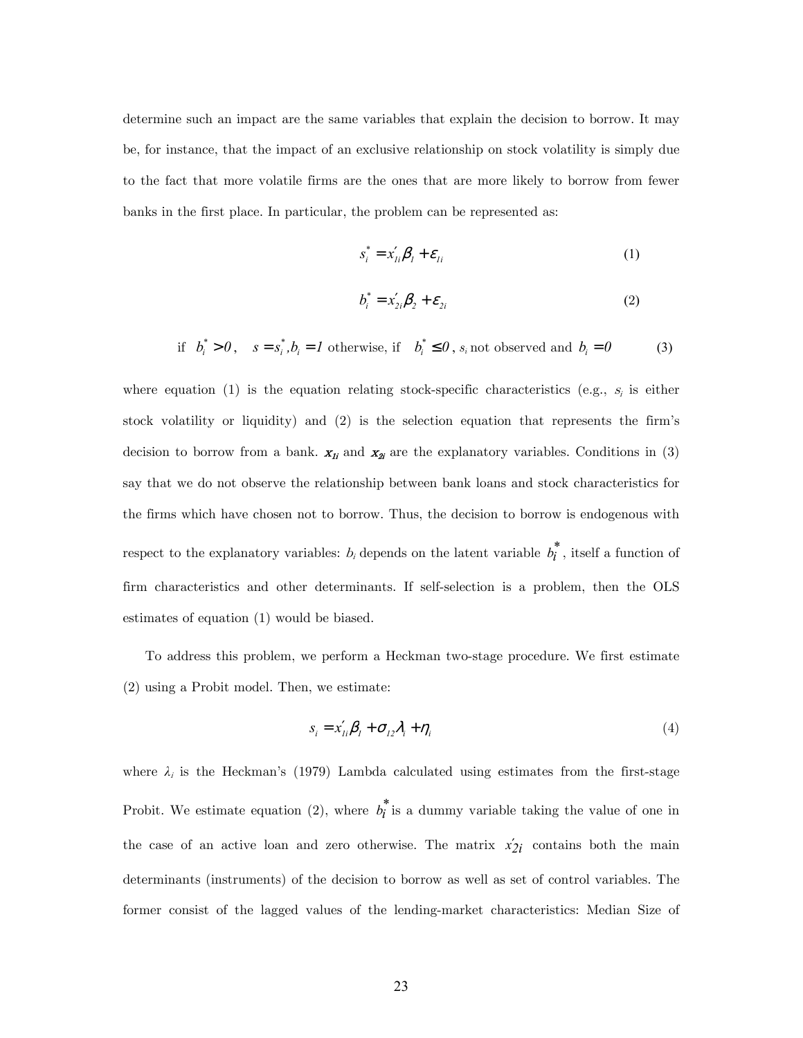determine such an impact are the same variables that explain the decision to borrow. It may be, for instance, that the impact of an exclusive relationship on stock volatility is simply due to the fact that more volatile firms are the ones that are more likely to borrow from fewer banks in the first place. In particular, the problem can be represented as:

$$
s_i^* = x_{li}'\beta_l + \varepsilon_{li} \tag{1}
$$

$$
b_i^* = x_{2i}'\boldsymbol{\beta}_2 + \boldsymbol{\varepsilon}_{2i}
$$
 (2)

if 
$$
b_i^* > 0
$$
,  $s = s_i^*, b_i = 1$  otherwise, if  $b_i^* \le 0$ ,  $s_i$  not observed and  $b_i = 0$  (3)

where equation (1) is the equation relating stock-specific characteristics (e.g.,  $s_i$  is either stock volatility or liquidity) and (2) is the selection equation that represents the firm's decision to borrow from a bank.  $x_{1i}$  and  $x_{2i}$  are the explanatory variables. Conditions in (3) say that we do not observe the relationship between bank loans and stock characteristics for the firms which have chosen not to borrow. Thus, the decision to borrow is endogenous with respect to the explanatory variables:  $b_i$  depends on the latent variable  $b_i^*$ , itself a function of firm characteristics and other determinants. If self-selection is a problem, then the OLS estimates of equation (1) would be biased.

To address this problem, we perform a Heckman two-stage procedure. We first estimate (2) using a Probit model. Then, we estimate:

$$
s_i = x_{1i}'\beta_1 + \sigma_{12}\lambda_i + \eta_i
$$
\n<sup>(4)</sup>

where  $\lambda_i$  is the Heckman's (1979) Lambda calculated using estimates from the first-stage Probit. We estimate equation (2), where  $b_i^*$  is a dummy variable taking the value of one in the case of an active loan and zero otherwise. The matrix  $x'_{2i}$  contains both the main determinants (instruments) of the decision to borrow as well as set of control variables. The former consist of the lagged values of the lending-market characteristics: Median Size of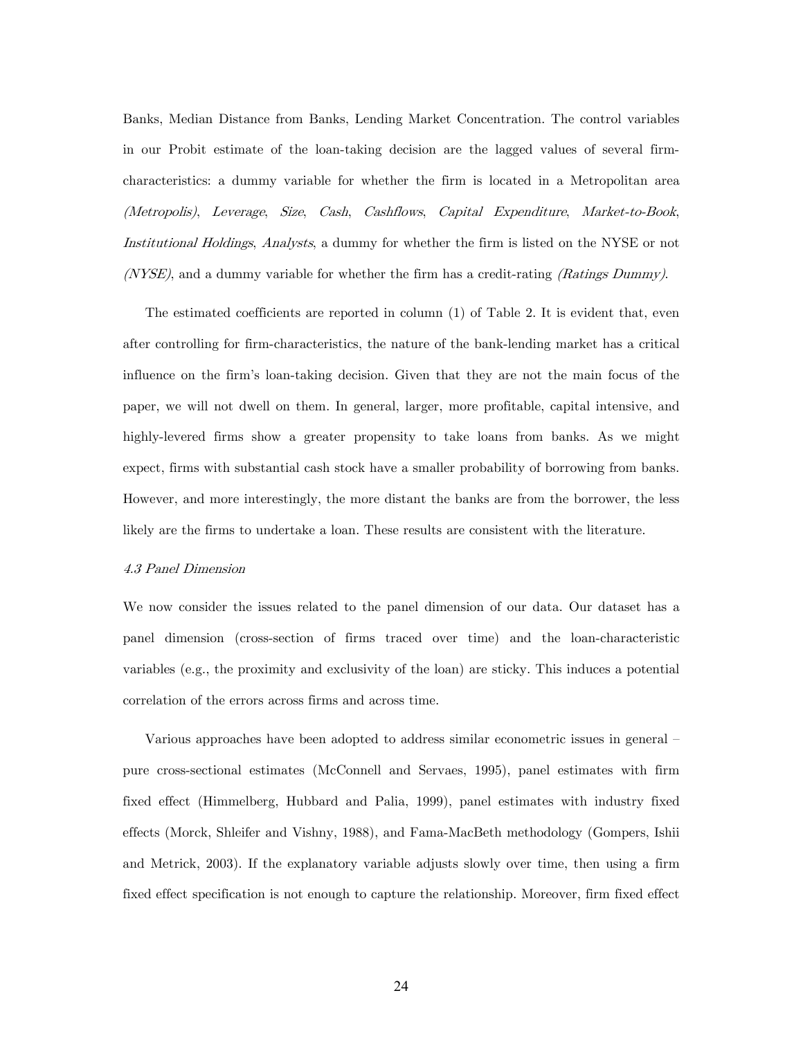Banks, Median Distance from Banks, Lending Market Concentration. The control variables in our Probit estimate of the loan-taking decision are the lagged values of several firmcharacteristics: a dummy variable for whether the firm is located in a Metropolitan area (Metropolis), Leverage, Size, Cash, Cashflows, Capital Expenditure, Market-to-Book, Institutional Holdings, Analysts, a dummy for whether the firm is listed on the NYSE or not  $(NYSE)$ , and a dummy variable for whether the firm has a credit-rating *(Ratings Dummy)*.

The estimated coefficients are reported in column (1) of Table 2. It is evident that, even after controlling for firm-characteristics, the nature of the bank-lending market has a critical influence on the firm's loan-taking decision. Given that they are not the main focus of the paper, we will not dwell on them. In general, larger, more profitable, capital intensive, and highly-levered firms show a greater propensity to take loans from banks. As we might expect, firms with substantial cash stock have a smaller probability of borrowing from banks. However, and more interestingly, the more distant the banks are from the borrower, the less likely are the firms to undertake a loan. These results are consistent with the literature.

# 4.3 Panel Dimension

We now consider the issues related to the panel dimension of our data. Our dataset has a panel dimension (cross-section of firms traced over time) and the loan-characteristic variables (e.g., the proximity and exclusivity of the loan) are sticky. This induces a potential correlation of the errors across firms and across time.

Various approaches have been adopted to address similar econometric issues in general pure cross-sectional estimates (McConnell and Servaes, 1995), panel estimates with firm fixed effect (Himmelberg, Hubbard and Palia, 1999), panel estimates with industry fixed effects (Morck, Shleifer and Vishny, 1988), and Fama-MacBeth methodology (Gompers, Ishii and Metrick, 2003). If the explanatory variable adjusts slowly over time, then using a firm fixed effect specification is not enough to capture the relationship. Moreover, firm fixed effect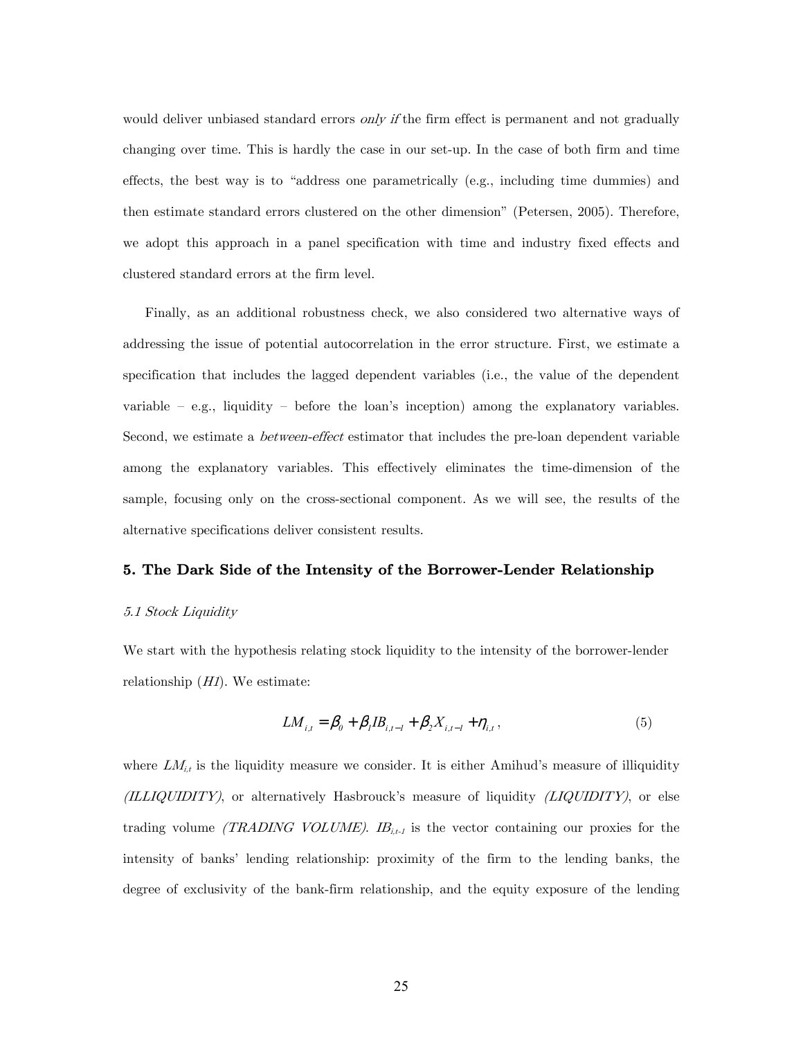would deliver unbiased standard errors only if the firm effect is permanent and not gradually changing over time. This is hardly the case in our set-up. In the case of both firm and time effects, the best way is to "address one parametrically (e.g., including time dummies) and then estimate standard errors clustered on the other dimension" (Petersen, 2005). Therefore, we adopt this approach in a panel specification with time and industry fixed effects and clustered standard errors at the firm level.

Finally, as an additional robustness check, we also considered two alternative ways of addressing the issue of potential autocorrelation in the error structure. First, we estimate a specification that includes the lagged dependent variables (i.e., the value of the dependent variable — e.g., liquidity — before the loan's inception) among the explanatory variables. Second, we estimate a *between-effect* estimator that includes the pre-loan dependent variable among the explanatory variables. This effectively eliminates the time-dimension of the sample, focusing only on the cross-sectional component. As we will see, the results of the alternative specifications deliver consistent results.

# 5. The Dark Side of the Intensity of the Borrower-Lender Relationship

### 5.1 Stock Liquidity

We start with the hypothesis relating stock liquidity to the intensity of the borrower-lender relationship  $(HI)$ . We estimate:

$$
LM_{i,t} = \beta_0 + \beta_1 IB_{i,t-1} + \beta_2 X_{i,t-1} + \eta_{i,t},
$$
\n(5)

where  $LM_{i,t}$  is the liquidity measure we consider. It is either Amihud's measure of illiquidity (ILLIQUIDITY), or alternatively Hasbrouck's measure of liquidity (LIQUIDITY), or else trading volume *(TRADING VOLUME).*  $IB_{i,t}$  is the vector containing our proxies for the intensity of banks' lending relationship: proximity of the firm to the lending banks, the degree of exclusivity of the bank-firm relationship, and the equity exposure of the lending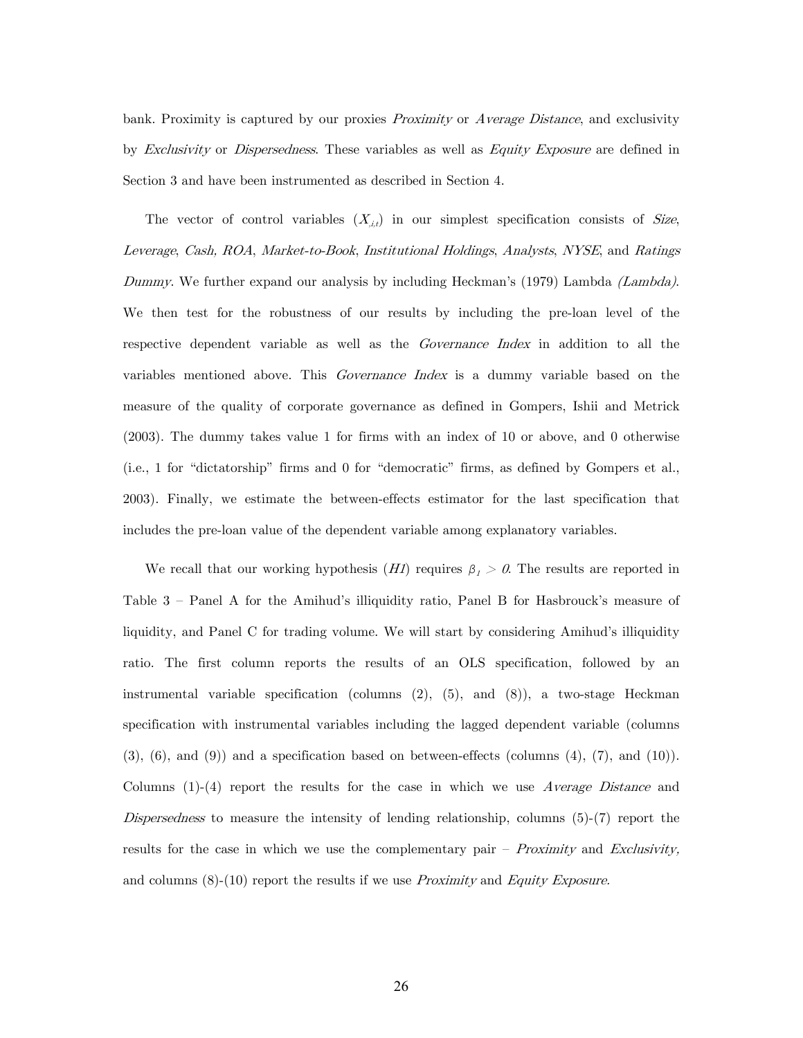bank. Proximity is captured by our proxies Proximity or Average Distance, and exclusivity by Exclusivity or Dispersedness. These variables as well as Equity Exposure are defined in Section 3 and have been instrumented as described in Section 4.

The vector of control variables  $(X_{i,t})$  in our simplest specification consists of Size, Leverage, Cash, ROA, Market-to-Book, Institutional Holdings, Analysts, NYSE, and Ratings Dummy. We further expand our analysis by including Heckman's (1979) Lambda *(Lambda)*. We then test for the robustness of our results by including the pre-loan level of the respective dependent variable as well as the *Governance Index* in addition to all the variables mentioned above. This *Governance Index* is a dummy variable based on the measure of the quality of corporate governance as defined in Gompers, Ishii and Metrick (2003). The dummy takes value 1 for firms with an index of 10 or above, and 0 otherwise (i.e., 1 for "dictatorship" firms and 0 for "democratic" firms, as defined by Gompers et al., 2003). Finally, we estimate the between-effects estimator for the last specification that includes the pre-loan value of the dependent variable among explanatory variables.

We recall that our working hypothesis  $(HI)$  requires  $\beta_1 > 0$ . The results are reported in Table 3 — Panel A for the Amihud's illiquidity ratio, Panel B for Hasbrouck's measure of liquidity, and Panel C for trading volume. We will start by considering Amihud's illiquidity ratio. The first column reports the results of an OLS specification, followed by an instrumental variable specification (columns (2), (5), and (8)), a two-stage Heckman specification with instrumental variables including the lagged dependent variable (columns  $(3)$ ,  $(6)$ , and  $(9)$ ) and a specification based on between-effects (columns  $(4)$ ,  $(7)$ , and  $(10)$ ). Columns  $(1)-(4)$  report the results for the case in which we use Average Distance and Dispersedness to measure the intensity of lending relationship, columns (5)-(7) report the results for the case in which we use the complementary pair  $-$  *Proximity* and *Exclusivity*, and columns  $(8)-(10)$  report the results if we use *Proximity* and *Equity Exposure.*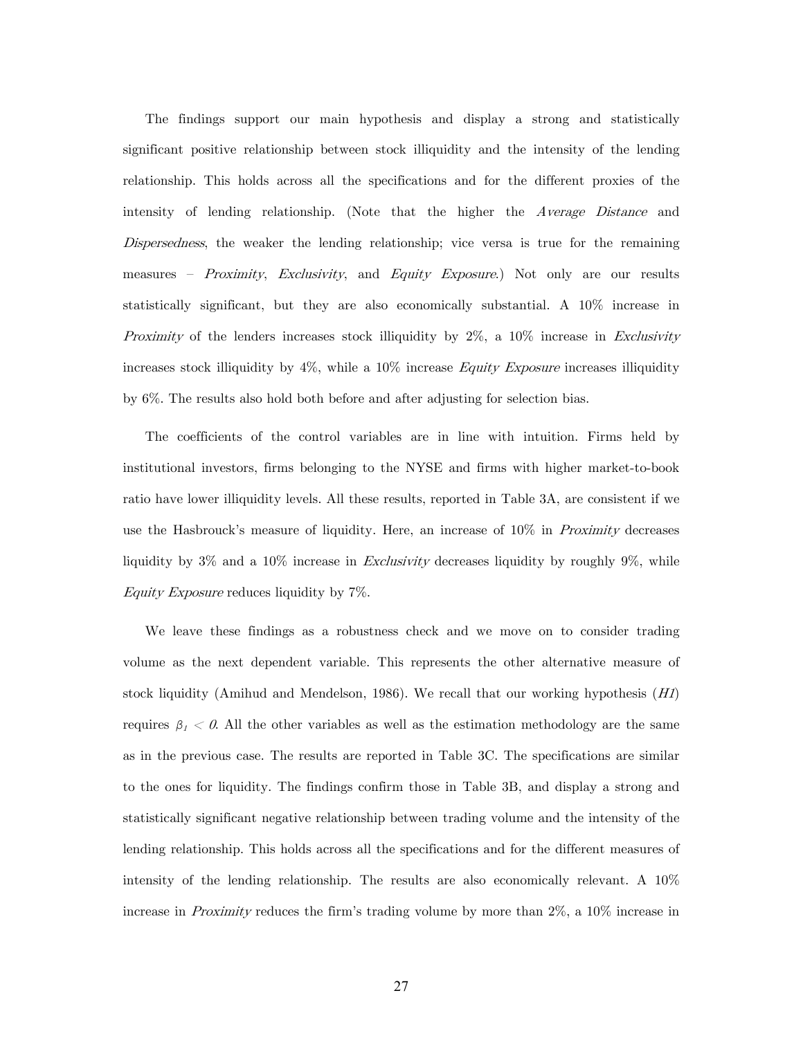The findings support our main hypothesis and display a strong and statistically significant positive relationship between stock illiquidity and the intensity of the lending relationship. This holds across all the specifications and for the different proxies of the intensity of lending relationship. (Note that the higher the Average Distance and Dispersedness, the weaker the lending relationship; vice versa is true for the remaining measures – Proximity, Exclusivity, and Equity Exposure.) Not only are our results statistically significant, but they are also economically substantial. A 10% increase in *Proximity* of the lenders increases stock illiquidity by  $2\%$ , a  $10\%$  increase in *Exclusivity* increases stock illiquidity by 4%, while a 10% increase Equity Exposure increases illiquidity by 6%. The results also hold both before and after adjusting for selection bias.

The coefficients of the control variables are in line with intuition. Firms held by institutional investors, firms belonging to the NYSE and firms with higher market-to-book ratio have lower illiquidity levels. All these results, reported in Table 3A, are consistent if we use the Hasbrouck's measure of liquidity. Here, an increase of  $10\%$  in *Proximity* decreases liquidity by 3% and a 10% increase in *Exclusivity* decreases liquidity by roughly 9%, while Equity Exposure reduces liquidity by 7%.

We leave these findings as a robustness check and we move on to consider trading volume as the next dependent variable. This represents the other alternative measure of stock liquidity (Amihud and Mendelson, 1986). We recall that our working hypothesis  $(H)$ requires  $\beta_1 < 0$ . All the other variables as well as the estimation methodology are the same as in the previous case. The results are reported in Table 3C. The specifications are similar to the ones for liquidity. The findings confirm those in Table 3B, and display a strong and statistically significant negative relationship between trading volume and the intensity of the lending relationship. This holds across all the specifications and for the different measures of intensity of the lending relationship. The results are also economically relevant. A 10% increase in *Proximity* reduces the firm's trading volume by more than 2\%, a 10\% increase in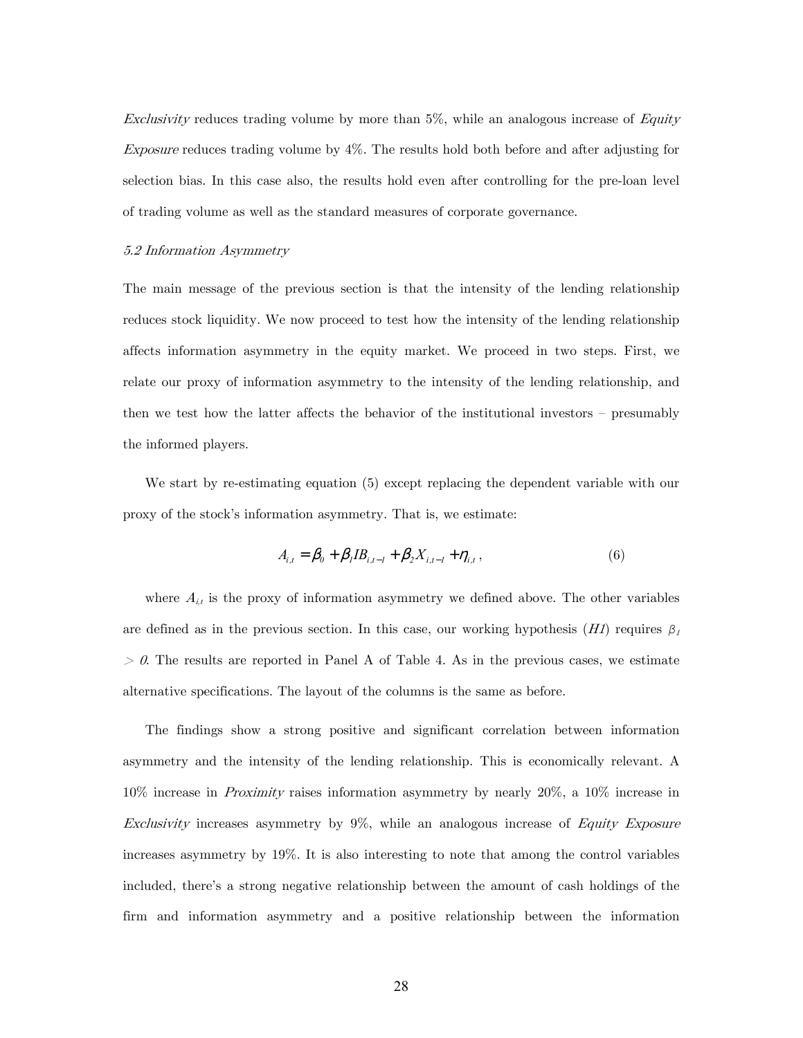Exclusivity reduces trading volume by more than  $5\%$ , while an analogous increase of Equity Exposure reduces trading volume by 4%. The results hold both before and after adjusting for selection bias. In this case also, the results hold even after controlling for the pre-loan level of trading volume as well as the standard measures of corporate governance.

## 5.2 Information Asymmetry

The main message of the previous section is that the intensity of the lending relationship reduces stock liquidity. We now proceed to test how the intensity of the lending relationship affects information asymmetry in the equity market. We proceed in two steps. First, we relate our proxy of information asymmetry to the intensity of the lending relationship, and then we test how the latter affects the behavior of the institutional investors — presumably the informed players.

We start by re-estimating equation (5) except replacing the dependent variable with our proxy of the stock's information asymmetry. That is, we estimate:

$$
A_{i,t} = \beta_0 + \beta_1 IB_{i,t-1} + \beta_2 X_{i,t-1} + \eta_{i,t},
$$
\n(6)

where  $A_{i,t}$  is the proxy of information asymmetry we defined above. The other variables are defined as in the previous section. In this case, our working hypothesis  $(HI)$  requires  $\beta_I$  $> 0$ . The results are reported in Panel A of Table 4. As in the previous cases, we estimate alternative specifications. The layout of the columns is the same as before.

The findings show a strong positive and significant correlation between information asymmetry and the intensity of the lending relationship. This is economically relevant. A 10% increase in Proximity raises information asymmetry by nearly 20%, a 10% increase in Exclusivity increases asymmetry by 9%, while an analogous increase of Equity Exposure increases asymmetry by 19%. It is also interesting to note that among the control variables included, there's a strong negative relationship between the amount of cash holdings of the firm and information asymmetry and a positive relationship between the information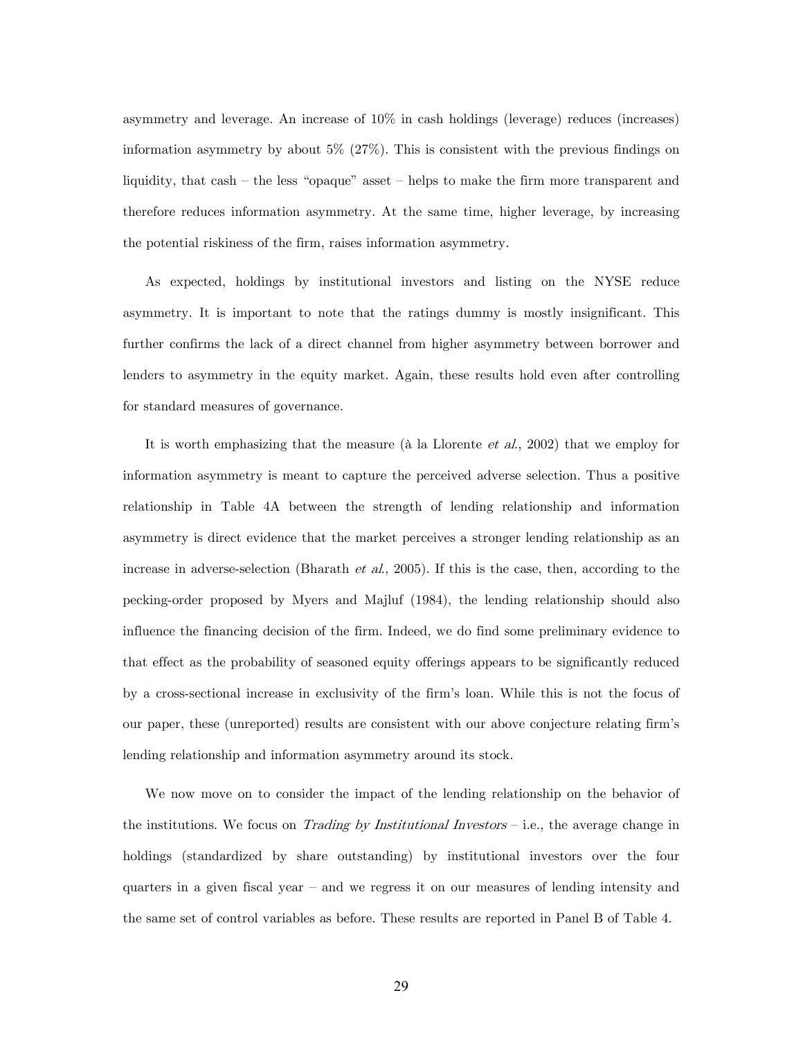asymmetry and leverage. An increase of 10% in cash holdings (leverage) reduces (increases) information asymmetry by about 5% (27%). This is consistent with the previous findings on liquidity, that cash — the less "opaque" asset — helps to make the firm more transparent and therefore reduces information asymmetry. At the same time, higher leverage, by increasing the potential riskiness of the firm, raises information asymmetry.

As expected, holdings by institutional investors and listing on the NYSE reduce asymmetry. It is important to note that the ratings dummy is mostly insignificant. This further confirms the lack of a direct channel from higher asymmetry between borrower and lenders to asymmetry in the equity market. Again, these results hold even after controlling for standard measures of governance.

It is worth emphasizing that the measure (à la Llorente et al., 2002) that we employ for information asymmetry is meant to capture the perceived adverse selection. Thus a positive relationship in Table 4A between the strength of lending relationship and information asymmetry is direct evidence that the market perceives a stronger lending relationship as an increase in adverse-selection (Bharath et al., 2005). If this is the case, then, according to the pecking-order proposed by Myers and Majluf (1984), the lending relationship should also influence the financing decision of the firm. Indeed, we do find some preliminary evidence to that effect as the probability of seasoned equity offerings appears to be significantly reduced by a cross-sectional increase in exclusivity of the firm's loan. While this is not the focus of our paper, these (unreported) results are consistent with our above conjecture relating firm's lending relationship and information asymmetry around its stock.

We now move on to consider the impact of the lending relationship on the behavior of the institutions. We focus on *Trading by Institutional Investors* – i.e., the average change in holdings (standardized by share outstanding) by institutional investors over the four quarters in a given fiscal year — and we regress it on our measures of lending intensity and the same set of control variables as before. These results are reported in Panel B of Table 4.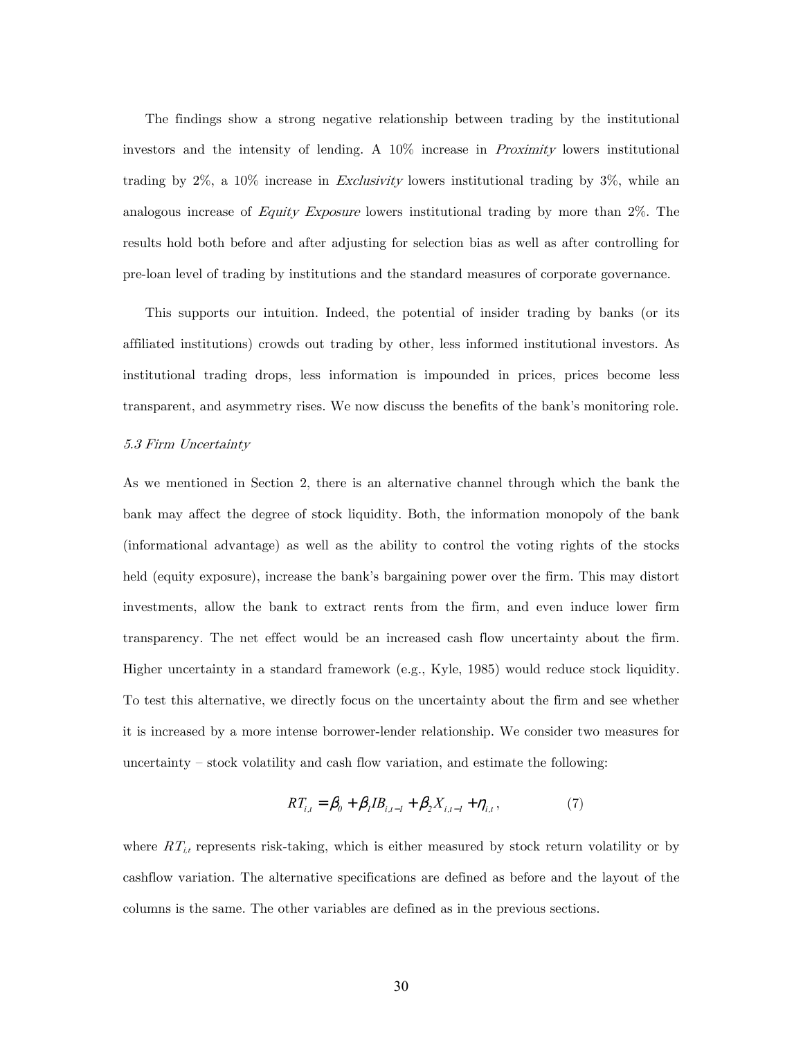The findings show a strong negative relationship between trading by the institutional investors and the intensity of lending. A 10% increase in Proximity lowers institutional trading by  $2\%$ , a  $10\%$  increase in *Exclusivity* lowers institutional trading by  $3\%$ , while an analogous increase of Equity Exposure lowers institutional trading by more than 2%. The results hold both before and after adjusting for selection bias as well as after controlling for pre-loan level of trading by institutions and the standard measures of corporate governance.

This supports our intuition. Indeed, the potential of insider trading by banks (or its affiliated institutions) crowds out trading by other, less informed institutional investors. As institutional trading drops, less information is impounded in prices, prices become less transparent, and asymmetry rises. We now discuss the benefits of the bank's monitoring role.

#### 5.3 Firm Uncertainty

As we mentioned in Section 2, there is an alternative channel through which the bank the bank may affect the degree of stock liquidity. Both, the information monopoly of the bank (informational advantage) as well as the ability to control the voting rights of the stocks held (equity exposure), increase the bank's bargaining power over the firm. This may distort investments, allow the bank to extract rents from the firm, and even induce lower firm transparency. The net effect would be an increased cash flow uncertainty about the firm. Higher uncertainty in a standard framework (e.g., Kyle, 1985) would reduce stock liquidity. To test this alternative, we directly focus on the uncertainty about the firm and see whether it is increased by a more intense borrower-lender relationship. We consider two measures for uncertainty — stock volatility and cash flow variation, and estimate the following:

$$
RT_{i,t} = \beta_0 + \beta_1 IB_{i,t-1} + \beta_2 X_{i,t-1} + \eta_{i,t},\tag{7}
$$

where  $RT_{i,t}$  represents risk-taking, which is either measured by stock return volatility or by cashflow variation. The alternative specifications are defined as before and the layout of the columns is the same. The other variables are defined as in the previous sections.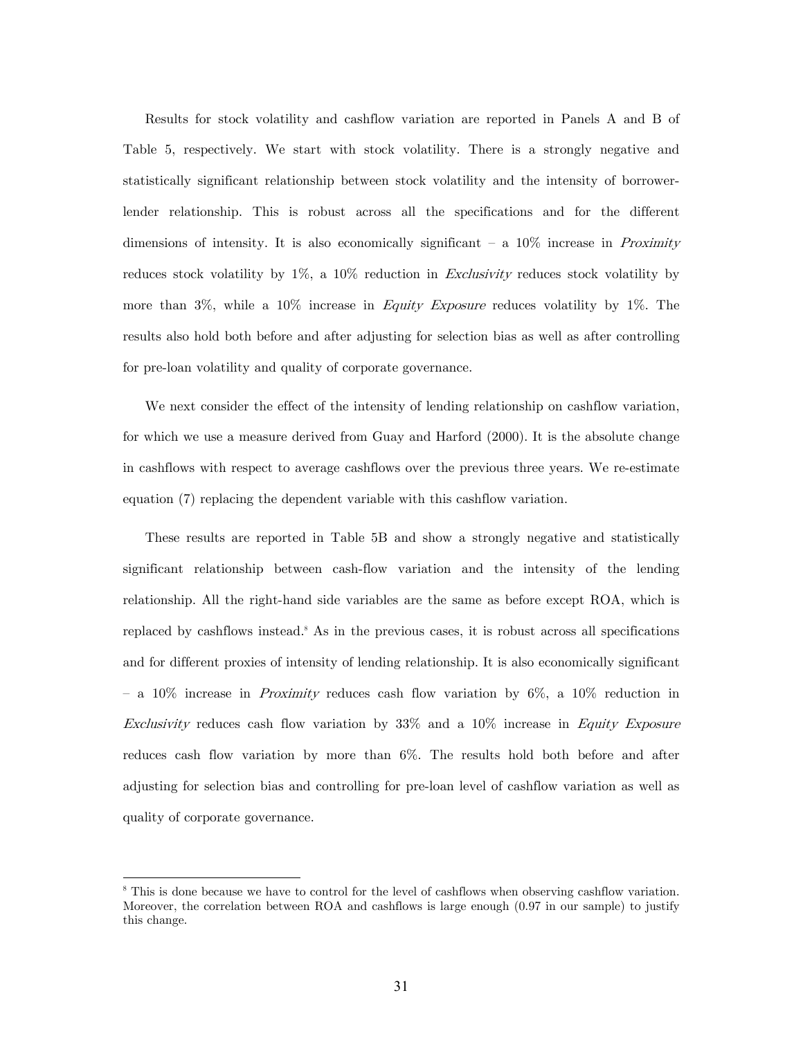Results for stock volatility and cashflow variation are reported in Panels A and B of Table 5, respectively. We start with stock volatility. There is a strongly negative and statistically significant relationship between stock volatility and the intensity of borrowerlender relationship. This is robust across all the specifications and for the different dimensions of intensity. It is also economically significant  $-$  a 10% increase in *Proximity* reduces stock volatility by  $1\%$ , a  $10\%$  reduction in *Exclusivity* reduces stock volatility by more than  $3\%$ , while a  $10\%$  increase in Equity Exposure reduces volatility by 1%. The results also hold both before and after adjusting for selection bias as well as after controlling for pre-loan volatility and quality of corporate governance.

We next consider the effect of the intensity of lending relationship on cashflow variation, for which we use a measure derived from Guay and Harford (2000). It is the absolute change in cashflows with respect to average cashflows over the previous three years. We re-estimate equation (7) replacing the dependent variable with this cashflow variation.

These results are reported in Table 5B and show a strongly negative and statistically significant relationship between cash-flow variation and the intensity of the lending relationship. All the right-hand side variables are the same as before except ROA, which is replaced by cashflows instead.<sup>8</sup> As in the previous cases, it is robust across all specifications and for different proxies of intensity of lending relationship. It is also economically significant  $-$  a 10% increase in *Proximity* reduces cash flow variation by 6%, a 10% reduction in Exclusivity reduces cash flow variation by  $33\%$  and a  $10\%$  increase in Equity Exposure reduces cash flow variation by more than 6%. The results hold both before and after adjusting for selection bias and controlling for pre-loan level of cashflow variation as well as quality of corporate governance.

-

<sup>&</sup>lt;sup>8</sup> This is done because we have to control for the level of cashflows when observing cashflow variation. Moreover, the correlation between ROA and cashflows is large enough (0.97 in our sample) to justify this change.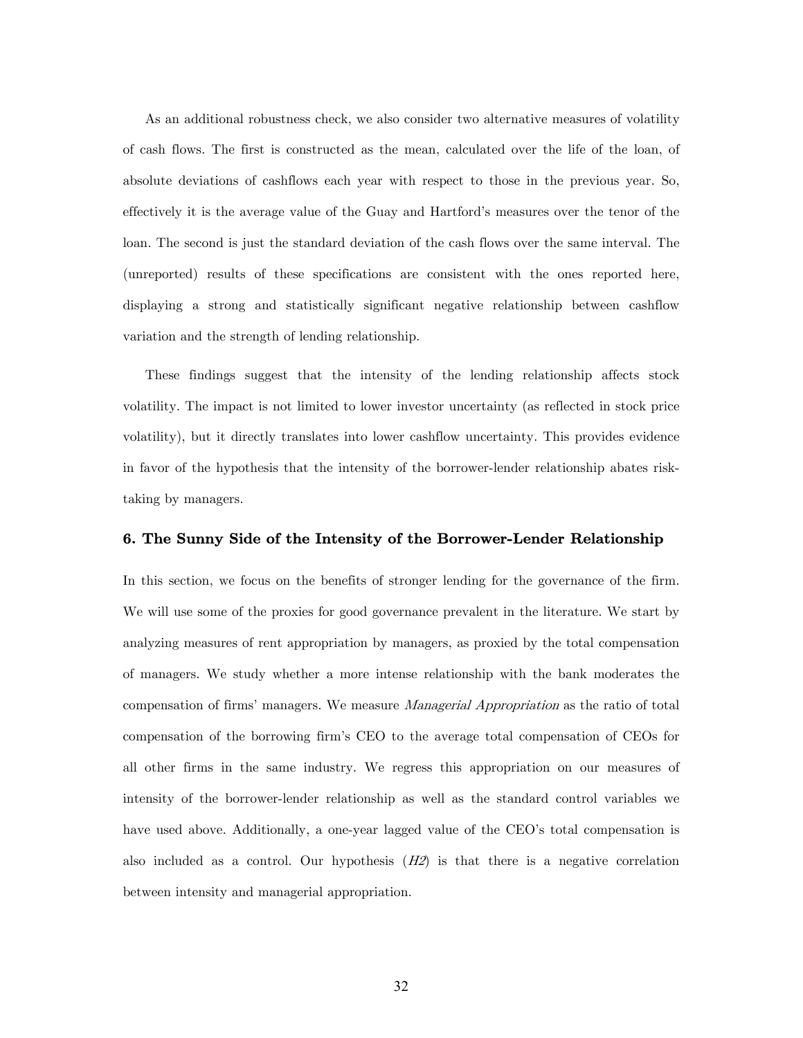As an additional robustness check, we also consider two alternative measures of volatility of cash flows. The first is constructed as the mean, calculated over the life of the loan, of absolute deviations of cashflows each year with respect to those in the previous year. So, effectively it is the average value of the Guay and Hartford's measures over the tenor of the loan. The second is just the standard deviation of the cash flows over the same interval. The (unreported) results of these specifications are consistent with the ones reported here, displaying a strong and statistically significant negative relationship between cashflow variation and the strength of lending relationship.

These findings suggest that the intensity of the lending relationship affects stock volatility. The impact is not limited to lower investor uncertainty (as reflected in stock price volatility), but it directly translates into lower cashflow uncertainty. This provides evidence in favor of the hypothesis that the intensity of the borrower-lender relationship abates risktaking by managers.

## 6. The Sunny Side of the Intensity of the Borrower-Lender Relationship

In this section, we focus on the benefits of stronger lending for the governance of the firm. We will use some of the proxies for good governance prevalent in the literature. We start by analyzing measures of rent appropriation by managers, as proxied by the total compensation of managers. We study whether a more intense relationship with the bank moderates the compensation of firms' managers. We measure *Managerial Appropriation* as the ratio of total compensation of the borrowing firm's CEO to the average total compensation of CEOs for all other firms in the same industry. We regress this appropriation on our measures of intensity of the borrower-lender relationship as well as the standard control variables we have used above. Additionally, a one-year lagged value of the CEO's total compensation is also included as a control. Our hypothesis  $(H2)$  is that there is a negative correlation between intensity and managerial appropriation.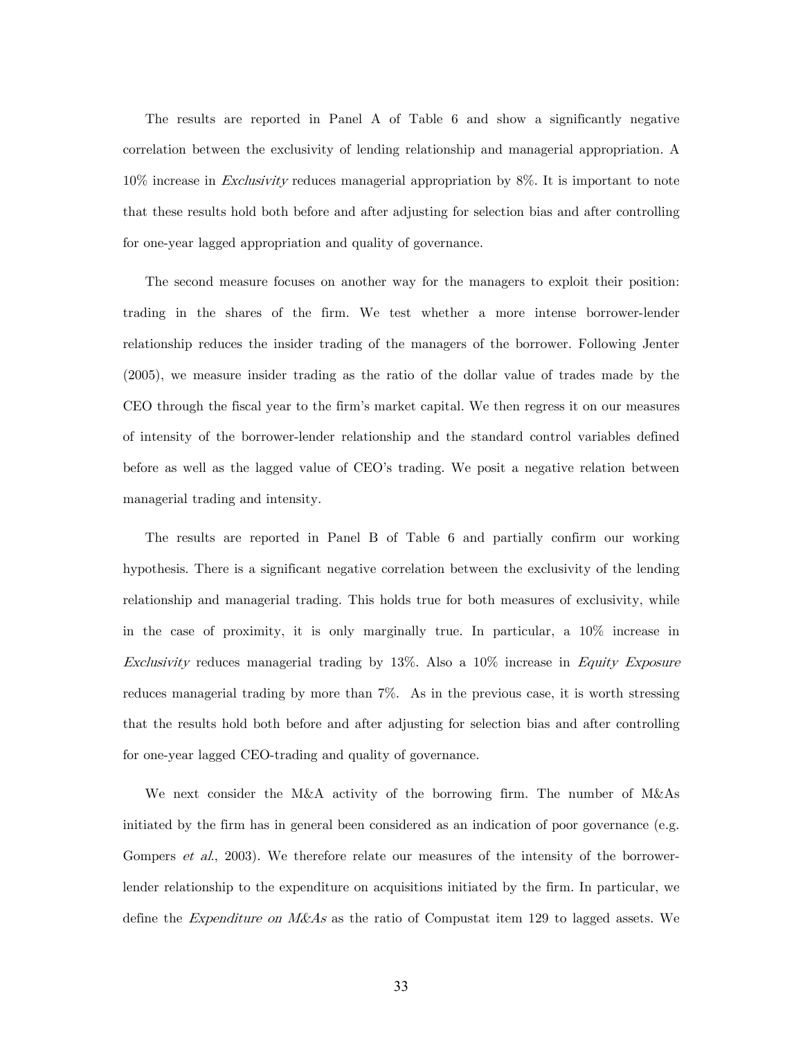The results are reported in Panel A of Table 6 and show a significantly negative correlation between the exclusivity of lending relationship and managerial appropriation. A  $10\%$  increase in *Exclusivity* reduces managerial appropriation by 8%. It is important to note that these results hold both before and after adjusting for selection bias and after controlling for one-year lagged appropriation and quality of governance.

The second measure focuses on another way for the managers to exploit their position: trading in the shares of the firm. We test whether a more intense borrower-lender relationship reduces the insider trading of the managers of the borrower. Following Jenter (2005), we measure insider trading as the ratio of the dollar value of trades made by the CEO through the fiscal year to the firm's market capital. We then regress it on our measures of intensity of the borrower-lender relationship and the standard control variables defined before as well as the lagged value of CEO's trading. We posit a negative relation between managerial trading and intensity.

The results are reported in Panel B of Table 6 and partially confirm our working hypothesis. There is a significant negative correlation between the exclusivity of the lending relationship and managerial trading. This holds true for both measures of exclusivity, while in the case of proximity, it is only marginally true. In particular, a 10% increase in Exclusivity reduces managerial trading by 13%. Also a 10% increase in Equity Exposure reduces managerial trading by more than 7%. As in the previous case, it is worth stressing that the results hold both before and after adjusting for selection bias and after controlling for one-year lagged CEO-trading and quality of governance.

We next consider the M&A activity of the borrowing firm. The number of M&As initiated by the firm has in general been considered as an indication of poor governance (e.g. Gompers *et al.*, 2003). We therefore relate our measures of the intensity of the borrowerlender relationship to the expenditure on acquisitions initiated by the firm. In particular, we define the *Expenditure on M&As* as the ratio of Compustat item 129 to lagged assets. We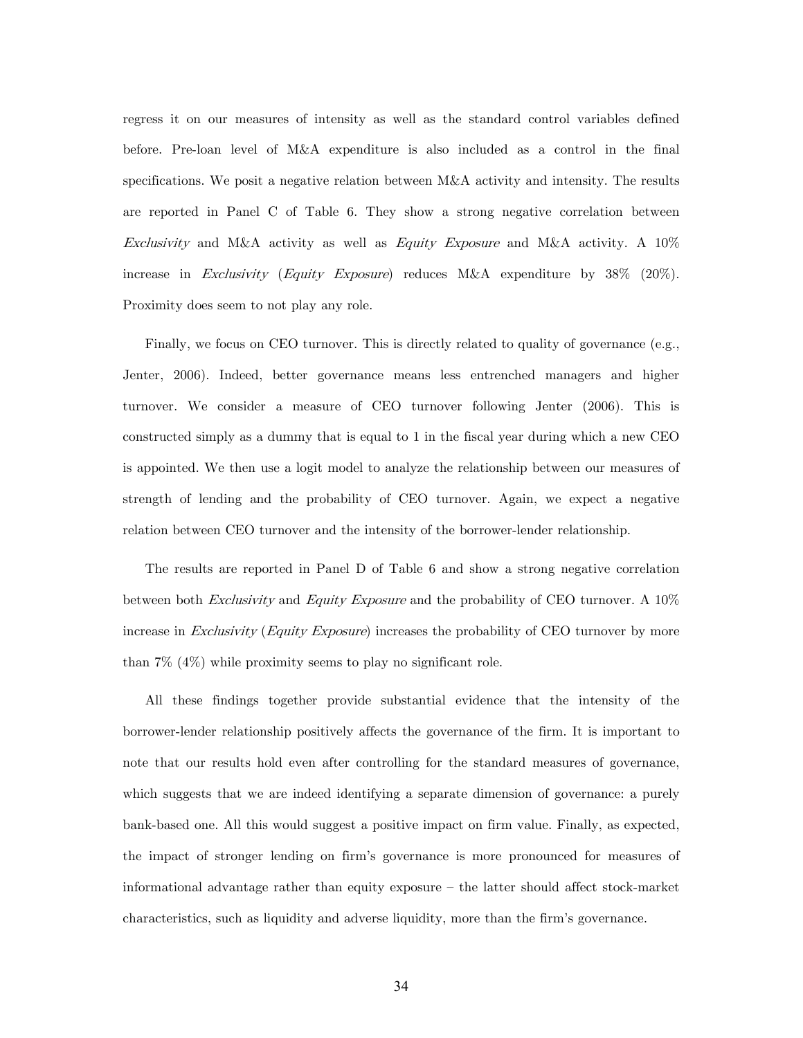regress it on our measures of intensity as well as the standard control variables defined before. Pre-loan level of M&A expenditure is also included as a control in the final specifications. We posit a negative relation between M&A activity and intensity. The results are reported in Panel C of Table 6. They show a strong negative correlation between Exclusivity and M&A activity as well as Equity Exposure and M&A activity. A 10% increase in Exclusivity (Equity Exposure) reduces M&A expenditure by 38% (20%). Proximity does seem to not play any role.

Finally, we focus on CEO turnover. This is directly related to quality of governance (e.g., Jenter, 2006). Indeed, better governance means less entrenched managers and higher turnover. We consider a measure of CEO turnover following Jenter (2006). This is constructed simply as a dummy that is equal to 1 in the fiscal year during which a new CEO is appointed. We then use a logit model to analyze the relationship between our measures of strength of lending and the probability of CEO turnover. Again, we expect a negative relation between CEO turnover and the intensity of the borrower-lender relationship.

The results are reported in Panel D of Table 6 and show a strong negative correlation between both Exclusivity and Equity Exposure and the probability of CEO turnover. A 10% increase in Exclusivity (Equity Exposure) increases the probability of CEO turnover by more than  $7\%$  (4\%) while proximity seems to play no significant role.

All these findings together provide substantial evidence that the intensity of the borrower-lender relationship positively affects the governance of the firm. It is important to note that our results hold even after controlling for the standard measures of governance, which suggests that we are indeed identifying a separate dimension of governance: a purely bank-based one. All this would suggest a positive impact on firm value. Finally, as expected, the impact of stronger lending on firm's governance is more pronounced for measures of informational advantage rather than equity exposure — the latter should affect stock-market characteristics, such as liquidity and adverse liquidity, more than the firm's governance.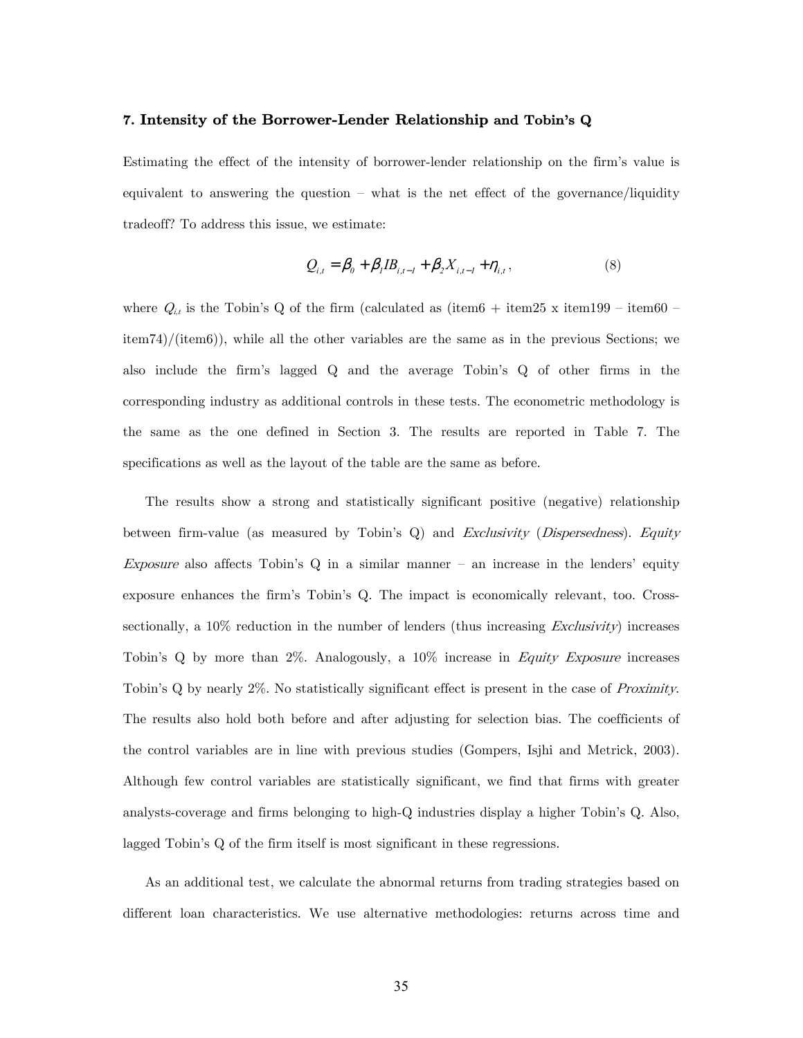## 7. Intensity of the Borrower-Lender Relationship and Tobin's Q

Estimating the effect of the intensity of borrower-lender relationship on the firm's value is equivalent to answering the question — what is the net effect of the governance/liquidity tradeoff? To address this issue, we estimate:

$$
Q_{i,t} = \beta_0 + \beta_1 IB_{i,t-1} + \beta_2 X_{i,t-1} + \eta_{i,t},
$$
\n(8)

where  $Q_{i,t}$  is the Tobin's Q of the firm (calculated as (item6 + item25 x item199 – item60 – item74)/(item6)), while all the other variables are the same as in the previous Sections; we also include the firm's lagged Q and the average Tobin's Q of other firms in the corresponding industry as additional controls in these tests. The econometric methodology is the same as the one defined in Section 3. The results are reported in Table 7. The specifications as well as the layout of the table are the same as before.

The results show a strong and statistically significant positive (negative) relationship between firm-value (as measured by Tobin's Q) and *Exclusivity (Dispersedness). Equity* Exposure also affects Tobin's  $Q$  in a similar manner – an increase in the lenders' equity exposure enhances the firm's Tobin's Q. The impact is economically relevant, too. Crosssectionally, a  $10\%$  reduction in the number of lenders (thus increasing *Exclusivity*) increases Tobin's Q by more than 2%. Analogously, a 10% increase in Equity Exposure increases Tobin's Q by nearly 2%. No statistically significant effect is present in the case of Proximity. The results also hold both before and after adjusting for selection bias. The coefficients of the control variables are in line with previous studies (Gompers, Isjhi and Metrick, 2003). Although few control variables are statistically significant, we find that firms with greater analysts-coverage and firms belonging to high-Q industries display a higher Tobin's Q. Also, lagged Tobin's Q of the firm itself is most significant in these regressions.

As an additional test, we calculate the abnormal returns from trading strategies based on different loan characteristics. We use alternative methodologies: returns across time and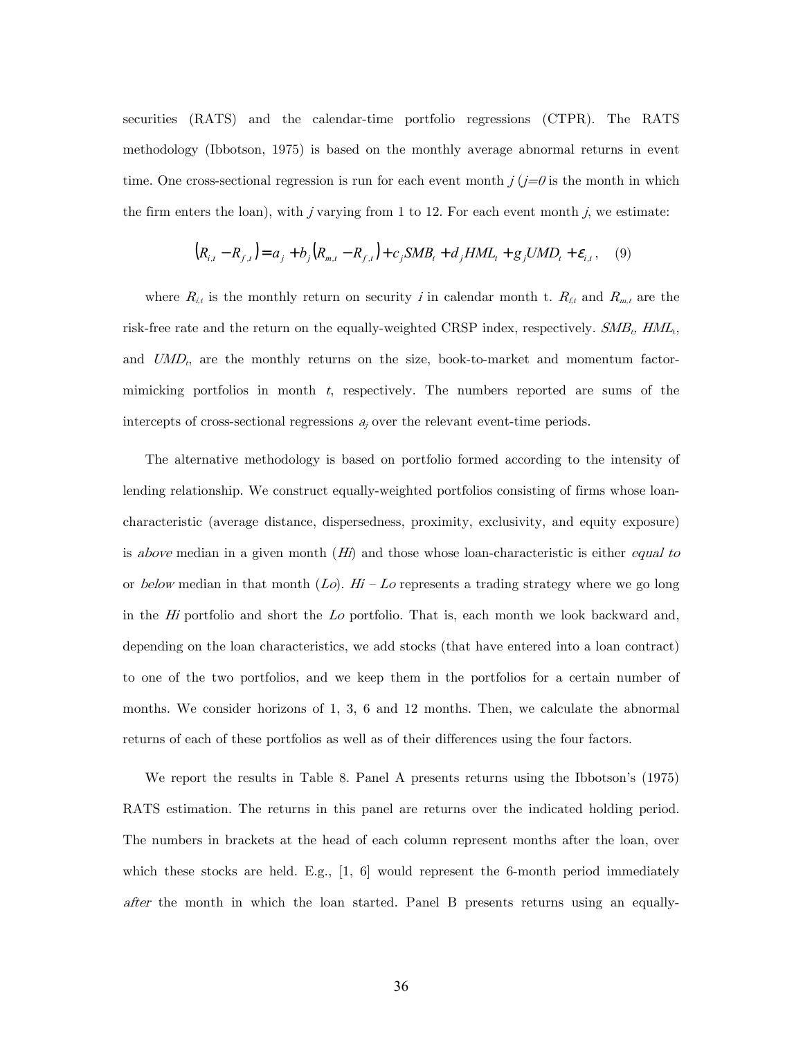securities (RATS) and the calendar-time portfolio regressions (CTPR). The RATS methodology (Ibbotson, 1975) is based on the monthly average abnormal returns in event time. One cross-sectional regression is run for each event month  $j(j=0)$  is the month in which the firm enters the loan), with  $j$  varying from 1 to 12. For each event month  $j$ , we estimate:

$$
(R_{i,t} - R_{f,t}) = a_j + b_j (R_{m,t} - R_{f,t}) + c_j SMB_t + d_j HML_t + g_j UMD_t + \varepsilon_{i,t}, \quad (9)
$$

where  $R_{i,t}$  is the monthly return on security *i* in calendar month t.  $R_{f,t}$  and  $R_{m,t}$  are the risk-free rate and the return on the equally-weighted CRSP index, respectively.  $SMB_t$ ,  $HML_t$ , and  $UMD_t$ , are the monthly returns on the size, book-to-market and momentum factormimicking portfolios in month  $t$ , respectively. The numbers reported are sums of the intercepts of cross-sectional regressions  $a_j$  over the relevant event-time periods.

The alternative methodology is based on portfolio formed according to the intensity of lending relationship. We construct equally-weighted portfolios consisting of firms whose loancharacteristic (average distance, dispersedness, proximity, exclusivity, and equity exposure) is *above* median in a given month  $(H<sub>i</sub>)$  and those whose loan-characteristic is either *equal to* or below median in that month  $(Lo)$ . Hi – Lo represents a trading strategy where we go long in the  $H_i$  portfolio and short the  $Lo$  portfolio. That is, each month we look backward and, depending on the loan characteristics, we add stocks (that have entered into a loan contract) to one of the two portfolios, and we keep them in the portfolios for a certain number of months. We consider horizons of 1, 3, 6 and 12 months. Then, we calculate the abnormal returns of each of these portfolios as well as of their differences using the four factors.

We report the results in Table 8. Panel A presents returns using the Ibbotson's (1975) RATS estimation. The returns in this panel are returns over the indicated holding period. The numbers in brackets at the head of each column represent months after the loan, over which these stocks are held. E.g.,  $[1, 6]$  would represent the 6-month period immediately after the month in which the loan started. Panel B presents returns using an equally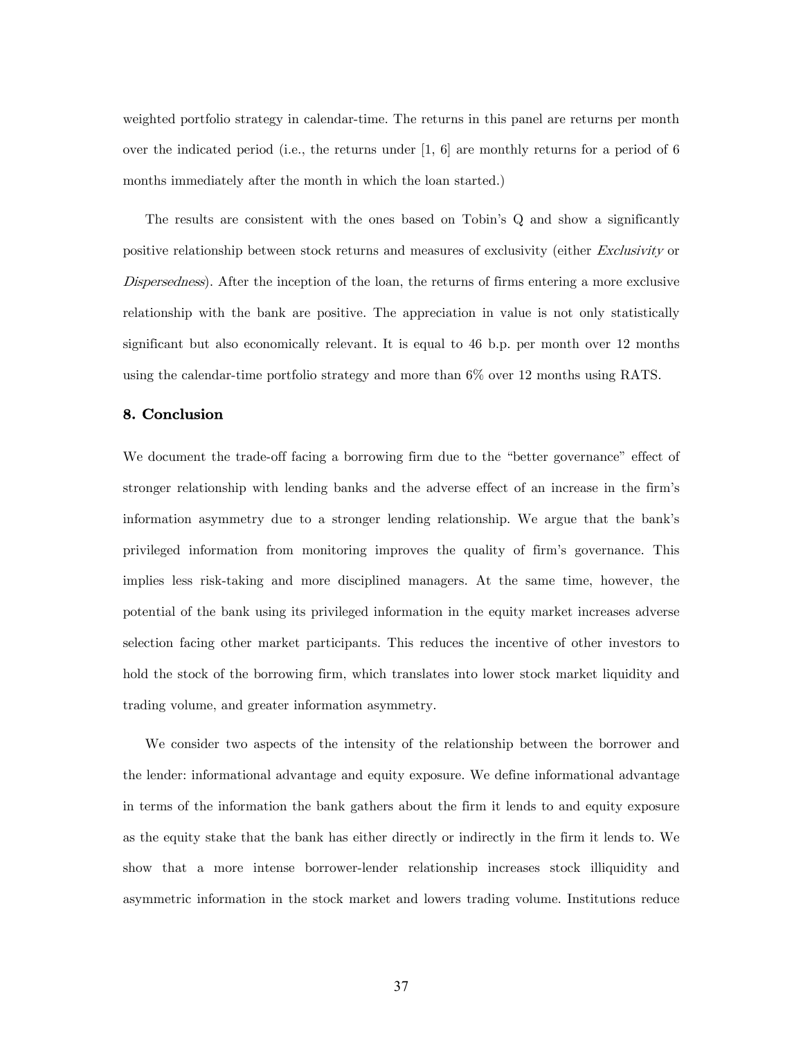weighted portfolio strategy in calendar-time. The returns in this panel are returns per month over the indicated period (i.e., the returns under [1, 6] are monthly returns for a period of 6 months immediately after the month in which the loan started.)

The results are consistent with the ones based on Tobin's Q and show a significantly positive relationship between stock returns and measures of exclusivity (either Exclusivity or Dispersedness). After the inception of the loan, the returns of firms entering a more exclusive relationship with the bank are positive. The appreciation in value is not only statistically significant but also economically relevant. It is equal to 46 b.p. per month over 12 months using the calendar-time portfolio strategy and more than 6% over 12 months using RATS.

## 8. Conclusion

We document the trade-off facing a borrowing firm due to the "better governance" effect of stronger relationship with lending banks and the adverse effect of an increase in the firm's information asymmetry due to a stronger lending relationship. We argue that the bank's privileged information from monitoring improves the quality of firm's governance. This implies less risk-taking and more disciplined managers. At the same time, however, the potential of the bank using its privileged information in the equity market increases adverse selection facing other market participants. This reduces the incentive of other investors to hold the stock of the borrowing firm, which translates into lower stock market liquidity and trading volume, and greater information asymmetry.

We consider two aspects of the intensity of the relationship between the borrower and the lender: informational advantage and equity exposure. We define informational advantage in terms of the information the bank gathers about the firm it lends to and equity exposure as the equity stake that the bank has either directly or indirectly in the firm it lends to. We show that a more intense borrower-lender relationship increases stock illiquidity and asymmetric information in the stock market and lowers trading volume. Institutions reduce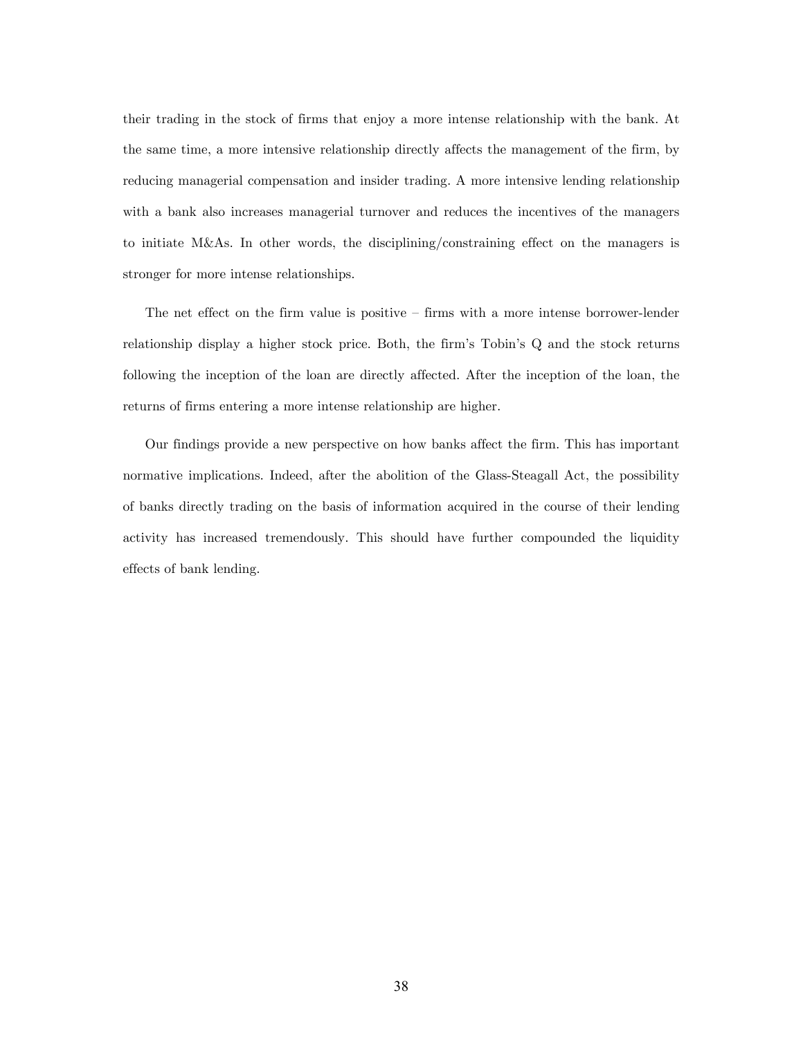their trading in the stock of firms that enjoy a more intense relationship with the bank. At the same time, a more intensive relationship directly affects the management of the firm, by reducing managerial compensation and insider trading. A more intensive lending relationship with a bank also increases managerial turnover and reduces the incentives of the managers to initiate M&As. In other words, the disciplining/constraining effect on the managers is stronger for more intense relationships.

The net effect on the firm value is positive — firms with a more intense borrower-lender relationship display a higher stock price. Both, the firm's Tobin's Q and the stock returns following the inception of the loan are directly affected. After the inception of the loan, the returns of firms entering a more intense relationship are higher.

Our findings provide a new perspective on how banks affect the firm. This has important normative implications. Indeed, after the abolition of the Glass-Steagall Act, the possibility of banks directly trading on the basis of information acquired in the course of their lending activity has increased tremendously. This should have further compounded the liquidity effects of bank lending.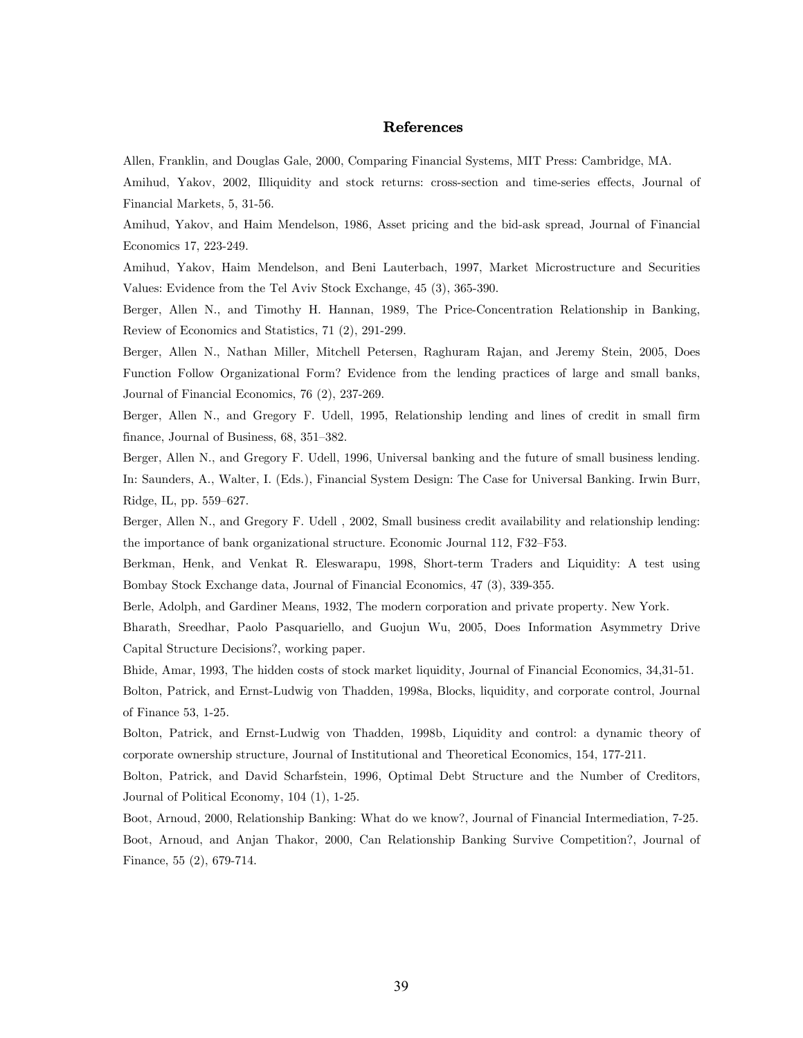# References

Allen, Franklin, and Douglas Gale, 2000, Comparing Financial Systems, MIT Press: Cambridge, MA.

Amihud, Yakov, 2002, Illiquidity and stock returns: cross-section and time-series effects, Journal of Financial Markets, 5, 31-56.

Amihud, Yakov, and Haim Mendelson, 1986, Asset pricing and the bid-ask spread, Journal of Financial Economics 17, 223-249.

Amihud, Yakov, Haim Mendelson, and Beni Lauterbach, 1997, Market Microstructure and Securities Values: Evidence from the Tel Aviv Stock Exchange, 45 (3), 365-390.

Berger, Allen N., and Timothy H. Hannan, 1989, The Price-Concentration Relationship in Banking, Review of Economics and Statistics, 71 (2), 291-299.

Berger, Allen N., Nathan Miller, Mitchell Petersen, Raghuram Rajan, and Jeremy Stein, 2005, Does Function Follow Organizational Form? Evidence from the lending practices of large and small banks, Journal of Financial Economics, 76 (2), 237-269.

Berger, Allen N., and Gregory F. Udell, 1995, Relationship lending and lines of credit in small firm finance, Journal of Business, 68, 351—382.

Berger, Allen N., and Gregory F. Udell, 1996, Universal banking and the future of small business lending. In: Saunders, A., Walter, I. (Eds.), Financial System Design: The Case for Universal Banking. Irwin Burr, Ridge, IL, pp. 559—627.

Berger, Allen N., and Gregory F. Udell , 2002, Small business credit availability and relationship lending: the importance of bank organizational structure. Economic Journal 112, F32—F53.

Berkman, Henk, and Venkat R. Eleswarapu, 1998, Short-term Traders and Liquidity: A test using Bombay Stock Exchange data, Journal of Financial Economics, 47 (3), 339-355.

Berle, Adolph, and Gardiner Means, 1932, The modern corporation and private property. New York.

Bharath, Sreedhar, Paolo Pasquariello, and Guojun Wu, 2005, Does Information Asymmetry Drive Capital Structure Decisions?, working paper.

Bhide, Amar, 1993, The hidden costs of stock market liquidity, Journal of Financial Economics, 34,31-51.

Bolton, Patrick, and Ernst-Ludwig von Thadden, 1998a, Blocks, liquidity, and corporate control, Journal of Finance 53, 1-25.

Bolton, Patrick, and Ernst-Ludwig von Thadden, 1998b, Liquidity and control: a dynamic theory of corporate ownership structure, Journal of Institutional and Theoretical Economics, 154, 177-211.

Bolton, Patrick, and David Scharfstein, 1996, Optimal Debt Structure and the Number of Creditors, Journal of Political Economy, 104 (1), 1-25.

Boot, Arnoud, 2000, Relationship Banking: What do we know?, Journal of Financial Intermediation, 7-25. Boot, Arnoud, and Anjan Thakor, 2000, Can Relationship Banking Survive Competition?, Journal of Finance, 55 (2), 679-714.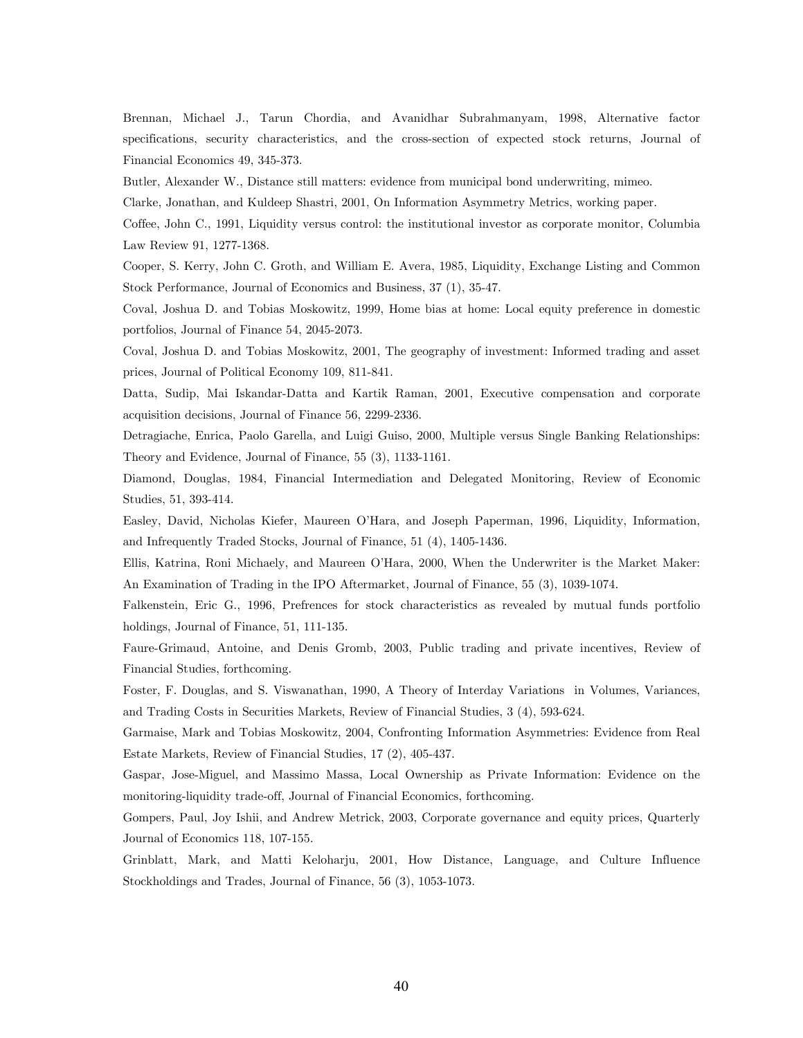Brennan, Michael J., Tarun Chordia, and Avanidhar Subrahmanyam, 1998, Alternative factor specifications, security characteristics, and the cross-section of expected stock returns, Journal of Financial Economics 49, 345-373.

Butler, Alexander W., Distance still matters: evidence from municipal bond underwriting, mimeo.

Clarke, Jonathan, and Kuldeep Shastri, 2001, On Information Asymmetry Metrics, working paper.

Coffee, John C., 1991, Liquidity versus control: the institutional investor as corporate monitor, Columbia Law Review 91, 1277-1368.

Cooper, S. Kerry, John C. Groth, and William E. Avera, 1985, Liquidity, Exchange Listing and Common Stock Performance, Journal of Economics and Business, 37 (1), 35-47.

Coval, Joshua D. and Tobias Moskowitz, 1999, Home bias at home: Local equity preference in domestic portfolios, Journal of Finance 54, 2045-2073.

Coval, Joshua D. and Tobias Moskowitz, 2001, The geography of investment: Informed trading and asset prices, Journal of Political Economy 109, 811-841.

Datta, Sudip, Mai Iskandar-Datta and Kartik Raman, 2001, Executive compensation and corporate acquisition decisions, Journal of Finance 56, 2299-2336.

Detragiache, Enrica, Paolo Garella, and Luigi Guiso, 2000, Multiple versus Single Banking Relationships: Theory and Evidence, Journal of Finance, 55 (3), 1133-1161.

Diamond, Douglas, 1984, Financial Intermediation and Delegated Monitoring, Review of Economic Studies, 51, 393-414.

Easley, David, Nicholas Kiefer, Maureen O'Hara, and Joseph Paperman, 1996, Liquidity, Information, and Infrequently Traded Stocks, Journal of Finance, 51 (4), 1405-1436.

Ellis, Katrina, Roni Michaely, and Maureen O'Hara, 2000, When the Underwriter is the Market Maker: An Examination of Trading in the IPO Aftermarket, Journal of Finance, 55 (3), 1039-1074.

Falkenstein, Eric G., 1996, Prefrences for stock characteristics as revealed by mutual funds portfolio holdings, Journal of Finance, 51, 111-135.

Faure-Grimaud, Antoine, and Denis Gromb, 2003, Public trading and private incentives, Review of Financial Studies, forthcoming.

Foster, F. Douglas, and S. Viswanathan, 1990, A Theory of Interday Variations in Volumes, Variances, and Trading Costs in Securities Markets, Review of Financial Studies, 3 (4), 593-624.

Garmaise, Mark and Tobias Moskowitz, 2004, Confronting Information Asymmetries: Evidence from Real Estate Markets, Review of Financial Studies, 17 (2), 405-437.

Gaspar, Jose-Miguel, and Massimo Massa, Local Ownership as Private Information: Evidence on the monitoring-liquidity trade-off, Journal of Financial Economics, forthcoming.

Gompers, Paul, Joy Ishii, and Andrew Metrick, 2003, Corporate governance and equity prices, Quarterly Journal of Economics 118, 107-155.

Grinblatt, Mark, and Matti Keloharju, 2001, How Distance, Language, and Culture Influence Stockholdings and Trades, Journal of Finance, 56 (3), 1053-1073.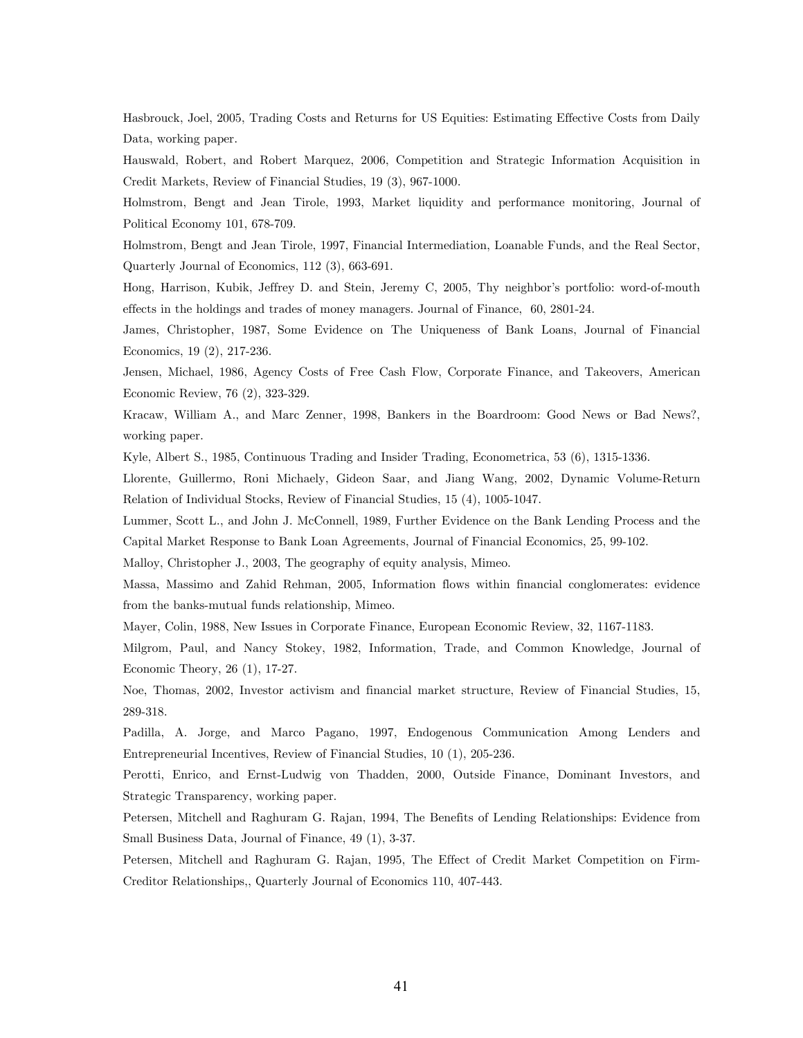Hasbrouck, Joel, 2005, Trading Costs and Returns for US Equities: Estimating Effective Costs from Daily Data, working paper.

Hauswald, Robert, and Robert Marquez, 2006, Competition and Strategic Information Acquisition in Credit Markets, Review of Financial Studies, 19 (3), 967-1000.

Holmstrom, Bengt and Jean Tirole, 1993, Market liquidity and performance monitoring, Journal of Political Economy 101, 678-709.

Holmstrom, Bengt and Jean Tirole, 1997, Financial Intermediation, Loanable Funds, and the Real Sector, Quarterly Journal of Economics, 112 (3), 663-691.

Hong, Harrison, Kubik, Jeffrey D. and Stein, Jeremy C, 2005, Thy neighbor's portfolio: word-of-mouth effects in the holdings and trades of money managers. Journal of Finance, 60, 2801-24.

James, Christopher, 1987, Some Evidence on The Uniqueness of Bank Loans, Journal of Financial Economics, 19 (2), 217-236.

Jensen, Michael, 1986, Agency Costs of Free Cash Flow, Corporate Finance, and Takeovers, American Economic Review, 76 (2), 323-329.

Kracaw, William A., and Marc Zenner, 1998, Bankers in the Boardroom: Good News or Bad News?, working paper.

Kyle, Albert S., 1985, Continuous Trading and Insider Trading, Econometrica, 53 (6), 1315-1336.

Llorente, Guillermo, Roni Michaely, Gideon Saar, and Jiang Wang, 2002, Dynamic Volume-Return Relation of Individual Stocks, Review of Financial Studies, 15 (4), 1005-1047.

Lummer, Scott L., and John J. McConnell, 1989, Further Evidence on the Bank Lending Process and the Capital Market Response to Bank Loan Agreements, Journal of Financial Economics, 25, 99-102.

Malloy, Christopher J., 2003, The geography of equity analysis, Mimeo.

Massa, Massimo and Zahid Rehman, 2005, Information flows within financial conglomerates: evidence from the banks-mutual funds relationship, Mimeo.

Mayer, Colin, 1988, New Issues in Corporate Finance, European Economic Review, 32, 1167-1183.

Milgrom, Paul, and Nancy Stokey, 1982, Information, Trade, and Common Knowledge, Journal of Economic Theory, 26 (1), 17-27.

Noe, Thomas, 2002, Investor activism and financial market structure, Review of Financial Studies, 15, 289-318.

Padilla, A. Jorge, and Marco Pagano, 1997, Endogenous Communication Among Lenders and Entrepreneurial Incentives, Review of Financial Studies, 10 (1), 205-236.

Perotti, Enrico, and Ernst-Ludwig von Thadden, 2000, Outside Finance, Dominant Investors, and Strategic Transparency, working paper.

Petersen, Mitchell and Raghuram G. Rajan, 1994, The Benefits of Lending Relationships: Evidence from Small Business Data, Journal of Finance, 49 (1), 3-37.

Petersen, Mitchell and Raghuram G. Rajan, 1995, The Effect of Credit Market Competition on Firm-Creditor Relationships,, Quarterly Journal of Economics 110, 407-443.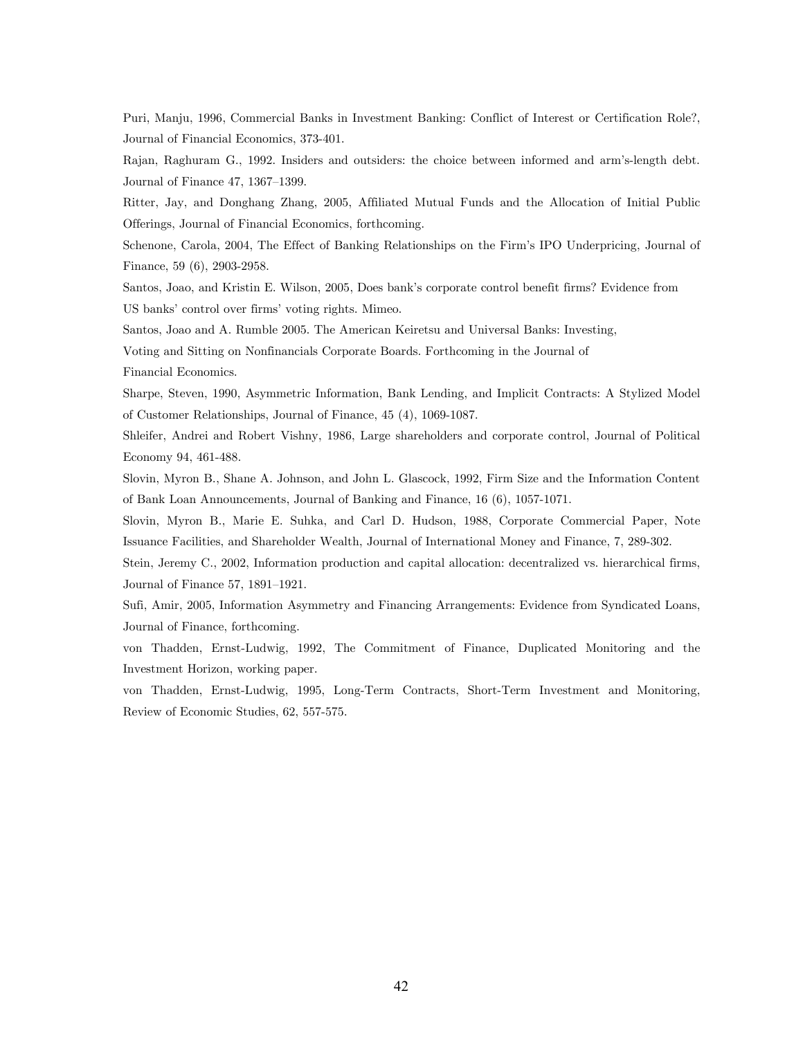Puri, Manju, 1996, Commercial Banks in Investment Banking: Conflict of Interest or Certification Role?, Journal of Financial Economics, 373-401.

Rajan, Raghuram G., 1992. Insiders and outsiders: the choice between informed and arm's-length debt. Journal of Finance 47, 1367—1399.

Ritter, Jay, and Donghang Zhang, 2005, Affiliated Mutual Funds and the Allocation of Initial Public Offerings, Journal of Financial Economics, forthcoming.

Schenone, Carola, 2004, The Effect of Banking Relationships on the Firm's IPO Underpricing, Journal of Finance, 59 (6), 2903-2958.

Santos, Joao, and Kristin E. Wilson, 2005, Does bank's corporate control benefit firms? Evidence from US banks' control over firms' voting rights. Mimeo.

Santos, Joao and A. Rumble 2005. The American Keiretsu and Universal Banks: Investing,

Voting and Sitting on Nonfinancials Corporate Boards. Forthcoming in the Journal of

Financial Economics.

Sharpe, Steven, 1990, Asymmetric Information, Bank Lending, and Implicit Contracts: A Stylized Model of Customer Relationships, Journal of Finance, 45 (4), 1069-1087.

Shleifer, Andrei and Robert Vishny, 1986, Large shareholders and corporate control, Journal of Political Economy 94, 461-488.

Slovin, Myron B., Shane A. Johnson, and John L. Glascock, 1992, Firm Size and the Information Content of Bank Loan Announcements, Journal of Banking and Finance, 16 (6), 1057-1071.

Slovin, Myron B., Marie E. Suhka, and Carl D. Hudson, 1988, Corporate Commercial Paper, Note Issuance Facilities, and Shareholder Wealth, Journal of International Money and Finance, 7, 289-302.

Stein, Jeremy C., 2002, Information production and capital allocation: decentralized vs. hierarchical firms, Journal of Finance 57, 1891—1921.

Sufi, Amir, 2005, Information Asymmetry and Financing Arrangements: Evidence from Syndicated Loans, Journal of Finance, forthcoming.

von Thadden, Ernst-Ludwig, 1992, The Commitment of Finance, Duplicated Monitoring and the Investment Horizon, working paper.

von Thadden, Ernst-Ludwig, 1995, Long-Term Contracts, Short-Term Investment and Monitoring, Review of Economic Studies, 62, 557-575.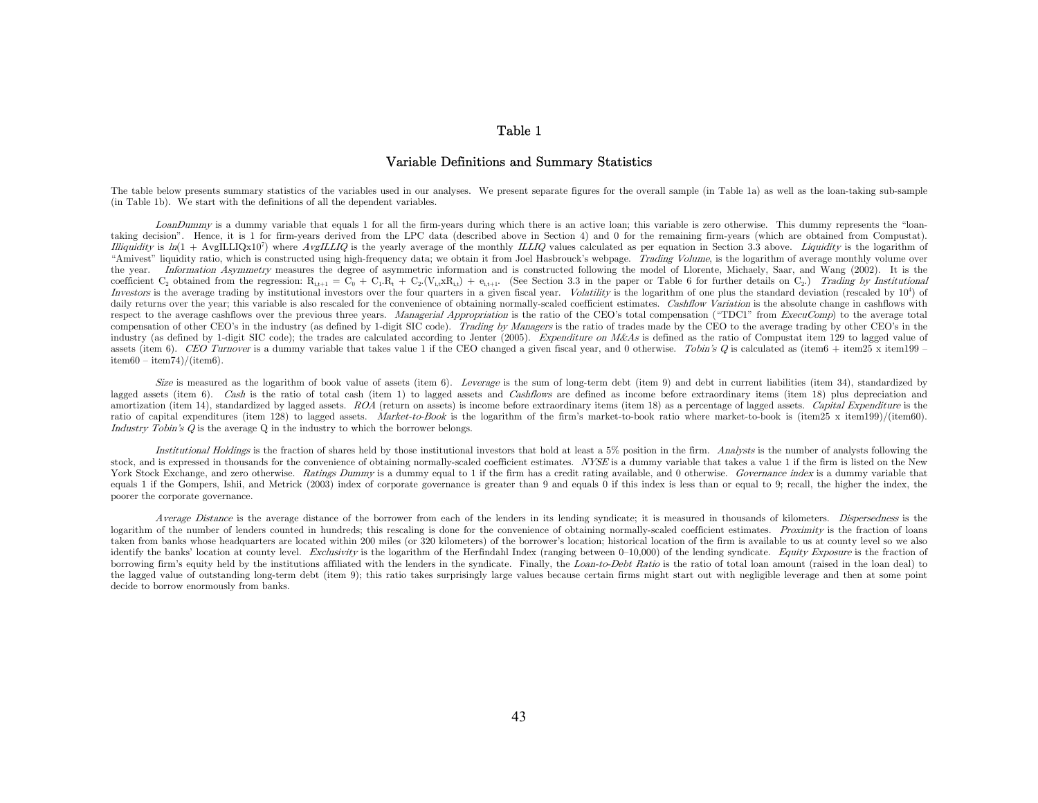#### Table 1

#### Variable Definitions and Summary Statistics

The table below presents summary statistics of the variables used in our analyses. We present separate figures for the overall sample (in Table 1a) as well as the loan-taking sub-sample (in Table 1b). We start with the definitions of all the dependent variables.

LoanDummy is a dummy variable that equals 1 for all the firm-years during which there is an active loan; this variable is zero otherwise. This dummy represents the "loantaking decision". Hence, it is 1 for firm-years derived from the LPC data (described above in Section 4) and 0 for the remaining firm-years (which are obtained from Compustat). Illiquidity is  $ln(1 + ArgILLIQx10^7)$  where  $AvgILLIQ$  is the yearly average of the monthly ILLIQ values calculated as per equation in Section 3.3 above. Liquidity is the logarithm of "Amivest" liquidity ratio, which is constructed using high-frequency data; we obtain it from Joel Hasbrouck's webpage. Trading Volume, is the logarithm of average monthly volume over the year. Information Asymmetry measures the degree of asymmetric information and is constructed following the model of Llorente, Michaely, Saar, and Wang (2002). It is the coefficient C<sub>2</sub> obtained from the regression:  $R_{i,t+1} = C_0 + C_1R_t + C_2(V_{i,t}xR_{i,t}) + e_{i,t+1}$ . (See Section 3.3 in the paper or Table 6 for further details on C<sub>2</sub>.) Trading by Institutional Investors is the average trading by institutional investors over the four quarters in a given fiscal year. Volatility is the logarithm of one plus the standard deviation (rescaled by 10<sup>4</sup>) of daily returns over the year; this variable is also rescaled for the convenience of obtaining normally-scaled coefficient estimates. Cashflow Variation is the absolute change in cashflows with respect to the average cashflows over the previous three years. Managerial Appropriation is the ratio of the CEO's total compensation ("TDC1" from ExecuComp) to the average total compensation of other CEO's in the industry (as defined by 1-digit SIC code). Trading by Managers is the ratio of trades made by the CEO to the average trading by other CEO's in the industry (as defined by 1-digit SIC code); the trades are calculated according to Jenter (2005). Expenditure on M&As is defined as the ratio of Compustat item 129 to lagged value of assets (item 6). CEO Turnover is a dummy variable that takes value 1 if the CEO changed a given fiscal year, and 0 otherwise. Tobin's Q is calculated as (item6 + item25 x item199  $item60 - item74)/(item6)$ .

Size is measured as the logarithm of book value of assets (item 6). Leverage is the sum of long-term debt (item 9) and debt in current liabilities (item 34), standardized by lagged assets (item 6). Cash is the ratio of total cash (item 1) to lagged assets and Cashflows are defined as income before extraordinary items (item 18) plus depreciation and amortization (item 14), standardized by lagged assets. ROA (return on assets) is income before extraordinary items (item 18) as a percentage of lagged assets. Capital Expenditure is the ratio of capital expenditures (item 128) to lagged assets. Market-to-Book is the logarithm of the firm's market-to-book ratio where market-to-book is (item25 x item199)/(item60). Industry Tobin's Q is the average Q in the industry to which the borrower belongs.

Institutional Holdings is the fraction of shares held by those institutional investors that hold at least a 5% position in the firm. Analysts is the number of analysts following the stock, and is expressed in thousands for the convenience of obtaining normally-scaled coefficient estimates. NYSE is a dummy variable that takes a value 1 if the firm is listed on the New York Stock Exchange, and zero otherwise. Ratings Dummy is a dummy equal to 1 if the firm has a credit rating available, and 0 otherwise. Governance index is a dummy variable that equals 1 if the Gompers, Ishii, and Metrick (2003) index of corporate governance is greater than 9 and equals 0 if this index is less than or equal to 9; recall, the higher the index, the poorer the corporate governance.

Average Distance is the average distance of the borrower from each of the lenders in its lending syndicate; it is measured in thousands of kilometers. Dispersedness is the logarithm of the number of lenders counted in hundreds; this rescaling is done for the convenience of obtaining normally-scaled coefficient estimates. Proximity is the fraction of loans taken from banks whose headquarters are located within 200 miles (or 320 kilometers) of the borrower's location; historical location of the firm is available to us at county level so we also identify the banks' location at county level. Exclusivity is the logarithm of the Herfindahl Index (ranging between  $0-10,000$ ) of the lending syndicate. Equity Exposure is the fraction of borrowing firm's equity held by the institutions affiliated with the lenders in the syndicate. Finally, the Loan-to-Debt Ratio is the ratio of total loan amount (raised in the loan deal) to the lagged value of outstanding long-term debt (item 9); this ratio takes surprisingly large values because certain firms might start out with negligible leverage and then at some point decide to borrow enormously from banks.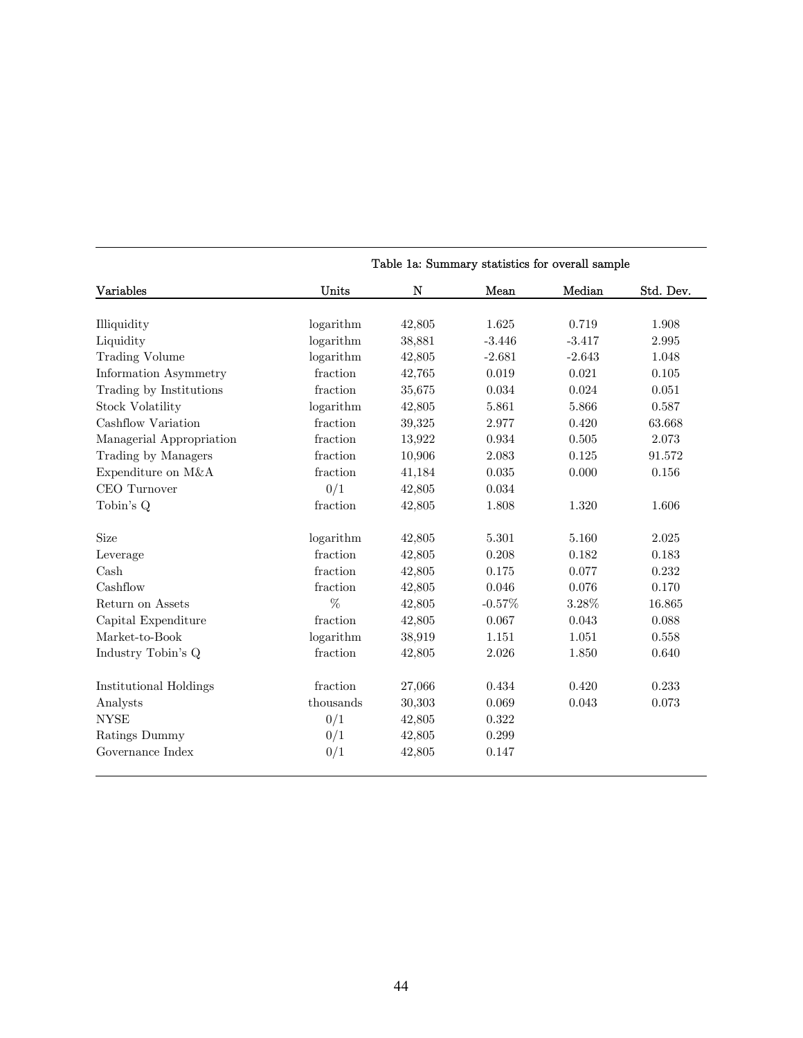| Variables                | Units     | N      | Mean     | Median   | Std. Dev. |
|--------------------------|-----------|--------|----------|----------|-----------|
|                          |           |        |          |          |           |
| Illiquidity              | logarithm | 42,805 | 1.625    | 0.719    | 1.908     |
| Liquidity                | logarithm | 38,881 | $-3.446$ | $-3.417$ | 2.995     |
| <b>Trading Volume</b>    | logarithm | 42,805 | $-2.681$ | $-2.643$ | 1.048     |
| Information Asymmetry    | fraction  | 42,765 | 0.019    | 0.021    | 0.105     |
| Trading by Institutions  | fraction  | 35,675 | 0.034    | 0.024    | 0.051     |
| <b>Stock Volatility</b>  | logarithm | 42,805 | 5.861    | 5.866    | 0.587     |
| Cashflow Variation       | fraction  | 39,325 | 2.977    | 0.420    | 63.668    |
| Managerial Appropriation | fraction  | 13,922 | 0.934    | 0.505    | 2.073     |
| Trading by Managers      | fraction  | 10,906 | 2.083    | 0.125    | 91.572    |
| Expenditure on M&A       | fraction  | 41,184 | 0.035    | 0.000    | 0.156     |
| CEO Turnover             | 0/1       | 42,805 | 0.034    |          |           |
| Tobin's Q                | fraction  | 42,805 | 1.808    | 1.320    | 1.606     |
| Size                     | logarithm | 42,805 | 5.301    | 5.160    | 2.025     |
| Leverage                 | fraction  | 42,805 | 0.208    | 0.182    | 0.183     |
| Cash                     | fraction  | 42,805 | 0.175    | 0.077    | 0.232     |
| Cashflow                 | fraction  | 42,805 | 0.046    | 0.076    | 0.170     |
| Return on Assets         | %         | 42,805 | $-0.57%$ | $3.28\%$ | 16.865    |
| Capital Expenditure      | fraction  | 42,805 | 0.067    | 0.043    | 0.088     |
| Market-to-Book           | logarithm | 38,919 | 1.151    | 1.051    | 0.558     |
| Industry Tobin's Q       | fraction  | 42,805 | 2.026    | 1.850    | 0.640     |
| Institutional Holdings   | fraction  | 27,066 | 0.434    | 0.420    | 0.233     |
| Analysts                 | thousands | 30,303 | 0.069    | 0.043    | 0.073     |
| <b>NYSE</b>              | 0/1       | 42,805 | 0.322    |          |           |
| Ratings Dummy            | 0/1       | 42,805 | 0.299    |          |           |
| Governance Index         | 0/1       | 42,805 | 0.147    |          |           |

Table 1a: Summary statistics for overall sample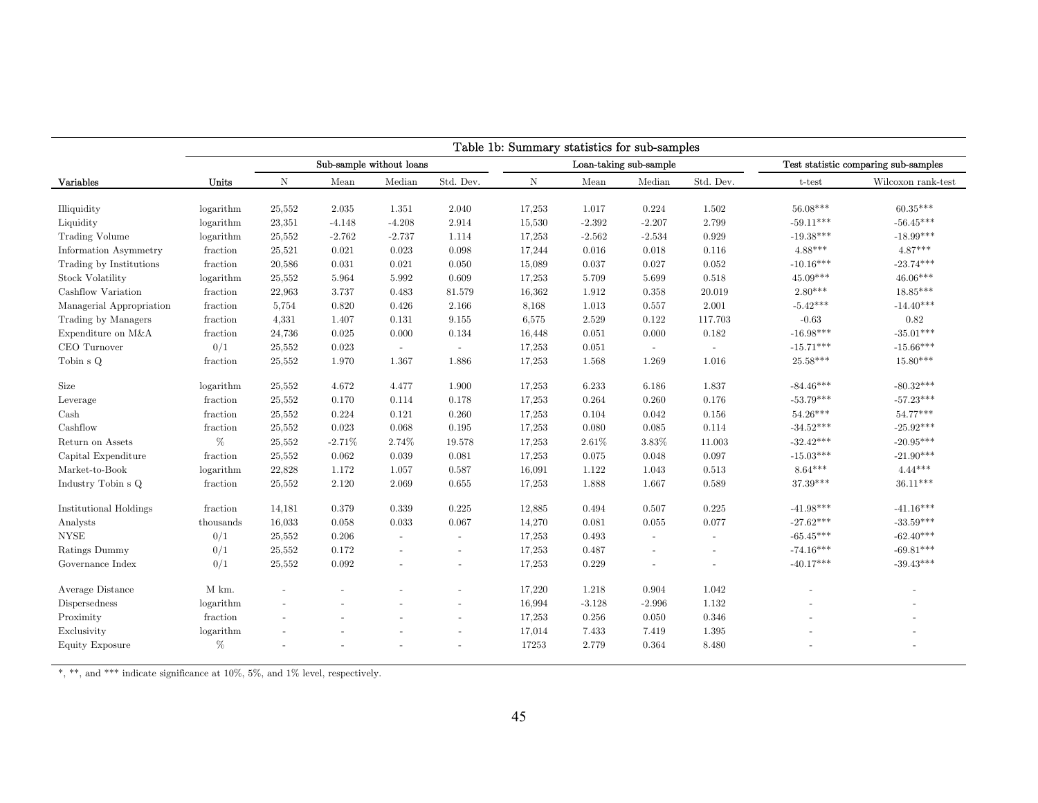|                               | Table 1b: Summary statistics for sub-samples |                          |          |                          |                          |             |          |                        |                          |                                             |                                      |  |
|-------------------------------|----------------------------------------------|--------------------------|----------|--------------------------|--------------------------|-------------|----------|------------------------|--------------------------|---------------------------------------------|--------------------------------------|--|
|                               |                                              |                          |          | Sub-sample without loans |                          |             |          | Loan-taking sub-sample |                          |                                             | Test statistic comparing sub-samples |  |
| Variables                     | Units                                        | Ν                        | Mean     | Median                   | Std. Dev.                | $\mathbf N$ | Mean     | Median                 | Std. Dev.                | t-test                                      | Wilcoxon rank-test                   |  |
| Illiquidity                   | logarithm                                    | 25,552                   | 2.035    | 1.351                    | 2.040                    | 17,253      | 1.017    | 0.224                  | 1.502                    | $56.08***$                                  | $60.35***$                           |  |
| Liquidity                     | logarithm                                    | 23,351                   | $-4.148$ | $-4.208$                 | 2.914                    | 15,530      | $-2.392$ | $-2.207$               | 2.799                    | $-59.11***$                                 | $-56.45***$                          |  |
| <b>Trading Volume</b>         | logarithm                                    | 25,552                   | $-2.762$ | $-2.737$                 | 1.114                    | 17,253      | $-2.562$ | $-2.534$               | 0.929                    | $\textbf{ -19.38}^{\textbf{\#}\textbf{**}}$ | $-18.99***$                          |  |
| Information Asymmetry         | fraction                                     | 25,521                   | 0.021    | 0.023                    | 0.098                    | 17,244      | 0.016    | 0.018                  | 0.116                    | $4.88***$                                   | $4.87***$                            |  |
| Trading by Institutions       | fraction                                     | 20,586                   | 0.031    | 0.021                    | 0.050                    | 15,089      | 0.037    | 0.027                  | 0.052                    | $-10.16***$                                 | $-23.74***$                          |  |
| <b>Stock Volatility</b>       | logarithm                                    | 25,552                   | 5.964    | 5.992                    | 0.609                    | 17,253      | 5.709    | 5.699                  | 0.518                    | $45.09***$                                  | $46.06***$                           |  |
| Cashflow Variation            | fraction                                     | 22,963                   | 3.737    | 0.483                    | 81.579                   | 16,362      | 1.912    | 0.358                  | 20.019                   | $2.80***$                                   | $18.85***$                           |  |
| Managerial Appropriation      | fraction                                     | 5,754                    | 0.820    | 0.426                    | 2.166                    | 8,168       | 1.013    | 0.557                  | 2.001                    | $-5.42***$                                  | $-14.40***$                          |  |
| Trading by Managers           | fraction                                     | 4,331                    | 1.407    | 0.131                    | 9.155                    | 6,575       | 2.529    | 0.122                  | 117.703                  | $-0.63$                                     | 0.82                                 |  |
| Expenditure on M&A            | fraction                                     | 24,736                   | 0.025    | 0.000                    | 0.134                    | 16,448      | 0.051    | 0.000                  | 0.182                    | $-16.98***$                                 | $-35.01***$                          |  |
| CEO Turnover                  | 0/1                                          | 25,552                   | 0.023    | $\sim$                   | $\sim$                   | 17,253      | 0.051    | $\sim$                 | $\blacksquare$           | $-15.71***$                                 | $-15.66***$                          |  |
| Tobin s Q                     | fraction                                     | 25,552                   | 1.970    | 1.367                    | 1.886                    | 17,253      | 1.568    | 1.269                  | 1.016                    | $25.58***$                                  | $15.80***$                           |  |
| Size                          | logarithm                                    | 25,552                   | 4.672    | 4.477                    | 1.900                    | 17,253      | 6.233    | 6.186                  | 1.837                    | $-84.46***$                                 | $-80.32***$                          |  |
| Leverage                      | fraction                                     | 25,552                   | 0.170    | 0.114                    | 0.178                    | 17,253      | 0.264    | 0.260                  | 0.176                    | $-53.79***$                                 | $-57.23***$                          |  |
| Cash                          | fraction                                     | 25,552                   | 0.224    | 0.121                    | 0.260                    | 17,253      | 0.104    | 0.042                  | 0.156                    | $54.26***$                                  | $54.77***$                           |  |
| Cashflow                      | fraction                                     | 25,552                   | 0.023    | 0.068                    | 0.195                    | 17,253      | 0.080    | 0.085                  | 0.114                    | $-34.52***$                                 | $-25.92***$                          |  |
| Return on Assets              | $\%$                                         | 25,552                   | $-2.71%$ | 2.74%                    | 19.578                   | 17,253      | 2.61%    | 3.83%                  | 11.003                   | $-32.42***$                                 | $-20.95***$                          |  |
| Capital Expenditure           | fraction                                     | 25,552                   | 0.062    | 0.039                    | 0.081                    | 17,253      | 0.075    | 0.048                  | 0.097                    | $-15.03***$                                 | $-21.90***$                          |  |
| Market-to-Book                | logarithm                                    | 22,828                   | 1.172    | 1.057                    | 0.587                    | 16,091      | 1.122    | 1.043                  | 0.513                    | $8.64***$                                   | $4.44***$                            |  |
| Industry Tobin s Q            | fraction                                     | 25,552                   | 2.120    | 2.069                    | 0.655                    | 17,253      | 1.888    | 1.667                  | 0.589                    | 37.39***                                    | $36.11***$                           |  |
| <b>Institutional Holdings</b> | fraction                                     | 14,181                   | 0.379    | 0.339                    | 0.225                    | 12,885      | 0.494    | 0.507                  | 0.225                    | $-41.98***$                                 | $-41.16***$                          |  |
| Analysts                      | thousands                                    | 16,033                   | 0.058    | 0.033                    | 0.067                    | 14,270      | 0.081    | 0.055                  | 0.077                    | $-27.62***$                                 | $-33.59***$                          |  |
| <b>NYSE</b>                   | 0/1                                          | 25,552                   | 0.206    | $\sim$                   | $\blacksquare$           | 17,253      | 0.493    | $\blacksquare$         | $\sim$                   | $-65.45***$                                 | $-62.40***$                          |  |
| Ratings Dummy                 | 0/1                                          | 25,552                   | 0.172    | $\sim$                   | $\sim$                   | 17,253      | 0.487    | $\sim$                 | $\overline{\phantom{a}}$ | $-74.16***$                                 | $-69.81***$                          |  |
| Governance Index              | 0/1                                          | 25,552                   | 0.092    |                          | $\overline{a}$           | 17,253      | 0.229    |                        |                          | $-40.17***$                                 | $-39.43***$                          |  |
| Average Distance              | M km.                                        | $\overline{\phantom{a}}$ |          |                          | $\sim$                   | 17,220      | 1.218    | 0.904                  | 1.042                    |                                             | $\blacksquare$                       |  |
| Dispersedness                 | logarithm                                    |                          |          |                          | $\sim$                   | 16,994      | $-3.128$ | $-2.996$               | 1.132                    |                                             |                                      |  |
| Proximity                     | fraction                                     |                          |          |                          | $\sim$                   | 17,253      | 0.256    | 0.050                  | 0.346                    |                                             |                                      |  |
| Exclusivity                   | logarithm                                    |                          |          |                          | $\overline{\phantom{a}}$ | 17,014      | 7.433    | 7.419                  | 1.395                    |                                             |                                      |  |
| Equity Exposure               | $\%$                                         |                          |          |                          |                          | 17253       | 2.779    | 0.364                  | 8.480                    |                                             |                                      |  |

 $*, **$ , and \*\*\* indicate significance at 10%, 5%, and 1% level, respectively.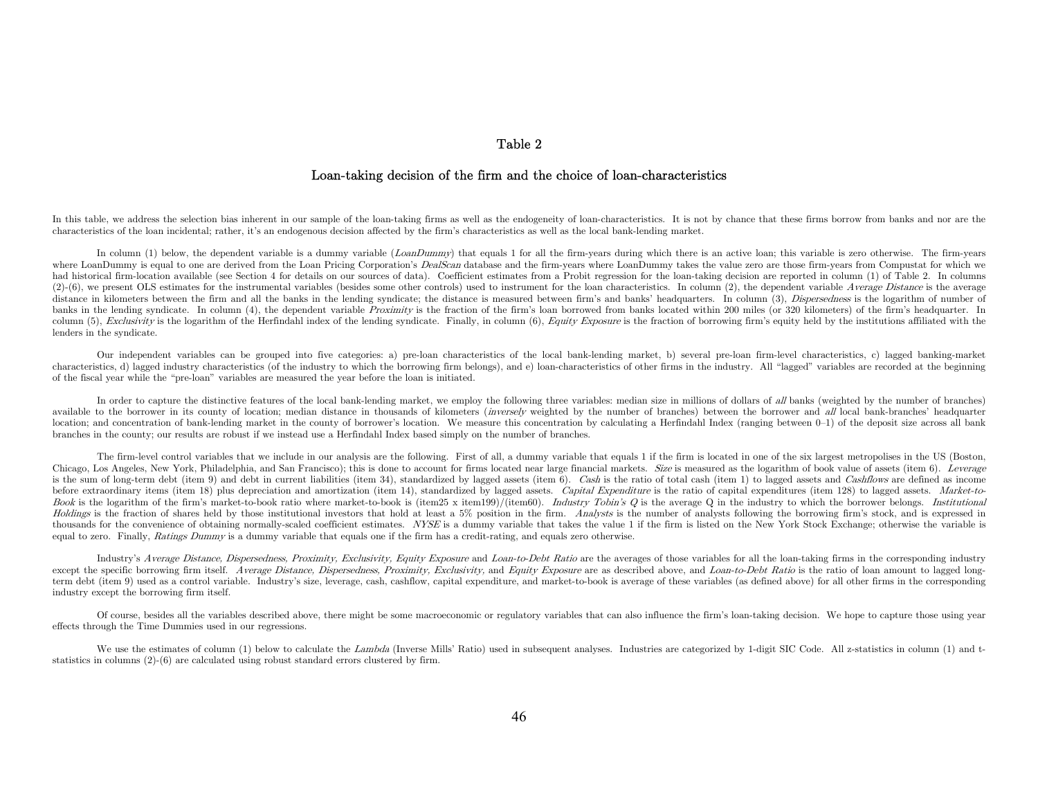## Table 2

## Loan-taking decision of the firm and the choice of loan-characteristics

In this table, we address the selection bias inherent in our sample of the loan-taking firms as well as the endogeneity of loan-characteristics. It is not by chance that these firms borrow from banks and nor are the characteristics of the loan incidental; rather, it's an endogenous decision affected by the firm's characteristics as well as the local bank-lending market.

In column (1) below, the dependent variable is a dummy variable (LoanDummy) that equals 1 for all the firm-years during which there is an active loan; this variable is zero otherwise. The firm-years where LoanDummy is equal to one are derived from the Loan Pricing Corporation's *DealScan* database and the firm-years where LoanDummy takes the value zero are those firm-years from Compustat for which we had historical firm-location available (see Section 4 for details on our sources of data). Coefficient estimates from a Probit regression for the loan-taking decision are reported in column (1) of Table 2. In columns (2)-(6), we present OLS estimates for the instrumental variables (besides some other controls) used to instrument for the loan characteristics. In column (2), the dependent variable Average Distance is the average distance in kilometers between the firm and all the banks in the lending syndicate; the distance is measured between firm's and banks' headquarters. In column (3), *Dispersedness* is the logarithm of number of banks in the lending syndicate. In column (4), the dependent variable Proximity is the fraction of the firm's loan borrowed from banks located within 200 miles (or 320 kilometers) of the firm's headquarter. In column (5), Exclusivity is the logarithm of the Herfindahl index of the lending syndicate. Finally, in column (6), Equity Exposure is the fraction of borrowing firm's equity held by the institutions affiliated with the lenders in the syndicate.

Our independent variables can be grouped into five categories: a) pre-loan characteristics of the local bank-lending market, b) several pre-loan firm-level characteristics, c) lagged banking-market characteristics, d) lagged industry characteristics (of the industry to which the borrowing firm belongs), and e) loan-characteristics of other firms in the industry. All "lagged" variables are recorded at the beginning of the fiscal year while the "pre-loan" variables are measured the year before the loan is initiated.

In order to capture the distinctive features of the local bank-lending market, we employ the following three variables: median size in millions of dollars of all banks (weighted by the number of branches) available to the borrower in its county of location; median distance in thousands of kilometers (*inversely* weighted by the number of branches) between the borrower and all local bank-branches' headquarter location; and concentration of bank-lending market in the county of borrower's location. We measure this concentration by calculating a Herfindahl Index (ranging between 0–1) of the deposit size across all bank branches in the county; our results are robust if we instead use a Herfindahl Index based simply on the number of branches.

The firm-level control variables that we include in our analysis are the following. First of all, a dummy variable that equals 1 if the firm is located in one of the six largest metropolises in the US (Boston, Chicago, Los Angeles, New York, Philadelphia, and San Francisco); this is done to account for firms located near large financial markets. Size is measured as the logarithm of book value of assets (item 6). Leverage is the sum of long-term debt (item 9) and debt in current liabilities (item 34), standardized by lagged assets (item 6). Cash is the ratio of total cash (item 1) to lagged assets and Cashflows are defined as income before extraordinary items (item 18) plus depreciation and amortization (item 14), standardized by lagged assets. Capital Expenditure is the ratio of capital expenditures (item 128) to lagged assets. Market-to-Book is the logarithm of the firm's market-to-book ratio where market-to-book is (item25 x item199)/(item60). Industry Tobin's Q is the average Q in the industry to which the borrower belongs. Institutional Holdings is the fraction of shares held by those institutional investors that hold at least a 5% position in the firm. Analysts is the number of analysts following the borrowing firm's stock, and is expressed in thousands for the convenience of obtaining normally-scaled coefficient estimates. NYSE is a dummy variable that takes the value 1 if the firm is listed on the New York Stock Exchange; otherwise the variable is equal to zero. Finally, Ratings Dummy is a dummy variable that equals one if the firm has a credit-rating, and equals zero otherwise.

Industry's Average Distance, Dispersedness, Proximity, Exclusivity, Equity Exposure and Loan-to-Debt Ratio are the averages of those variables for all the loan-taking firms in the corresponding industry except the specific borrowing firm itself. Average Distance, Dispersedness, Proximity, Exclusivity, and Equity Exposure are as described above, and Loan-to-Debt Ratio is the ratio of loan amount to lagged longterm debt (item 9) used as a control variable. Industry's size, leverage, cash, cashflow, capital expenditure, and market-to-book is average of these variables (as defined above) for all other firms in the corresponding industry except the borrowing firm itself.

Of course, besides all the variables described above, there might be some macroeconomic or regulatory variables that can also influence the firm's loan-taking decision. We hope to capture those using year effects through the Time Dummies used in our regressions.

We use the estimates of column (1) below to calculate the Lambda (Inverse Mills' Ratio) used in subsequent analyses. Industries are categorized by 1-digit SIC Code. All z-statistics in column (1) and tstatistics in columns (2)-(6) are calculated using robust standard errors clustered by firm.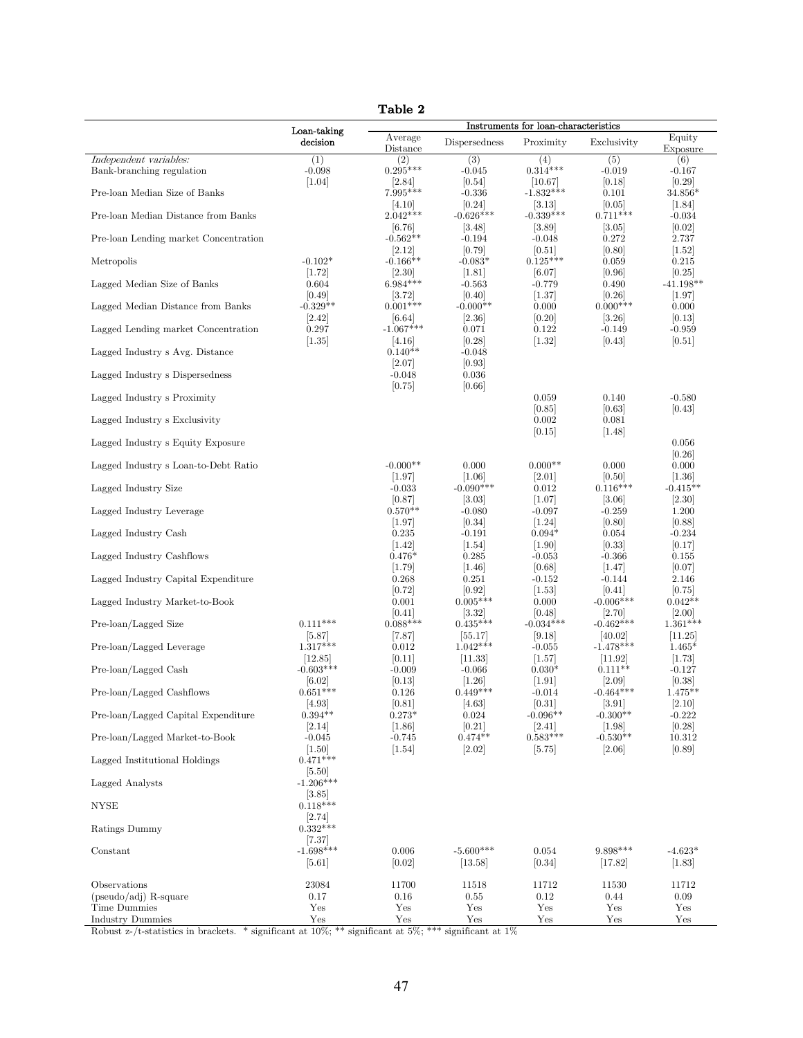|                                                                                    |                                   | Table 2                     |                              |                                                  |                             |                             |
|------------------------------------------------------------------------------------|-----------------------------------|-----------------------------|------------------------------|--------------------------------------------------|-----------------------------|-----------------------------|
|                                                                                    | Loan-taking                       |                             |                              | Instruments for loan-characteristics             |                             |                             |
|                                                                                    | decision                          | Average<br>Distance         | Dispersedness                | Proximity                                        | Exclusivity                 | Equity<br>Exposure          |
| Independent variables:<br>Bank-branching regulation                                | (1)<br>$-0.098$                   | (2)<br>$0.295***$           | (3)<br>$-0.045$              | (4)<br>$0.314***$                                | (5)<br>$-0.019$             | (6)<br>$-0.167$             |
| Pre-loan Median Size of Banks                                                      | $[1.04]$                          | [2.84]<br>7.995***<br> 4.10 | [0.54]<br>$-0.336$<br>[0.24] | 10.67 <br>$-1.832***$<br> 3.13                   | [0.18]<br>0.101<br>[0.05]   | [0.29]<br>34.856*<br> 1.84  |
| Pre-loan Median Distance from Banks                                                |                                   | $2.042***$<br> 6.76         | $-0.626***$                  | $-0.339***$                                      | $0.711***$                  | $-0.034$<br>[0.02]          |
| Pre-loan Lending market Concentration                                              |                                   | $-0.562**$<br>[2.12]        | 3.48 <br>$-0.194$<br>[0.79]  | 3.89 <br>$-0.048$<br>[0.51]                      | 3.05 <br>0.272<br>[0.80]    | 2.737<br>$[1.52]$           |
| Metropolis                                                                         | $-0.102*$<br>[1.72]               | $-0.166**$<br>[2.30]        | $-0.083*$<br>$[1.81]$        | $0.125***$<br>[6.07]                             | 0.059<br>[0.96]             | 0.215<br>[0.25]             |
| Lagged Median Size of Banks                                                        | 0.604<br>[0.49]                   | $6.984***$<br>[3.72]        | $-0.563$<br>[0.40]           | $-0.779$<br>[1.37]                               | 0.490<br>[0.26]             | $-41.198**$<br>$[1.97]$     |
| Lagged Median Distance from Banks                                                  | $-0.329**$<br>[2.42]              | $0.001***$<br> 6.64         | $-0.000**$<br> 2.36          | 0.000<br>[0.20]                                  | $0.000***$<br> 3.26         | 0.000<br> 0.13              |
| Lagged Lending market Concentration                                                | 0.297<br> 1.35                    | $-1.067***$<br> 4.16        | 0.071<br>[0.28]              | 0.122<br>$[1.32]$                                | $-0.149$<br>[0.43]          | $-0.959$<br> 0.51           |
| Lagged Industry s Avg. Distance                                                    |                                   | $0.140**$<br>[2.07]         | $-0.048$<br>[0.93]           |                                                  |                             |                             |
| Lagged Industry s Dispersedness                                                    |                                   | $-0.048$<br>[0.75]          | 0.036<br> 0.66               |                                                  |                             |                             |
| Lagged Industry s Proximity                                                        |                                   |                             |                              | 0.059<br>[0.85]                                  | 0.140<br>[0.63]             | $-0.580$<br>[0.43]          |
| Lagged Industry s Exclusivity                                                      |                                   |                             |                              | 0.002<br> 0.15                                   | 0.081<br> 1.48              |                             |
| Lagged Industry s Equity Exposure                                                  |                                   |                             |                              |                                                  |                             | 0.056<br>[0.26]             |
| Lagged Industry s Loan-to-Debt Ratio                                               |                                   | $-0.000**$<br>$[1.97]$      | 0.000<br>$[1.06]$            | $0.000**$<br>[2.01]                              | 0.000<br>[0.50]             | 0.000<br> 1.36              |
| Lagged Industry Size                                                               |                                   | $-0.033$<br>[0.87]          | $-0.090***$<br>[3.03]        | 0.012<br>[1.07]                                  | $0.116***$<br>[3.06]        | $-0.415**$<br>$[2.30]$      |
| Lagged Industry Leverage                                                           |                                   | $0.570**$<br>[1.97]         | $-0.080$<br> 0.34            | $-0.097$<br>[1.24]                               | $-0.259$<br> 0.80           | 1.200<br> 0.88              |
| Lagged Industry Cash                                                               |                                   | 0.235<br>$[1.42]$           | $-0.191$<br>[1.54]           | $0.094*$<br>$[1.90]$                             | 0.054<br>[0.33]             | $-0.234$<br>[0.17]          |
| Lagged Industry Cashflows                                                          |                                   | $0.476*$<br>[1.79]          | 0.285<br> 1.46               | $-0.053$<br> 0.68                                | $-0.366$<br>[1.47]          | 0.155<br> 0.07              |
| Lagged Industry Capital Expenditure                                                |                                   | 0.268<br>[0.72]             | 0.251<br>[0.92]              | $-0.152$<br>[1.53]                               | $-0.144$<br> 0.41           | 2.146<br>[0.75]             |
| Lagged Industry Market-to-Book                                                     |                                   | 0.001<br> 0.41              | $0.005***$<br> 3.32          | 0.000<br>[0.48]                                  | $-0.006***$<br> 2.70        | $0.042**$<br> 2.00          |
| Pre-loan/Lagged Size                                                               | $0.111***$<br>[5.87]              | $0.088***$<br> 7.87         | $0.435***$<br> 55.17         | $-0.034***$<br> 9.18                             | $-0.462***$<br> 40.02       | $1.361***$<br> 11.25        |
| Pre-loan/Lagged Leverage                                                           | $1.317***$<br>[12.85]             | 0.012<br>[0.11]             | $1.042***$<br>[11.33]        | $-0.055$<br>[1.57]                               | $-1.478***$<br>[11.92]      | $1.465*$<br>[1.73]          |
| Pre-loan/Lagged Cash                                                               | $-0.603***$<br>[6.02]             | $-0.009$<br>[0.13]          | $-0.066$<br>[1.26]           | $0.030*$<br>[1.91]                               | $0.111**$<br>[2.09]         | $-0.127$<br>[0.38]          |
| Pre-loan/Lagged Cashflows                                                          | $0.651***$<br>[4.93]              | $0.126\,$<br>[0.81]         | $0.449***$<br>[4.63]         | $-0.014$<br>[0.31]                               | $-0.464***$<br>[3.91]       | $1.475**$<br>[2.10]         |
| Pre-loan/Lagged Capital Expenditure                                                | $0.394**$<br>[2.14]               | $0.273*$<br>$[1.86]$        | 0.024<br>[0.21]              | $-0.096**$<br>$\left[2.41\right]$                | $-0.300**$<br>[1.98]        | $-0.222$<br>$[0.28]$        |
| Pre-loan/Lagged Market-to-Book                                                     | $-0.045$<br>[1.50]                | $-0.745$<br>$[1.54]$        | $0.474**$<br>$[2.02]$        | $0.583***$<br>$[5.75]$                           | $-0.530**$<br>[2.06]        | 10.312<br>[0.89]            |
| Lagged Institutional Holdings                                                      | $0.471***$<br>[5.50]              |                             |                              |                                                  |                             |                             |
| Lagged Analysts                                                                    | $-1.206***$<br>$\vert 3.85 \vert$ |                             |                              |                                                  |                             |                             |
| <b>NYSE</b>                                                                        | $0.118***$<br>$\left[2.74\right]$ |                             |                              |                                                  |                             |                             |
| Ratings Dummy                                                                      | $0.332***$<br>[7.37]              |                             |                              |                                                  |                             |                             |
| Constant                                                                           | $-1.698***$<br>$[5.61]$           | 0.006<br>[0.02]             | $-5.600***$<br>[13.58]       | 0.054<br>[0.34]                                  | $9.898***$<br>[17.82]       | $-4.623*$<br>$[1.83]$       |
| Observations<br>$(pseudo/adj)$ R-square<br>Time Dummies<br><b>Industry Dummies</b> | 23084<br>0.17<br>Yes<br>Yes       | 11700<br>0.16<br>Yes<br>Yes | 11518<br>0.55<br>Yes<br>Yes  | 11712<br>$0.12\,$<br>Yes<br>$\operatorname{Yes}$ | 11530<br>0.44<br>Yes<br>Yes | 11712<br>0.09<br>Yes<br>Yes |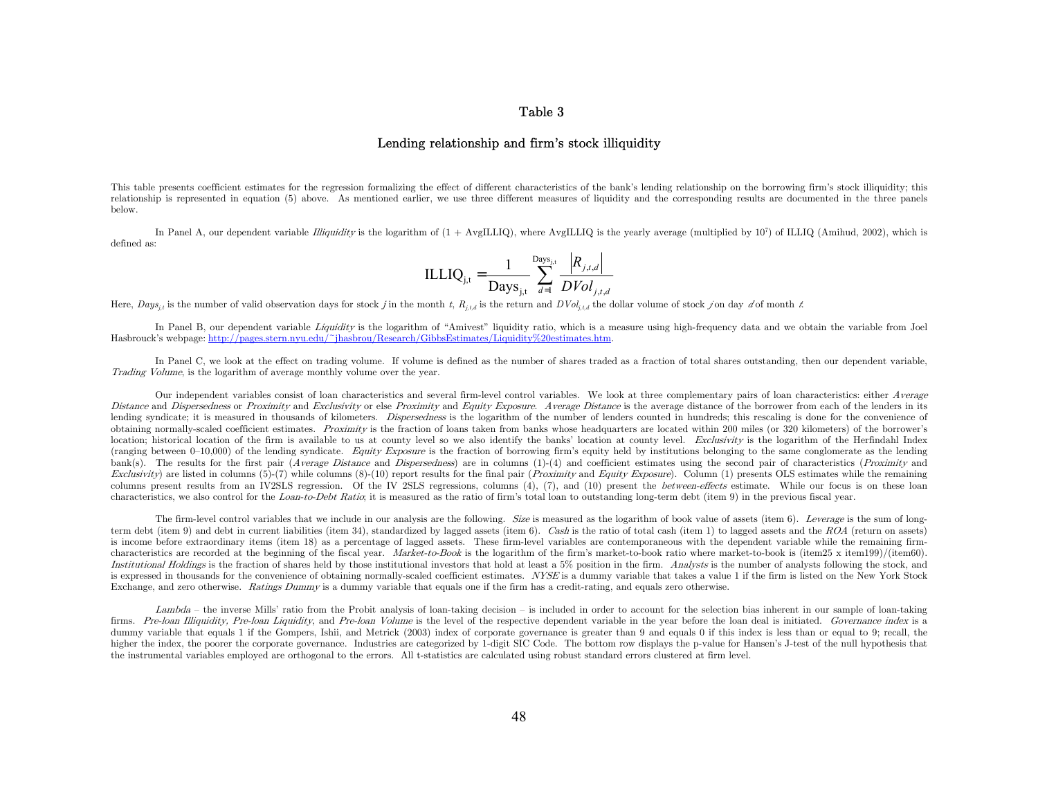### Table 3

#### Lending relationship and firm's stock illiquidity

This table presents coefficient estimates for the regression formalizing the effect of different characteristics of the bank's lending relationship on the borrowing firm's stock illiquidity; this relationship is represented in equation (5) above. As mentioned earlier, we use three different measures of liquidity and the corresponding results are documented in the three panels below.

In Panel A, our dependent variable *Illiquidity* is the logarithm of  $(1 + \text{AvgILLIQ})$ , where AvgILLIQ is the yearly average (multiplied by  $10^7$ ) of ILLIQ (Amihud, 2002), which is defined as:

$$
ILLIQ_{j,t} = \frac{1}{\text{Days}_{j,t}} \sum_{d=1}^{\text{Days}_{j,t}} \frac{|R_{j,t,d}|}{DVol_{j,t,d}}
$$

Here,  $Days_{j,t}$  is the number of valid observation days for stock j in the month t,  $R_{j,t,d}$  is the return and  $DVol_{j,t,d}$  the dollar volume of stock j on day d'of month t.

In Panel B, our dependent variable Liquidity is the logarithm of "Amivest" liquidity ratio, which is a measure using high-frequency data and we obtain the variable from Joel Hasbrouck's webpage: http://pages.stern.nyu.edu/~jhasbrou/Research/GibbsEstimates/Liquidity%20estimates.htm.

In Panel C, we look at the effect on trading volume. If volume is defined as the number of shares traded as a fraction of total shares outstanding, then our dependent variable, Trading Volume, is the logarithm of average monthly volume over the year.

Our independent variables consist of loan characteristics and several firm-level control variables. We look at three complementary pairs of loan characteristics: either Average Distance and Dispersedness or Proximity and Exclusivity or else Proximity and Equity Exposure. Average Distance is the average distance of the borrower from each of the lenders in its lending syndicate; it is measured in thousands of kilometers. Dispersedness is the logarithm of the number of lenders counted in hundreds; this rescaling is done for the convenience of obtaining normally-scaled coefficient estimates. Proximity is the fraction of loans taken from banks whose headquarters are located within 200 miles (or 320 kilometers) of the borrower's location; historical location of the firm is available to us at county level so we also identify the banks' location at county level. Exclusivity is the logarithm of the Herfindahl Index (ranging between  $0-10,000$ ) of the lending syndicate. Equity Exposure is the fraction of borrowing firm's equity held by institutions belonging to the same conglomerate as the lending bank(s). The results for the first pair (Average Distance and Dispersedness) are in columns (1)-(4) and coefficient estimates using the second pair of characteristics (Proximity and Exclusivity) are listed in columns  $(5)-(7)$  while columns  $(8)-(10)$  report results for the final pair (*Proximity* and *Equity Exposure*). Column (1) presents OLS estimates while the remaining columns present results from an IV2SLS regression. Of the IV 2SLS regressions, columns (4), (7), and (10) present the *between-effects* estimate. While our focus is on these loan characteristics, we also control for the Loan-to-Debt Ratio; it is measured as the ratio of firm's total loan to outstanding long-term debt (item 9) in the previous fiscal year.

The firm-level control variables that we include in our analysis are the following. Size is measured as the logarithm of book value of assets (item 6). Leverage is the sum of longterm debt (item 9) and debt in current liabilities (item 34), standardized by lagged assets (item 6). Cash is the ratio of total cash (item 1) to lagged assets and the ROA (return on assets) is income before extraordinary items (item 18) as a percentage of lagged assets. These firm-level variables are contemporaneous with the dependent variable while the remaining firmcharacteristics are recorded at the beginning of the fiscal year. Market-to-Book is the logarithm of the firm's market-to-book ratio where market-to-book is (item25 x item199)/(item60). Institutional Holdings is the fraction of shares held by those institutional investors that hold at least a 5% position in the firm. Analysts is the number of analysts following the stock, and is expressed in thousands for the convenience of obtaining normally-scaled coefficient estimates. NYSE is a dummy variable that takes a value 1 if the firm is listed on the New York Stock Exchange, and zero otherwise. Ratings Dummy is a dummy variable that equals one if the firm has a credit-rating, and equals zero otherwise.

Lambda – the inverse Mills' ratio from the Probit analysis of loan-taking decision – is included in order to account for the selection bias inherent in our sample of loan-taking firms. Pre-loan Illiquidity, Pre-loan Liquidity, and Pre-loan Volume is the level of the respective dependent variable in the year before the loan deal is initiated. Governance index is a dummy variable that equals 1 if the Gompers, Ishii, and Metrick (2003) index of corporate governance is greater than 9 and equals 0 if this index is less than or equal to 9; recall, the higher the index, the poorer the corporate governance. Industries are categorized by 1-digit SIC Code. The bottom row displays the p-value for Hansen's J-test of the null hypothesis that the instrumental variables employed are orthogonal to the errors. All t-statistics are calculated using robust standard errors clustered at firm level.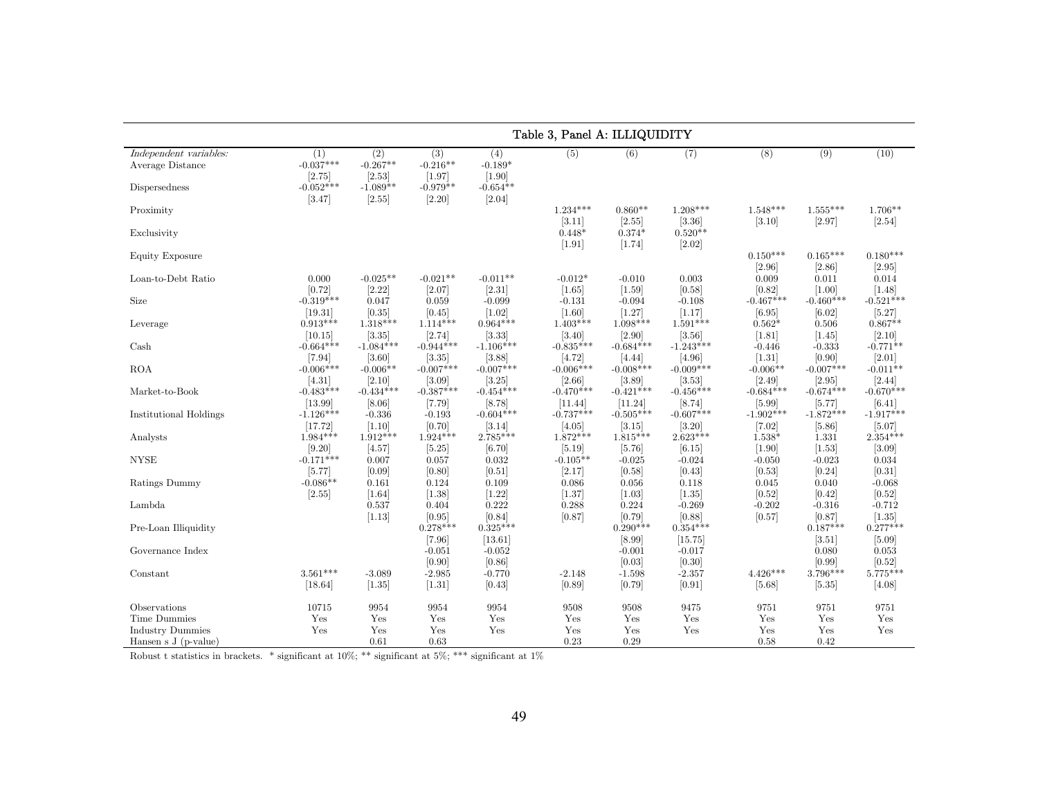|                                                             |                                                       |                                                     |                                                       |                                                        | Table 3, Panel A: ILLIQUIDITY        |                                      |                                      |                                    |                                   |                                    |
|-------------------------------------------------------------|-------------------------------------------------------|-----------------------------------------------------|-------------------------------------------------------|--------------------------------------------------------|--------------------------------------|--------------------------------------|--------------------------------------|------------------------------------|-----------------------------------|------------------------------------|
| Independent variables:<br>Average Distance<br>Dispersedness | (1)<br>$-0.037***$<br>[2.75]<br>$-0.052***$<br>[3.47] | (2)<br>$-0.267**$<br>[2.53]<br>$-1.089**$<br>[2.55] | (3)<br>$-0.216**$<br>[1.97]<br>$-0.979**$<br>$[2.20]$ | (4)<br>$-0.189*$<br>$[1.90]$<br>$-0.654**$<br>$[2.04]$ | (5)                                  | (6)                                  | (7)                                  | (8)                                | (9)                               | (10)                               |
| Proximity<br>Exclusivity                                    |                                                       |                                                     |                                                       |                                                        | $1.234***$<br>[3.11]<br>$0.448*$     | $0.860**$<br>$[2.55]$<br>$0.374*$    | $1.208***$<br>[3.36]<br>$0.520**$    | $1.548***$<br>[3.10]               | $1.555***$<br>[2.97]              | $1.706**$<br>[2.54]                |
| <b>Equity Exposure</b>                                      |                                                       |                                                     |                                                       |                                                        | $[1.91]$                             | [1.74]                               | [2.02]                               | $0.150***$<br>[2.96]               | $0.165***$<br>[2.86]              | $0.180***$<br>[2.95]               |
| Loan-to-Debt Ratio                                          | 0.000<br>[0.72]                                       | $-0.025**$<br>[2.22]                                | $-0.021**$<br>[2.07]                                  | $-0.011**$<br>$[2.31]$                                 | $-0.012*$<br>$[1.65]$                | $-0.010$<br>$[1.59]$                 | 0.003<br>[0.58]                      | 0.009<br>[0.82]                    | 0.011<br>$[1.00]$                 | 0.014<br>[1.48]                    |
| Size                                                        | $-0.319***$<br>[19.31]                                | 0.047<br>[0.35]                                     | 0.059<br>[0.45]                                       | $-0.099$<br>$[1.02]$                                   | $-0.131$<br>[1.60]                   | $-0.094$<br>$[1.27]$                 | $-0.108$<br>[1.17]                   | $-0.467***$<br>[6.95]              | $-0.460***$<br>[6.02]             | $-0.521***$<br>$[5.27]$            |
| Leverage                                                    | $0.913***$<br>[10.15]                                 | $1.318***$<br>[3.35]                                | $1.114***$<br>[2.74]                                  | $0.964***$<br>[3.33]                                   | $1.403***$<br>[3.40]                 | $1.098***$<br>[2.90]                 | $1.591***$<br>[3.56]                 | $0.562*$<br>[1.81]                 | 0.506<br>$[1.45]$                 | $0.867**$<br>[2.10]                |
| Cash<br><b>ROA</b>                                          | $-0.664***$<br>$[7.94]$<br>$-0.006***$                | $-1.084***$<br>[3.60]<br>$-0.006**$                 | $-0.944***$<br>[3.35]<br>$-0.007***$                  | $-1.106***$<br>[3.88]<br>$-0.007***$                   | $-0.835***$<br>[4.72]<br>$-0.006***$ | $-0.684***$<br>[4.44]<br>$-0.008***$ | $-1.243***$<br>[4.96]<br>$-0.009***$ | $-0.446$<br>$[1.31]$<br>$-0.006**$ | $-0.333$<br>[0.90]<br>$-0.007***$ | $-0.771**$<br>[2.01]<br>$-0.011**$ |
| Market-to-Book                                              | [4.31]<br>$-0.483***$                                 | [2.10]<br>$-0.434***$                               | $[3.09]$<br>$-0.387***$                               | [3.25]<br>$-0.454***$                                  | [2.66]<br>$-0.470***$                | [3.89]<br>$-0.421***$                | [3.53]<br>$-0.456***$                | [2.49]<br>$-0.684***$              | [2.95]<br>$-0.674***$             | [2.44]<br>$-0.670***$              |
| Institutional Holdings                                      | [13.99]<br>$-1.126***$                                | [8.06]<br>$-0.336$                                  | $[7.79]$<br>$-0.193$                                  | [8.78]<br>$-0.604***$                                  | [11.44]<br>$-0.737***$               | [11.24]<br>$-0.505***$               | [8.74]<br>$-0.607***$                | [5.99]<br>$-1.902***$              | [5.77]<br>$-1.872***$             | [6.41]<br>$-1.917***$              |
| Analysts                                                    | [17.72]<br>$1.984***$                                 | [1.10]<br>$1.912***$                                | [0.70]<br>$1.924***$                                  | [3.14]<br>$2.785***$                                   | [4.05]<br>$1.872***$                 | $[3.15]$<br>$1.815***$               | [3.20]<br>$2.623***$                 | $[7.02]$<br>$1.538*$               | $[5.86]$<br>1.331                 | [5.07]<br>$2.354***$               |
| <b>NYSE</b>                                                 | [9.20]<br>$-0.171***$<br>[5.77]                       | [4.57]<br>0.007<br>[0.09]                           | [5.25]<br>0.057<br>[0.80]                             | [6.70]<br>0.032<br>[0.51]                              | [5.19]<br>$-0.105**$<br>[2.17]       | [5.76]<br>$-0.025$<br>[0.58]         | [6.15]<br>$-0.024$<br>[0.43]         | [1.90]<br>$-0.050$<br>[0.53]       | [1.53]<br>$-0.023$<br>[0.24]      | [3.09]<br>0.034<br>[0.31]          |
| Ratings Dummy                                               | $-0.086**$<br>[2.55]                                  | 0.161<br>$[1.64]$                                   | 0.124<br>$[1.38]$                                     | 0.109<br>$[1.22]$                                      | 0.086<br>[1.37]                      | 0.056<br>$[1.03]$                    | 0.118<br>$[1.35]$                    | 0.045<br>[0.52]                    | 0.040<br>[0.42]                   | $-0.068$<br>$[0.52]$               |
| Lambda                                                      |                                                       | 0.537<br>[1.13]                                     | 0.404<br>[0.95]                                       | 0.222<br>[0.84]                                        | 0.288<br>[0.87]                      | 0.224<br>[0.79]                      | $-0.269$<br>[0.88]                   | $-0.202$<br>[0.57]                 | $-0.316$<br>[0.87]                | $-0.712$<br>$[1.35]$               |
| Pre-Loan Illiquidity                                        |                                                       |                                                     | $0.278***$<br>$[7.96]$                                | $0.325***$<br>[13.61]                                  |                                      | $0.290***$<br>[8.99]                 | $0.354***$<br>[15.75]                |                                    | $0.187***$<br>[3.51]              | $0.277***$<br>[5.09]               |
| Governance Index                                            | $3.561***$                                            |                                                     | $-0.051$<br>[0.90]                                    | $-0.052$<br>[0.86]                                     |                                      | $-0.001$<br>[0.03]                   | $-0.017$<br>[0.30]                   | $4.426***$                         | 0.080<br>[0.99]<br>$3.796***$     | 0.053<br>[0.52]<br>5.775***        |
| Constant                                                    | [18.64]                                               | $-3.089$<br>[1.35]                                  | $-2.985$<br>[1.31]                                    | $-0.770$<br>[0.43]                                     | $-2.148$<br>[0.89]                   | $-1.598$<br>[0.79]                   | $-2.357$<br>[0.91]                   | [5.68]                             | [5.35]                            | [4.08]                             |
| Observations<br>Time Dummies                                | 10715<br>Yes                                          | 9954<br>Yes                                         | 9954<br>Yes                                           | 9954<br>Yes                                            | 9508<br>Yes                          | 9508<br>Yes                          | 9475<br>Yes                          | 9751<br>Yes                        | 9751<br>Yes                       | 9751<br>Yes                        |
| <b>Industry Dummies</b><br>Hansen s $J(p-value)$            | Yes                                                   | Yes<br>0.61                                         | Yes<br>0.63                                           | Yes                                                    | Yes<br>0.23                          | Yes<br>0.29                          | Yes                                  | Yes<br>0.58                        | Yes<br>0.42                       | Yes                                |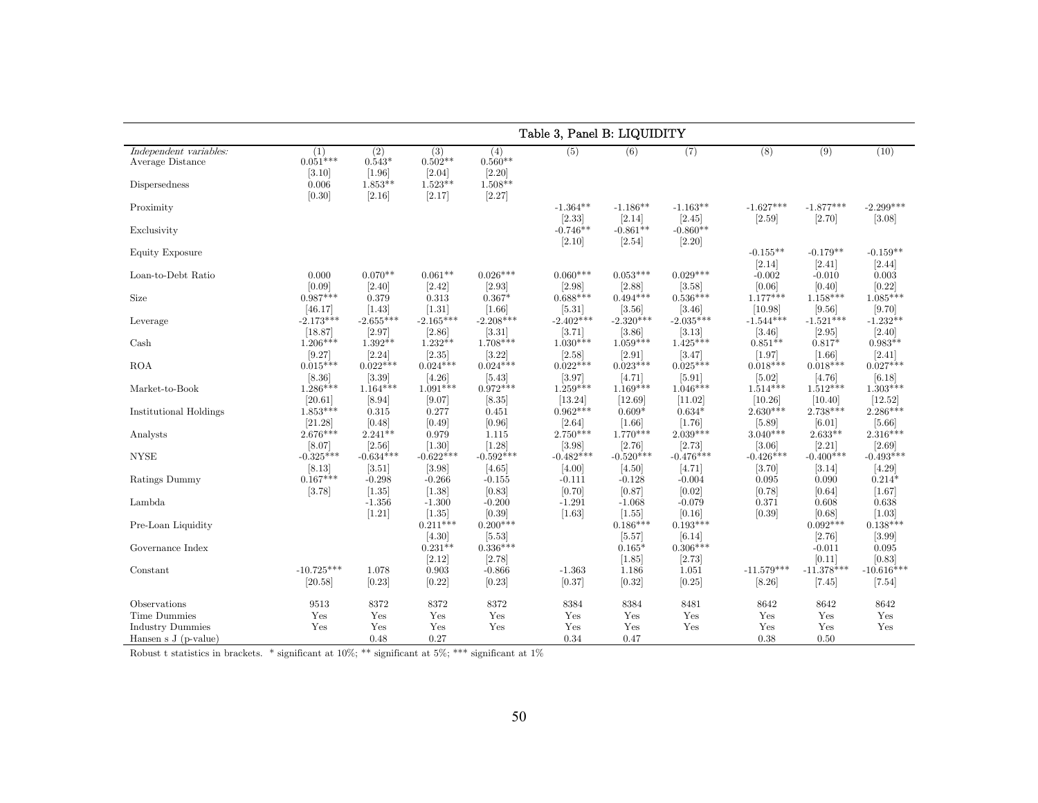|                                                                         | Table 3, Panel B: LIQUIDITY                    |                                                  |                                                   |                                                   |                                              |                                              |                                              |                                |                                |                                   |  |  |
|-------------------------------------------------------------------------|------------------------------------------------|--------------------------------------------------|---------------------------------------------------|---------------------------------------------------|----------------------------------------------|----------------------------------------------|----------------------------------------------|--------------------------------|--------------------------------|-----------------------------------|--|--|
| Independent variables:<br>Average Distance<br>Dispersedness             | (1)<br>$0.051***$<br>[3.10]<br>0.006<br>[0.30] | (2)<br>$0.543*$<br>[1.96]<br>$1.853**$<br>[2.16] | (3)<br>$0.502**$<br>[2.04]<br>$1.523**$<br>[2.17] | (4)<br>$0.560**$<br>[2.20]<br>$1.508**$<br>[2.27] | (5)                                          | (6)                                          | (7)                                          | (8)                            | (9)                            | (10)                              |  |  |
| Proximity<br>Exclusivity                                                |                                                |                                                  |                                                   |                                                   | $-1.364**$<br>[2.33]<br>$-0.746**$<br>[2.10] | $-1.186**$<br>[2.14]<br>$-0.861**$<br>[2.54] | $-1.163**$<br>[2.45]<br>$-0.860**$<br>[2.20] | $-1.627***$<br>[2.59]          | $-1.877***$<br>[2.70]          | $-2.299***$<br>[3.08]             |  |  |
| Equity Exposure                                                         |                                                |                                                  |                                                   |                                                   |                                              |                                              |                                              | $-0.155**$<br>[2.14]           | $-0.179**$<br>$[2.41]$         | $-0.159**$<br>[2.44]              |  |  |
| Loan-to-Debt Ratio                                                      | 0.000<br>[0.09]                                | $0.070**$<br>[2.40]                              | $0.061**$<br>[2.42]                               | $0.026***$<br>[2.93]                              | $0.060***$<br>[2.98]                         | $0.053***$<br>[2.88]                         | $0.029***$<br>[3.58]                         | $-0.002$<br>[0.06]             | $-0.010$<br>$[0.40]$           | 0.003<br>[0.22]                   |  |  |
| Size                                                                    | $0.987***$<br>[46.17]                          | 0.379<br>$[1.43]$                                | 0.313<br>$[1.31]$                                 | $0.367*$<br>[1.66]                                | $0.688***$<br>[5.31]                         | $0.494***$<br>[3.56]                         | $0.536***$<br>[3.46]                         | $1.177***$<br>[10.98]          | $1.158***$<br>[9.56]           | $1.085***$<br>[9.70]              |  |  |
| Leverage                                                                | $-2.173***$<br>[18.87]                         | $-2.655***$<br>[2.97]                            | $-2.165***$<br>[2.86]                             | $-2.208***$<br>[3.31]                             | $-2.402***$<br>[3.71]                        | $-2.320***$<br>[3.86]                        | $-2.035***$<br>[3.13]                        | $-1.544***$<br>[3.46]          | $-1.521***$<br>[2.95]          | $-1.232**$<br>[2.40]              |  |  |
| Cash                                                                    | $1.206***$<br>[9.27]                           | $1.392**$<br>[2.24]                              | $1.232**$<br>[2.35]                               | $1.708***$<br>[3.22]                              | $1.030***$<br>[2.58]                         | $1.059***$<br>[2.91]                         | $1.425***$<br>[3.47]                         | $0.851**$<br>[1.97]            | $0.817*$<br>$[1.66]$           | $0.983**$<br>[2.41]               |  |  |
| <b>ROA</b>                                                              | $0.015***$<br>[8.36]                           | $0.022***$<br> 3.39                              | $0.024***$<br>[4.26]                              | $0.024***$<br>[5.43]                              | $0.022***$<br>[3.97]                         | $0.023***$<br>[4.71]                         | $0.025***$<br>$[5.91]$                       | $0.018***$<br>$[5.02]$         | $0.018***$<br>[4.76]           | $0.027***$<br>[6.18]              |  |  |
| Market-to-Book                                                          | $1.286***$<br>[20.61]                          | $1.164***$<br>[8.94]                             | $1.091***$<br>[9.07]                              | $0.972***$<br>[8.35]                              | $1.259***$<br>[13.24]                        | $1.169***$<br>[12.69]                        | $1.046***$<br>[11.02]                        | $1.514***$<br>[10.26]          | $1.512***$<br>[10.40]          | $1.303***$<br>[12.52]             |  |  |
| Institutional Holdings                                                  | $1.853***$<br>[21.28]                          | 0.315<br>[0.48]                                  | 0.277<br>[0.49]                                   | 0.451<br>[0.96]                                   | $0.962***$<br>[2.64]                         | $0.609*$<br>$[1.66]$                         | $0.634*$<br>$[1.76]$                         | $2.630***$<br>$[5.89]$         | $2.738***$<br>[6.01]           | $2.286***$<br>$[5.66]$            |  |  |
| Analysts                                                                | $2.676***$<br>[8.07]                           | $2.241**$<br>[2.56]                              | 0.979<br>$[1.30]$                                 | 1.115<br>[1.28]                                   | $2.750***$<br>[3.98]                         | $1.770***$<br>[2.76]                         | $2.039***$<br>[2.73]                         | $3.040***$<br>[3.06]           | $2.633**$<br>[2.21]            | $2.316***$<br>[2.69]              |  |  |
| <b>NYSE</b><br>Ratings Dummy                                            | $-0.325***$<br>[8.13]<br>$0.167***$            | $-0.634***$<br>[3.51]<br>$-0.298$                | $-0.622***$<br>[3.98]<br>$-0.266$                 | $-0.592***$<br>[4.65]<br>$-0.155$                 | $-0.482***$<br>[4.00]<br>$-0.111$            | $-0.520***$<br>[4.50]<br>$-0.128$            | $-0.476***$<br>[4.71]<br>$-0.004$            | $-0.426***$<br>[3.70]<br>0.095 | $-0.400***$<br>[3.14]<br>0.090 | $-0.493***$<br>[4.29]<br>$0.214*$ |  |  |
| Lambda                                                                  | [3.78]                                         | [1.35]<br>$-1.356$                               | [1.38]<br>$-1.300$                                | [0.83]<br>$-0.200$                                | [0.70]<br>$-1.291$                           | [0.87]<br>$-1.068$                           | [0.02]<br>$-0.079$                           | [0.78]<br>0.371                | [0.64]<br>0.608                | [1.67]<br>0.638                   |  |  |
| Pre-Loan Liquidity                                                      |                                                | [1.21]                                           | [1.35]<br>$0.211***$                              | [0.39]<br>$0.200***$                              | [1.63]                                       | $[1.55]$<br>$0.186***$                       | [0.16]<br>$0.193***$                         | [0.39]                         | [0.68]<br>$0.092***$           | [1.03]<br>$0.138***$              |  |  |
| Governance Index                                                        |                                                |                                                  | [4.30]<br>$0.231**$<br>[2.12]                     | [5.53]<br>$0.336***$<br>[2.78]                    |                                              | $[5.57]$<br>$0.165*$<br>[1.85]               | [6.14]<br>$0.306***$<br>[2.73]               |                                | [2.76]<br>$-0.011$<br>[0.11]   | [3.99]<br>0.095<br>[0.83]         |  |  |
| Constant                                                                | $-10.725***$<br>[20.58]                        | 1.078<br>[0.23]                                  | 0.903<br>[0.22]                                   | $-0.866$<br>[0.23]                                | $-1.363$<br>[0.37]                           | 1.186<br>[0.32]                              | 1.051<br>$[0.25]$                            | $-11.579***$<br>[8.26]         | $-11.378***$<br>$[7.45]$       | $-10.616***$<br>$[7.54]$          |  |  |
| Observations                                                            | 9513                                           | 8372                                             | 8372                                              | 8372                                              | 8384                                         | 8384                                         | 8481                                         | 8642                           | 8642                           | 8642                              |  |  |
| <b>Time Dummies</b><br><b>Industry Dummies</b><br>Hansen s $J(p-value)$ | Yes<br>Yes                                     | Yes<br>Yes<br>0.48                               | Yes<br>Yes<br>0.27                                | Yes<br>Yes                                        | Yes<br>Yes<br>0.34                           | Yes<br>Yes<br>0.47                           | Yes<br>Yes                                   | Yes<br>Yes<br>0.38             | Yes<br>Yes<br>0.50             | Yes<br>Yes                        |  |  |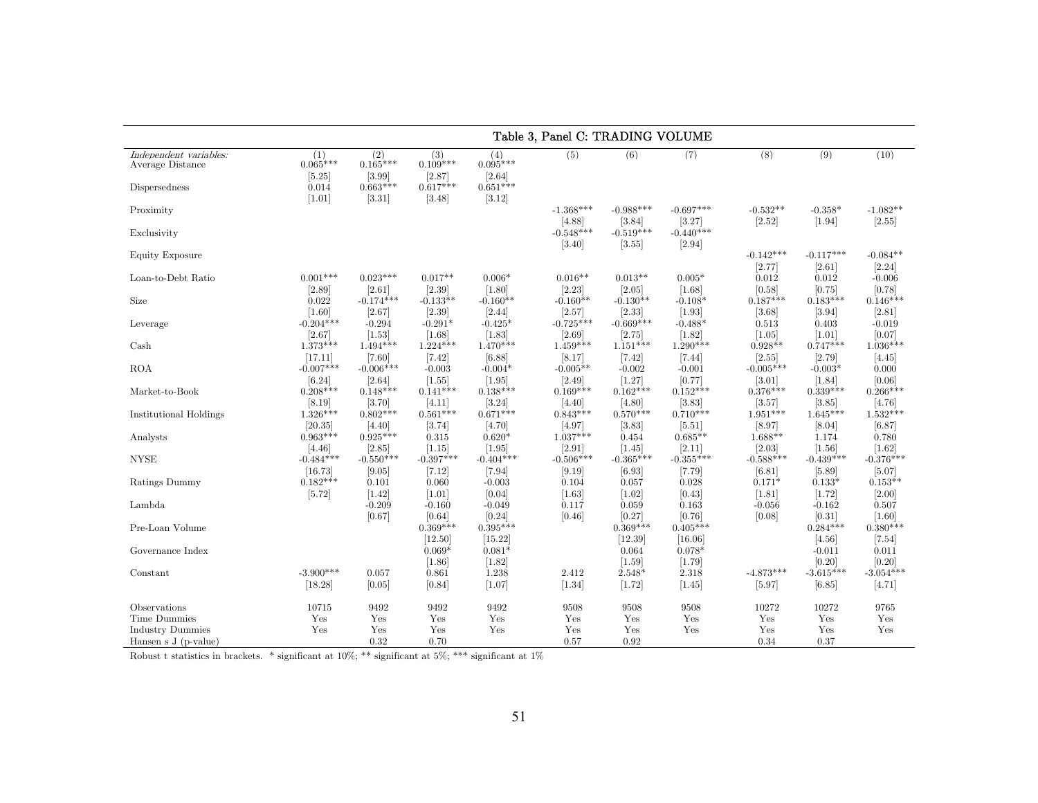|                                                             |                                        |                                           |                                           |                                           |                                 | Table 3, Panel C: TRADING VOLUME |                                   |                           |                                 |                                 |
|-------------------------------------------------------------|----------------------------------------|-------------------------------------------|-------------------------------------------|-------------------------------------------|---------------------------------|----------------------------------|-----------------------------------|---------------------------|---------------------------------|---------------------------------|
| Independent variables:<br>Average Distance<br>Dispersedness | (1)<br>$0.065***$<br>$[5.25]$<br>0.014 | (2)<br>$0.165***$<br>[3.99]<br>$0.663***$ | (3)<br>$0.109***$<br>[2.87]<br>$0.617***$ | (4)<br>$0.095***$<br>[2.64]<br>$0.651***$ | (5)                             | (6)                              | (7)                               | (8)                       | (9)                             | (10)                            |
| Proximity                                                   | $[1.01]$                               | [3.31]                                    | $[3.48]$                                  | [3.12]                                    | $-1.368***$                     | $-0.988***$                      | $-0.697***$                       | $-0.532**$                | $-0.358*$                       | $-1.082**$                      |
| Exclusivity                                                 |                                        |                                           |                                           |                                           | [4.88]<br>$-0.548***$<br>[3.40] | [3.84]<br>$-0.519***$<br>[3.55]  | [3.27]<br>$-0.440***$<br>$[2.94]$ | [2.52]                    | $[1.94]$                        | [2.55]                          |
| Equity Exposure                                             |                                        |                                           |                                           |                                           |                                 |                                  |                                   | $-0.142***$               | $-0.117***$                     | $-0.084**$                      |
| Loan-to-Debt Ratio                                          | $0.001***$<br>$[2.89]$                 | $0.023***$<br>[2.61]                      | $0.017**$<br>$[2.39]$                     | $0.006*$<br>$[1.80]$                      | $0.016**$<br>[2.23]             | $0.013**$<br>$[2.05]$            | $0.005*$<br>[1.68]                | [2.77]<br>0.012<br>[0.58] | [2.61]<br>0.012<br>[0.75]       | [2.24]<br>$-0.006$<br>[0.78]    |
| Size                                                        | 0.022<br>$[1.60]$                      | $-0.174***$<br>[2.67]                     | $-0.133**$<br>$[2.39]$                    | $-0.160**$<br>$[2.44]$                    | $-0.160**$<br>[2.57]            | $-0.130**$<br>[2.33]             | $-0.108*$<br>$[1.93]$             | $0.187***$<br>[3.68]      | $0.183***$<br>[3.94]            | $0.146***$<br>[2.81]            |
| Leverage                                                    | $-0.204***$<br>[2.67]                  | $-0.294$<br>[1.53]                        | $-0.291*$<br>$\left[1.68\right]$          | $-0.425*$<br>[1.83]                       | $-0.725***$<br>$[2.69]$         | $-0.669***$<br>[2.75]            | $-0.488*$<br>$[1.82]$             | 0.513<br>$[1.05]$         | 0.403<br>$[1.01]$               | $-0.019$<br>[0.07]              |
| Cash                                                        | $1.373***$<br>[17.11]                  | $1.494***$<br>[7.60]                      | $1.224***$<br>$[7.42]$                    | $1.470***$<br>[6.88]                      | $1.459***$<br>[8.17]            | $1.151***$<br>$[7.42]$           | $1.290***$<br>$[7.44]$            | $0.928**$<br>[2.55]       | $0.747***$<br>[2.79]            | $1.036***$<br>[4.45]            |
| <b>ROA</b>                                                  | $-0.007***$<br>[6.24]                  | $-0.006***$<br>[2.64]                     | $-0.003$<br>$[1.55]$                      | $-0.004*$<br>$[1.95]$                     | $-0.005**$<br>$[2.49]$          | $-0.002$<br>[1.27]               | $-0.001$<br>[0.77]                | $-0.005***$<br>[3.01]     | $-0.003*$<br>$[1.84]$           | 0.000<br>[0.06]                 |
| Market-to-Book                                              | $0.208***$<br>[8.19]                   | $0.148***$<br>[3.70]                      | $0.141***$<br>[4.11]                      | $0.138***$<br>[3.24]                      | $0.169***$<br>[4.40]            | $0.162***$<br>[4.80]             | $0.152***$<br>[3.83]              | $0.376***$<br>[3.57]      | $0.339***$<br>[3.85]            | $0.266***$<br>[4.76]            |
| Institutional Holdings                                      | $1.326***$<br>[20.35]                  | $0.802***$<br>[4.40]                      | $0.561***$<br>[3.74]                      | $0.671***$<br>[4.70]                      | $0.843***$<br>[4.97]            | $0.570***$<br>[3.83]             | $0.710***$<br>$[5.51]$            | $1.951***$<br>[8.97]      | $1.645***$<br>[8.04]            | $1.532***$<br>[6.87]            |
| Analysts                                                    | $0.963***$<br>[4.46]                   | $0.925***$<br>[2.85]                      | 0.315<br>[1.15]                           | $0.620*$<br>$[1.95]$                      | $1.037***$<br>[2.91]            | 0.454<br>$[1.45]$                | $0.685**$<br>[2.11]               | $1.688**$<br>[2.03]       | 1.174<br>$[1.56]$               | 0.780<br>$[1.62]$               |
| <b>NYSE</b>                                                 | $-0.484***$<br>[16.73]                 | $-0.550***$<br>[9.05]                     | $-0.397***$<br>[7.12]                     | $-0.404***$<br>$[7.94]$                   | $-0.506***$<br>[9.19]           | $-0.365***$<br>[6.93]            | $-0.355***$<br>[7.79]             | $-0.588***$<br>[6.81]     | $-0.439***$<br>[5.89]           | $-0.376***$<br>[5.07]           |
| Ratings Dummy                                               | $0.182***$<br>[5.72]                   | 0.101<br>$[1.42]$                         | 0.060<br>$[1.01]$                         | $-0.003$<br>[0.04]                        | 0.104<br>[1.63]                 | 0.057<br>$[1.02]$                | 0.028<br>[0.43]                   | $0.171*$<br>[1.81]        | $0.133*$<br>[1.72]              | $0.153**$<br>[2.00]             |
| Lambda                                                      |                                        | $-0.209$<br>[0.67]                        | $-0.160$<br>[0.64]                        | $-0.049$<br>[0.24]                        | 0.117<br>[0.46]                 | 0.059<br>[0.27]                  | 0.163<br>[0.76]                   | $-0.056$<br>[0.08]        | $-0.162$<br>[0.31]              | 0.507<br>[1.60]                 |
| Pre-Loan Volume                                             |                                        |                                           | $0.369***$<br>[12.50]                     | $0.395***$<br>[15.22]                     |                                 | $0.369***$<br>[12.39]            | $0.405***$<br>[16.06]             |                           | $0.284***$                      | $0.380***$                      |
| Governance Index                                            |                                        |                                           | $0.069*$                                  | $0.081*$                                  |                                 | 0.064                            | $0.078*$                          |                           | [4.56]<br>$-0.011$              | $[7.54]$<br>0.011               |
| Constant                                                    | $-3.900***$<br>[18.28]                 | 0.057<br>[0.05]                           | [1.86]<br>0.861<br>[0.84]                 | [1.82]<br>1.238<br>[1.07]                 | 2.412<br>$[1.34]$               | $[1.59]$<br>$2.548*$<br>[1.72]   | [1.79]<br>2.318<br>[1.45]         | $-4.873***$<br>[5.97]     | [0.20]<br>$-3.615***$<br>[6.85] | [0.20]<br>$-3.054***$<br>[4.71] |
| Observations                                                | 10715                                  | 9492                                      | 9492                                      | 9492                                      | 9508                            | 9508                             | 9508                              | 10272                     | 10272                           | 9765                            |
| Time Dummies<br><b>Industry Dummies</b>                     | Yes<br>Yes                             | Yes<br>Yes                                | Yes<br>Yes                                | Yes<br>Yes                                | Yes<br>Yes                      | Yes<br>Yes                       | Yes<br>Yes                        | Yes<br>Yes                | Yes<br>Yes                      | Yes<br>Yes                      |
| Hansen s $J(p-value)$                                       |                                        | 0.32                                      | 0.70                                      |                                           | 0.57                            | 0.92                             |                                   | 0.34                      | 0.37                            |                                 |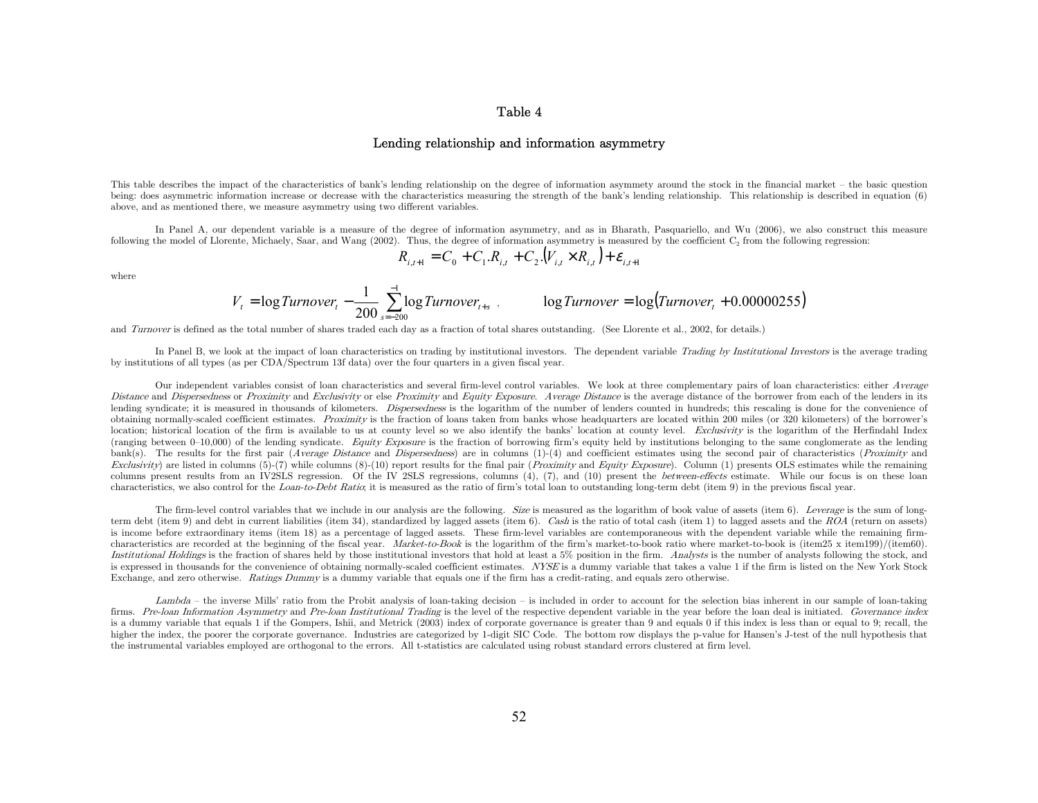#### Table 4

#### Lending relationship and information asymmetry

This table describes the impact of the characteristics of bank's lending relationship on the degree of information asymmety around the stock in the financial market — the basic question being: does asymmetric information increase or decrease with the characteristics measuring the strength of the bank's lending relationship. This relationship is described in equation (6) above, and as mentioned there, we measure asymmetry using two different variables.

In Panel A, our dependent variable is a measure of the degree of information asymmetry, and as in Bharath, Pasquariello, and Wu (2006), we also construct this measure following the model of Llorente, Michaely, Saar, and Wang (2002). Thus, the degree of information asymmetry is measured by the coefficient  $C_2$  from the following regression:

$$
R_{i,t+1} = C_0 + C_1.R_{i,t} + C_2.(V_{i,t} \times R_{i,t}) + \varepsilon_{i,t+1}
$$

where

$$
V_t = \log Turnover_t - \frac{1}{200} \sum_{s=-200}^{-1} \log Turnover_{t+s} ,
$$
 
$$
\log Turnover = \log(Turnover_t + 0.00000255)
$$

and *Turnover* is defined as the total number of shares traded each day as a fraction of total shares outstanding. (See Llorente et al., 2002, for details.)

In Panel B, we look at the impact of loan characteristics on trading by institutional investors. The dependent variable Trading by Institutional Investors is the average trading by institutions of all types (as per CDA/Spectrum 13f data) over the four quarters in a given fiscal year.

Our independent variables consist of loan characteristics and several firm-level control variables. We look at three complementary pairs of loan characteristics: either *Average* Distance and Dispersedness or Proximity and Exclusivity or else Proximity and Equity Exposure. Average Distance is the average distance of the borrower from each of the lenders in its lending syndicate; it is measured in thousands of kilometers. *Dispersedness* is the logarithm of the number of lenders counted in hundreds; this rescaling is done for the convenience of obtaining normally-scaled coefficient estimates. Proximity is the fraction of loans taken from banks whose headquarters are located within 200 miles (or 320 kilometers) of the borrower's location; historical location of the firm is available to us at county level so we also identify the banks' location at county level. Exclusivity is the logarithm of the Herfindahl Index (ranging between  $0-10,000$ ) of the lending syndicate. Equity Exposure is the fraction of borrowing firm's equity held by institutions belonging to the same conglomerate as the lending bank(s). The results for the first pair (Average Distance and Dispersedness) are in columns (1)-(4) and coefficient estimates using the second pair of characteristics (Proximity and Exclusivity) are listed in columns  $(5)-(7)$  while columns  $(8)-(10)$  report results for the final pair (*Proximity* and *Equity Exposure*). Column (1) presents OLS estimates while the remaining columns present results from an IV2SLS regression. Of the IV 2SLS regressions, columns (4), (7), and (10) present the *between-effects* estimate. While our focus is on these loan characteristics, we also control for the *Loan-to-Debt Ratio*; it is measured as the ratio of firm's total loan to outstanding long-term debt (item 9) in the previous fiscal year.

The firm-level control variables that we include in our analysis are the following. Size is measured as the logarithm of book value of assets (item  $6$ ). Leverage is the sum of longterm debt (item 9) and debt in current liabilities (item 34), standardized by lagged assets (item 6). Cash is the ratio of total cash (item 1) to lagged assets and the ROA (return on assets) is income before extraordinary items (item 18) as a percentage of lagged assets. These firm-level variables are contemporaneous with the dependent variable while the remaining firmcharacteristics are recorded at the beginning of the fiscal year. Market-to-Book is the logarithm of the firm's market-to-book ratio where market-to-book is (item25 x item199)/(item60). Institutional Holdings is the fraction of shares held by those institutional investors that hold at least a 5% position in the firm. Analysts is the number of analysts following the stock, and is expressed in thousands for the convenience of obtaining normally-scaled coefficient estimates. NYSE is a dummy variable that takes a value 1 if the firm is listed on the New York Stock Exchange, and zero otherwise. Ratings Dummy is a dummy variable that equals one if the firm has a credit-rating, and equals zero otherwise.

Lambda – the inverse Mills' ratio from the Probit analysis of loan-taking decision – is included in order to account for the selection bias inherent in our sample of loan-taking firms. Pre-loan Information Asymmetry and Pre-loan Institutional Trading is the level of the respective dependent variable in the year before the loan deal is initiated. Governance index is a dummy variable that equals 1 if the Gompers, Ishii, and Metrick (2003) index of corporate governance is greater than 9 and equals 0 if this index is less than or equal to 9; recall, the higher the index, the poorer the corporate governance. Industries are categorized by 1-digit SIC Code. The bottom row displays the p-value for Hansen's J-test of the null hypothesis that the instrumental variables employed are orthogonal to the errors. All t-statistics are calculated using robust standard errors clustered at firm level.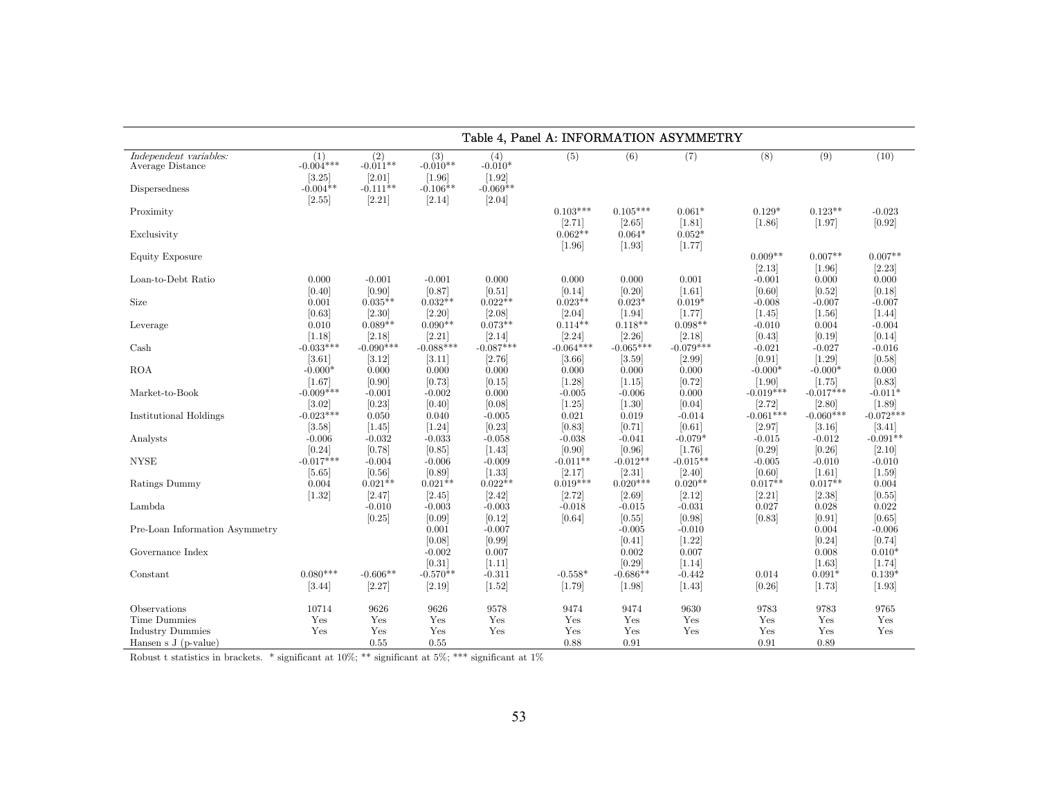|                                                                 | Table 4, Panel A: INFORMATION ASYMMETRY    |                                             |                                             |                                          |                                    |                                    |                                     |                                   |                                   |                                  |  |  |
|-----------------------------------------------------------------|--------------------------------------------|---------------------------------------------|---------------------------------------------|------------------------------------------|------------------------------------|------------------------------------|-------------------------------------|-----------------------------------|-----------------------------------|----------------------------------|--|--|
| Independent variables:<br>Average Distance<br>Dispersedness     | (1)<br>$-0.004***$<br>[3.25]<br>$-0.004**$ | (2)<br>$-0.011**$<br>$[2.01]$<br>$-0.111**$ | (3)<br>$-0.010**$<br>$[1.96]$<br>$-0.106**$ | (4)<br>$-0.010*$<br>[1.92]<br>$-0.069**$ | (5)                                | (6)                                | (7)                                 | (8)                               | (9)                               | (10)                             |  |  |
| Proximity                                                       | [2.55]                                     | [2.21]                                      | [2.14]                                      | [2.04]                                   | $0.103***$<br>[2.71]               | $0.105***$<br>$[2.65]$             | $0.061*$<br>[1.81]                  | $0.129*$<br>[1.86]                | $0.123**$<br>$[1.97]$             | $-0.023$<br>[0.92]               |  |  |
| Exclusivity                                                     |                                            |                                             |                                             |                                          | $0.062**$<br>[1.96]                | $0.064*$<br>$[1.93]$               | $0.052*$<br>[1.77]                  |                                   |                                   |                                  |  |  |
| Equity Exposure                                                 |                                            |                                             |                                             |                                          |                                    |                                    |                                     | $0.009**$<br>[2.13]               | $0.007**$<br>$[1.96]$             | $0.007**$<br>[2.23]              |  |  |
| Loan-to-Debt Ratio                                              | 0.000<br>[0.40]                            | $-0.001$<br>$[0.90]$                        | $-0.001$<br>[0.87]<br>$0.032**$             | 0.000<br>[0.51]<br>$0.022**$             | 0.000<br>[0.14]<br>$0.023**$       | 0.000<br>[0.20]                    | 0.001<br>$[1.61]$                   | $-0.001$<br>[0.60]                | 0.000<br>[0.52]                   | 0.000<br>[0.18]                  |  |  |
| Size<br>Leverage                                                | 0.001<br>[0.63]<br>0.010                   | $0.035**$<br>[2.30]<br>$0.089**$            | [2.20]<br>$0.090**$                         | [2.08]<br>$0.073**$                      | [2.04]<br>$0.114**$                | $0.023*$<br>$[1.94]$<br>$0.118**$  | $0.019*$<br>[1.77]<br>$0.098**$     | $-0.008$<br>$[1.45]$<br>$-0.010$  | $-0.007$<br>$[1.56]$<br>0.004     | $-0.007$<br>$[1.44]$<br>$-0.004$ |  |  |
| Cash                                                            | [1.18]<br>$-0.033***$                      | [2.18]<br>$-0.090***$                       | [2.21]<br>$-0.088***$                       | [2.14]<br>$-0.087***$                    | [2.24]<br>$-0.064***$              | [2.26]<br>$-0.065***$              | [2.18]<br>$-0.079***$               | [0.43]<br>$-0.021$                | [0.19]<br>$-0.027$                | [0.14]<br>$-0.016$               |  |  |
| <b>ROA</b>                                                      | [3.61]<br>$-0.000*$                        | [3.12]<br>0.000                             | [3.11]<br>0.000                             | [2.76]<br>0.000                          | [3.66]<br>0.000                    | [3.59]<br>0.000                    | [2.99]<br>0.000                     | [0.91]<br>$-0.000*$               | $[1.29]$<br>$-0.000*$             | [0.58]<br>0.000                  |  |  |
| Market-to-Book                                                  | [1.67]<br>$-0.009***$<br>[3.02]            | [0.90]<br>$-0.001$<br>[0.23]                | [0.73]<br>$-0.002$<br>[0.40]                | [0.15]<br>0.000<br>[0.08]                | [1.28]<br>$-0.005$<br>$[1.25]$     | [1.15]<br>$-0.006$<br>$[1.30]$     | [0.72]<br>0.000<br>[0.04]           | $[1.90]$<br>$-0.019***$<br>[2.72] | [1.75]<br>$-0.017***$<br>[2.80]   | [0.83]<br>$-0.011*$<br>[1.89]    |  |  |
| Institutional Holdings                                          | $-0.023***$<br>[3.58]                      | 0.050<br>[1.45]                             | 0.040<br>$[1.24]$                           | $-0.005$<br>[0.23]                       | 0.021<br>[0.83]                    | 0.019<br>[0.71]                    | $-0.014$<br>[0.61]                  | $-0.061***$<br>[2.97]             | $-0.060***$<br>[3.16]             | $-0.072***$<br>[3.41]            |  |  |
| Analysts                                                        | $-0.006$<br>[0.24]                         | $-0.032$<br>[0.78]                          | $-0.033$<br>[0.85]                          | $-0.058$<br>[1.43]                       | $-0.038$<br>[0.90]                 | $-0.041$<br>[0.96]                 | $-0.079*$<br>[1.76]                 | $-0.015$<br>[0.29]                | $-0.012$<br>[0.26]                | $-0.091**$<br>[2.10]             |  |  |
| $\ensuremath{\text{NYSE}}$<br>Ratings Dummy                     | $-0.017***$<br>$[5.65]$<br>0.004           | $-0.004$<br>[0.56]<br>$0.021**$             | $-0.006$<br>[0.89]<br>$0.021**$             | $-0.009$<br>$[1.33]$<br>$0.022**$        | $-0.011**$<br>[2.17]<br>$0.019***$ | $-0.012**$<br>[2.31]<br>$0.020***$ | $-0.015**$<br>$[2.40]$<br>$0.020**$ | $-0.005$<br>[0.60]<br>$0.017**$   | $-0.010$<br>$[1.61]$<br>$0.017**$ | $-0.010$<br>$[1.59]$<br>0.004    |  |  |
| Lambda                                                          | [1.32]                                     | [2.47]<br>$-0.010$                          | [2.45]<br>$-0.003$                          | [2.42]<br>$-0.003$                       | [2.72]<br>$-0.018$                 | $[2.69]$<br>$-0.015$               | [2.12]<br>$-0.031$                  | [2.21]<br>0.027                   | [2.38]<br>0.028                   | [0.55]<br>0.022                  |  |  |
| Pre-Loan Information Asymmetry                                  |                                            | [0.25]                                      | [0.09]<br>0.001<br>[0.08]                   | [0.12]<br>$-0.007$<br>[0.99]             | [0.64]                             | [0.55]<br>$-0.005$<br>[0.41]       | [0.98]<br>$-0.010$<br>$[1.22]$      | [0.83]                            | [0.91]<br>0.004<br>[0.24]         | [0.65]<br>$-0.006$<br>[0.74]     |  |  |
| Governance Index                                                |                                            |                                             | $-0.002$<br>[0.31]                          | 0.007<br>$[1.11]$                        |                                    | 0.002<br>[0.29]                    | 0.007<br>[1.14]                     |                                   | 0.008<br>$[1.63]$                 | $0.010*$<br>[1.74]               |  |  |
| Constant                                                        | $0.080***$<br>[3.44]                       | $-0.606**$<br>[2.27]                        | $-0.570**$<br>[2.19]                        | $-0.311$<br>$[1.52]$                     | $-0.558*$<br>[1.79]                | $-0.686**$<br>$[1.98]$             | $-0.442$<br>[1.43]                  | 0.014<br>[0.26]                   | $0.091*$<br>[1.73]                | $0.139*$<br>$[1.93]$             |  |  |
| Observations                                                    | 10714                                      | 9626                                        | 9626                                        | 9578                                     | 9474                               | 9474                               | 9630                                | 9783                              | 9783                              | 9765                             |  |  |
| Time Dummies<br><b>Industry Dummies</b><br>Hansen s J (p-value) | Yes<br>Yes                                 | Yes<br>Yes<br>0.55                          | Yes<br>Yes<br>0.55                          | Yes<br>Yes                               | Yes<br>Yes<br>0.88                 | Yes<br>Yes<br>0.91                 | Yes<br>Yes                          | Yes<br>Yes<br>0.91                | Yes<br>Yes<br>0.89                | Yes<br>Yes                       |  |  |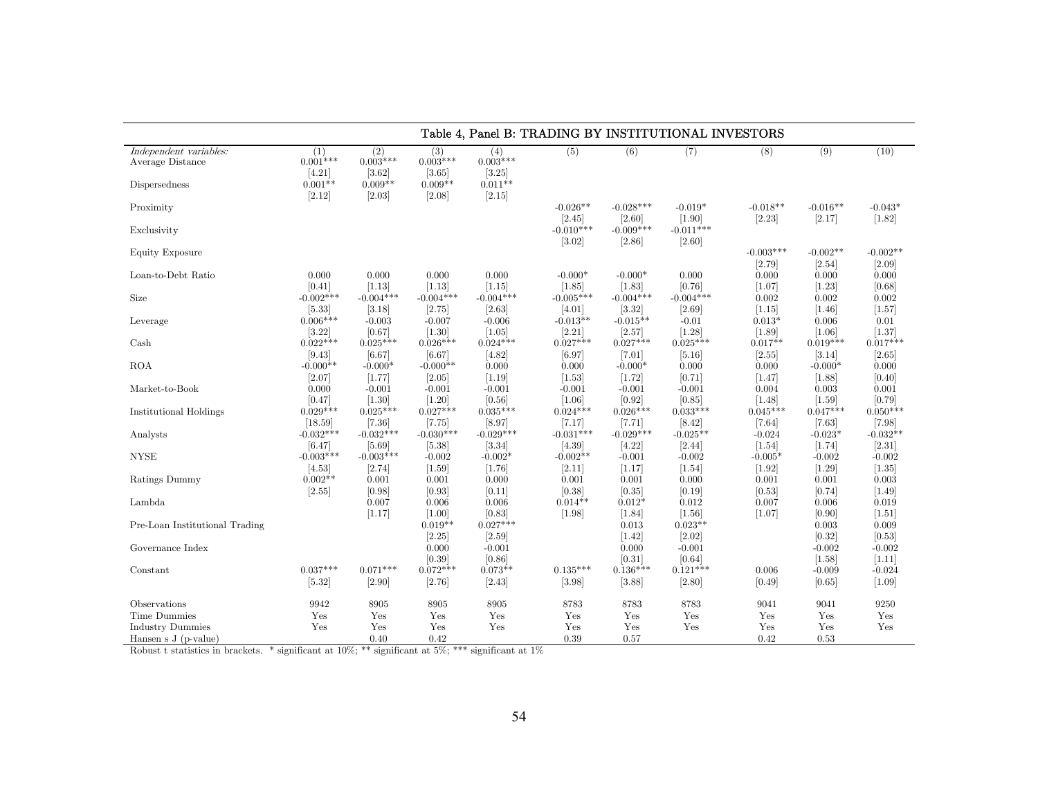|                                                             | Table 4, Panel B: TRADING BY INSTITUTIONAL INVESTORS |                                                    |                                                      |                                                    |                        |                               |                                 |                       |                           |                             |  |  |
|-------------------------------------------------------------|------------------------------------------------------|----------------------------------------------------|------------------------------------------------------|----------------------------------------------------|------------------------|-------------------------------|---------------------------------|-----------------------|---------------------------|-----------------------------|--|--|
| Independent variables:<br>Average Distance<br>Dispersedness | (1)<br>$0.001***$<br>$[4.21]$<br>$0.001**$<br>[2.12] | (2)<br>$0.003***$<br>[3.62]<br>$0.009**$<br>[2.03] | (3)<br>$0.003***$<br>$[3.65]$<br>$0.009**$<br>[2.08] | (4)<br>$0.003***$<br>[3.25]<br>$0.011**$<br>[2.15] | (5)                    | (6)                           | (7)                             | (8)                   | (9)                       | (10)                        |  |  |
| Proximity                                                   |                                                      |                                                    |                                                      |                                                    | $-0.026**$<br>$[2.45]$ | $-0.028***$<br>$[2.60]$       | $-0.019*$<br>$[1.90]$           | $-0.018**$<br>[2.23]  | $-0.016**$<br>[2.17]      | $-0.043*$<br>$[1.82]$       |  |  |
| Exclusivity                                                 |                                                      |                                                    |                                                      |                                                    | $-0.010***$<br>[3.02]  | $-0.009***$<br>[2.86]         | $-0.011***$<br>[2.60]           |                       |                           |                             |  |  |
| <b>Equity Exposure</b>                                      |                                                      |                                                    |                                                      |                                                    |                        |                               |                                 | $-0.003***$<br>[2.79] | $-0.002**$<br>[2.54]      | $-0.002**$<br>$[2.09]$      |  |  |
| Loan-to-Debt Ratio                                          | 0.000<br>[0.41]                                      | 0.000<br>[1.13]                                    | 0.000<br>[1.13]                                      | 0.000<br>[1.15]                                    | $-0.000*$<br>$[1.85]$  | $-0.000*$<br>$[1.83]$         | 0.000<br>[0.76]                 | 0.000<br>[1.07]       | 0.000<br>$[1.23]$         | 0.000<br>[0.68]             |  |  |
| Size                                                        | $-0.002***$<br>[5.33]                                | $-0.004***$<br>[3.18]                              | $-0.004***$<br>[2.75]                                | $-0.004***$<br>[2.63]                              | $-0.005***$<br>[4.01]  | $-0.004***$<br>[3.32]         | $-0.004***$<br>[2.69]           | 0.002<br>$[1.15]$     | 0.002<br>$[1.46]$         | 0.002<br>$[1.57]$           |  |  |
| Leverage                                                    | $0.006***$<br>[3.22]                                 | $-0.003$<br>[0.67]                                 | $-0.007$<br>$[1.30]$                                 | $-0.006$<br>[1.05]                                 | $-0.013**$<br>[2.21]   | $-0.015**$<br>[2.57]          | $-0.01$<br>$[1.28]$             | $0.013*$<br>[1.89]    | 0.006<br>$[1.06]$         | 0.01<br>[1.37]              |  |  |
| Cash                                                        | $0.022***$<br>[9.43]                                 | $0.025***$<br>[6.67]                               | $0.026***$<br>[6.67]                                 | $0.024***$<br>[4.82]                               | $0.027***$<br>[6.97]   | $0.027***$<br>$[7.01]$        | $0.025***$<br>[5.16]            | $0.017**$<br>[2.55]   | $0.019***$<br>[3.14]      | $0.017***$<br>[2.65]        |  |  |
| <b>ROA</b>                                                  | $-0.000**$<br>[2.07]                                 | $-0.000*$<br>[1.77]                                | $-0.000**$<br>[2.05]                                 | 0.000<br>$[1.19]$                                  | 0.000<br>[1.53]        | $-0.000*$<br>[1.72]           | 0.000<br>[0.71]                 | 0.000<br>[1.47]       | $-0.000*$<br>$[1.88]$     | 0.000<br>[0.40]             |  |  |
| Market-to-Book                                              | 0.000<br>[0.47]                                      | $-0.001$<br>$[1.30]$                               | $-0.001$<br>$[1.20]$                                 | $-0.001$<br>[0.56]                                 | $-0.001$<br>$[1.06]$   | $-0.001$<br>[0.92]            | $-0.001$<br>[0.85]              | 0.004<br>$[1.48]$     | 0.003<br>$[1.59]$         | 0.001<br>[0.79]             |  |  |
| <b>Institutional Holdings</b>                               | $0.029***$<br>[18.59]                                | $0.025***$<br>[7.36]                               | $0.027***$<br>$[7.75]$                               | $0.035***$<br>[8.97]                               | $0.024***$<br>[7.17]   | $0.026***$<br>[7.71]          | $0.033***$<br>[8.42]            | $0.045***$<br>[7.64]  | $0.047***$<br>$[7.63]$    | $0.050***$<br>$[7.98]$      |  |  |
| Analysts                                                    | $-0.032***$                                          | $-0.032***$                                        | $-0.030***$                                          | $-0.029***$                                        | $-0.031***$            | $-0.029***$                   | $-0.025**$                      | $-0.024$              | $-0.023*$                 | $-0.032**$                  |  |  |
| <b>NYSE</b>                                                 | [6.47]<br>$-0.003***$                                | $[5.69]$<br>$-0.003***$                            | $[5.38]$<br>$-0.002$                                 | [3.34]<br>$-0.002*$                                | [4.39]<br>$-0.002**$   | [4.22]<br>$-0.001$            | $[2.44]$<br>$-0.002$            | [1.54]<br>$-0.005*$   | [1.74]<br>$-0.002$        | [2.31]<br>$-0.002$          |  |  |
| Ratings Dummy                                               | [4.53]<br>$0.002**$                                  | [2.74]<br>0.001                                    | $[1.59]$<br>0.001                                    | [1.76]<br>0.000                                    | $[2.11]$<br>0.001      | $[1.17]$<br>0.001             | $[1.54]$<br>0.000               | [1.92]<br>0.001       | $[1.29]$<br>0.001         | [1.35]<br>0.003             |  |  |
| Lambda                                                      | [2.55]                                               | [0.98]<br>0.007                                    | [0.93]<br>0.006                                      | [0.11]<br>0.006                                    | [0.38]<br>$0.014**$    | [0.35]<br>$0.012*$            | [0.19]<br>0.012                 | [0.53]<br>0.007       | [0.74]<br>0.006           | $[1.49]$<br>0.019           |  |  |
| Pre-Loan Institutional Trading                              |                                                      | [1.17]                                             | $[1.00]$<br>$0.019**$<br>[2.25]                      | [0.83]<br>$0.027***$<br>[2.59]                     | $[1.98]$               | $[1.84]$<br>0.013<br>$[1.42]$ | [1.56]<br>$0.023**$<br>$[2.02]$ | [1.07]                | [0.90]<br>0.003<br>[0.32] | $[1.51]$<br>0.009<br>[0.53] |  |  |
| Governance Index                                            |                                                      |                                                    | 0.000<br>[0.39]                                      | $-0.001$<br>[0.86]                                 |                        | 0.000<br>[0.31]               | $-0.001$<br>[0.64]              |                       | $-0.002$<br>$[1.58]$      | $-0.002$<br>$[1.11]$        |  |  |
| Constant                                                    | $0.037***$<br>[5.32]                                 | $0.071***$<br>[2.90]                               | $0.072***$<br>$[2.76]$                               | $0.073**$<br>[2.43]                                | $0.135***$<br>[3.98]   | $0.136***$<br>[3.88]          | $0.121***$<br>[2.80]            | 0.006<br>[0.49]       | $-0.009$<br>[0.65]        | $-0.024$<br>$[1.09]$        |  |  |
| Observations                                                | 9942                                                 | 8905                                               | 8905                                                 | 8905                                               | 8783                   | 8783                          | 8783                            | 9041                  | 9041                      | 9250                        |  |  |
| <b>Time Dummies</b>                                         | Yes                                                  | Yes                                                | Yes                                                  | Yes                                                | Yes                    | Yes                           | Yes                             | Yes<br>Yes            | Yes                       | Yes                         |  |  |
| <b>Industry Dummies</b><br>Hansen s $J(p-value)$            | Yes                                                  | Yes<br>0.40                                        | Yes<br>0.42                                          | Yes                                                | Yes<br>0.39            | Yes<br>0.57                   | Yes                             | 0.42                  | Yes<br>0.53               | Yes                         |  |  |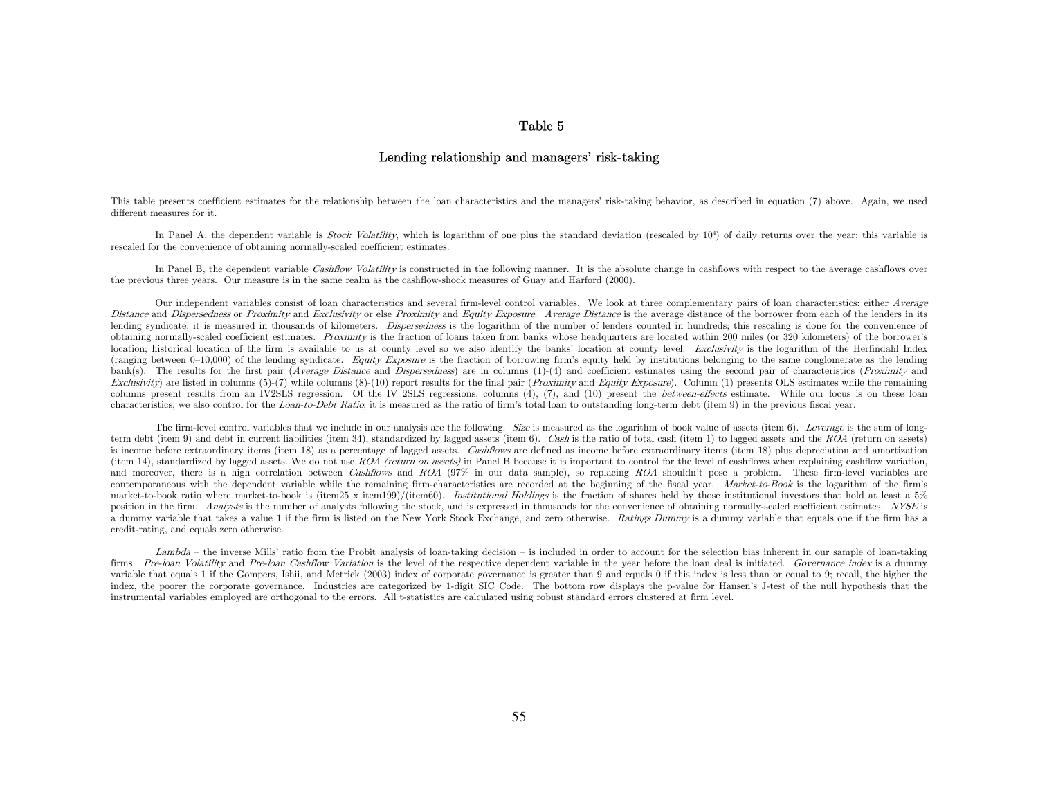#### Table 5

## Lending relationship and managers' risk-taking

This table presents coefficient estimates for the relationship between the loan characteristics and the managers' risk-taking behavior, as described in equation (7) above. Again, we used different measures for it.

In Panel A, the dependent variable is *Stock Volatility*, which is logarithm of one plus the standard deviation (rescaled by  $10<sup>4</sup>$ ) of daily returns over the year; this variable is rescaled for the convenience of obtaining normally-scaled coefficient estimates.

In Panel B, the dependent variable Cashflow Volatility is constructed in the following manner. It is the absolute change in cashflows with respect to the average cashflows over the previous three years. Our measure is in the same realm as the cashflow-shock measures of Guay and Harford (2000).

Our independent variables consist of loan characteristics and several firm-level control variables. We look at three complementary pairs of loan characteristics: either Average Distance and Dispersedness or Proximity and Exclusivity or else Proximity and Equity Exposure. Average Distance is the average distance of the borrower from each of the lenders in its lending syndicate; it is measured in thousands of kilometers. *Dispersedness* is the logarithm of the number of lenders counted in hundreds; this rescaling is done for the convenience of obtaining normally-scaled coefficient estimates. *Proximity* is the fraction of loans taken from banks whose headquarters are located within 200 miles (or 320 kilometers) of the borrower's location; historical location of the firm is available to us at county level so we also identify the banks' location at county level. Exclusivity is the logarithm of the Herfindahl Index (ranging between  $0-10,000$ ) of the lending syndicate. Equity Exposure is the fraction of borrowing firm's equity held by institutions belonging to the same conglomerate as the lending bank(s). The results for the first pair (*Average Distance* and *Dispersedness*) are in columns  $(1)-(4)$  and coefficient estimates using the second pair of characteristics (*Proximity* and Exclusivity) are listed in columns  $(5)-(7)$  while columns  $(8)-(10)$  report results for the final pair (*Proximity* and *Equity Exposure*). Column (1) presents OLS estimates while the remaining columns present results from an IV2SLS regression. Of the IV 2SLS regressions, columns (4), (7), and (10) present the *between-effects* estimate. While our focus is on these loan characteristics, we also control for the Loan-to-Debt Ratio; it is measured as the ratio of firm's total loan to outstanding long-term debt (item 9) in the previous fiscal year.

The firm-level control variables that we include in our analysis are the following. Size is measured as the logarithm of book value of assets (item 6). Leverage is the sum of longterm debt (item 9) and debt in current liabilities (item 34), standardized by lagged assets (item 6). Cash is the ratio of total cash (item 1) to lagged assets and the ROA (return on assets) is income before extraordinary items (item 18) as a percentage of lagged assets. Cashflows are defined as income before extraordinary items (item 18) plus depreciation and amortization (item 14), standardized by lagged assets. We do not use  $ROA$  (return on assets) in Panel B because it is important to control for the level of cashflows when explaining cashflow variation, and moreover, there is a high correlation between Cashflows and ROA (97% in our data sample), so replacing ROA shouldn't pose a problem. These firm-level variables are contemporaneous with the dependent variable while the remaining firm-characteristics are recorded at the beginning of the fiscal year. Market-to-Book is the logarithm of the firm's market-to-book ratio where market-to-book is (item25 x item199)/(item60). Institutional Holdings is the fraction of shares held by those institutional investors that hold at least a 5% position in the firm. Analysts is the number of analysts following the stock, and is expressed in thousands for the convenience of obtaining normally-scaled coefficient estimates. NYSE is a dummy variable that takes a value 1 if the firm is listed on the New York Stock Exchange, and zero otherwise. Ratings Dummy is a dummy variable that equals one if the firm has a credit-rating, and equals zero otherwise.

Lambda – the inverse Mills' ratio from the Probit analysis of loan-taking decision – is included in order to account for the selection bias inherent in our sample of loan-taking firms. Pre-loan Volatility and Pre-loan Cashflow Variation is the level of the respective dependent variable in the year before the loan deal is initiated. Governance index is a dummy variable that equals 1 if the Gompers, Ishii, and Metrick (2003) index of corporate governance is greater than 9 and equals 0 if this index is less than or equal to 9; recall, the higher the index, the poorer the corporate governance. Industries are categorized by 1-digit SIC Code. The bottom row displays the p-value for Hansen's J-test of the null hypothesis that the instrumental variables employed are orthogonal to the errors. All t-statistics are calculated using robust standard errors clustered at firm level.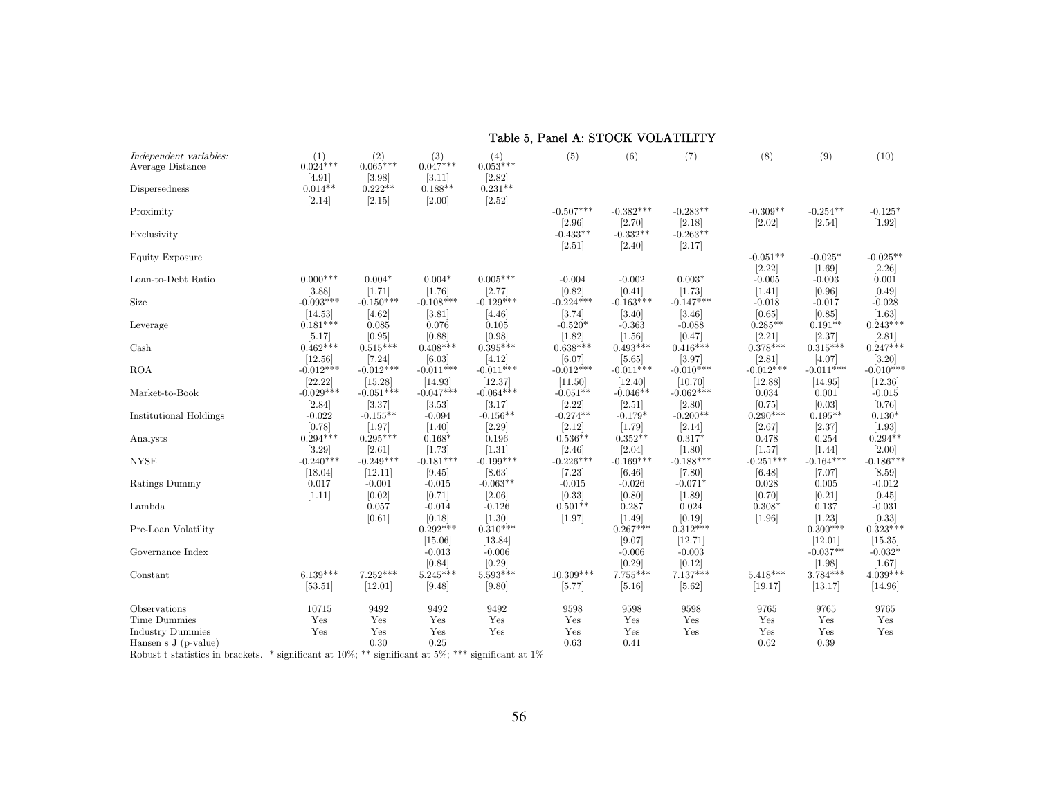|                                                                  | Table 5, Panel A: STOCK VOLATILITY                 |                                                    |                                                    |                                                    |                        |                                  |                                |                        |                                   |                                 |  |  |
|------------------------------------------------------------------|----------------------------------------------------|----------------------------------------------------|----------------------------------------------------|----------------------------------------------------|------------------------|----------------------------------|--------------------------------|------------------------|-----------------------------------|---------------------------------|--|--|
| Independent variables:<br>Average Distance<br>Dispersedness      | (1)<br>$0.024***$<br>[4.91]<br>$0.014**$<br>[2.14] | (2)<br>$0.065***$<br>[3.98]<br>$0.222**$<br>[2.15] | (3)<br>$0.047***$<br>[3.11]<br>$0.188**$<br>[2.00] | (4)<br>$0.053***$<br>[2.82]<br>$0.231**$<br>[2.52] | (5)                    | (6)                              | (7)                            | (8)                    | (9)                               | (10)                            |  |  |
| Proximity                                                        |                                                    |                                                    |                                                    |                                                    | $-0.507***$<br>[2.96]  | $-0.382***$<br>[2.70]            | $-0.283**$<br>[2.18]           | $-0.309**$<br>$[2.02]$ | $-0.254**$<br>$[2.54]$            | $-0.125*$<br>[1.92]             |  |  |
| Exclusivity                                                      |                                                    |                                                    |                                                    |                                                    | $-0.433**$<br>[2.51]   | $-0.332**$<br>$[2.40]$           | $-0.263**$<br>[2.17]           |                        |                                   |                                 |  |  |
| Equity Exposure                                                  |                                                    |                                                    |                                                    |                                                    |                        |                                  |                                | $-0.051**$<br>[2.22]   | $-0.025*$<br>[1.69]               | $-0.025**$<br>[2.26]            |  |  |
| Loan-to-Debt Ratio                                               | $0.000***$<br>[3.88]                               | $0.004*$<br>[1.71]                                 | $0.004*$<br>[1.76]                                 | $0.005***$<br>[2.77]                               | $-0.004$<br>[0.82]     | $-0.002$<br>[0.41]               | $0.003*$<br>[1.73]             | $-0.005$<br>$[1.41]$   | $-0.003$<br>[0.96]                | 0.001<br>[0.49]                 |  |  |
| Size                                                             | $-0.093***$<br>[14.53]                             | $-0.150***$<br>[4.62]                              | $-0.108***$<br>[3.81]                              | $-0.129***$<br>[4.46]                              | $-0.224***$<br>[3.74]  | $-0.163***$<br>[3.40]            | $-0.147***$<br>[3.46]          | $-0.018$<br>[0.65]     | $-0.017$<br>[0.85]                | $-0.028$<br>[1.63]              |  |  |
| Leverage                                                         | $0.181***$<br>[5.17]                               | 0.085<br>[0.95]                                    | 0.076<br>[0.88]                                    | 0.105<br>[0.98]                                    | $-0.520*$<br>$[1.82]$  | $-0.363$<br>$[1.56]$             | $-0.088$<br>[0.47]             | $0.285**$<br>[2.21]    | $0.191**$<br>[2.37]               | $0.243***$<br>[2.81]            |  |  |
| Cash                                                             | $0.462***$<br>[12.56]                              | $0.515***$<br>[7.24]                               | $0.408***$<br>[6.03]                               | $0.395***$<br>[4.12]                               | $0.638***$<br>[6.07]   | $0.493***$<br>$[5.65]$           | $0.416***$<br>[3.97]           | $0.378***$<br>[2.81]   | $0.315***$<br>[4.07]              | $0.247***$<br>[3.20]            |  |  |
| <b>ROA</b>                                                       | $-0.012***$<br>[22.22]                             | $-0.012***$<br>[15.28]                             | $-0.011***$<br>[14.93]                             | $-0.011***$<br>[12.37]                             | $-0.012***$<br>[11.50] | $-0.011***$<br>[12.40]           | $-0.010***$<br>[10.70]         | $-0.012***$<br>[12.88] | $-0.011***$<br>[14.95]            | $-0.010***$<br>[12.36]          |  |  |
| Market-to-Book                                                   | $-0.029***$                                        | $-0.051***$<br>[3.37]                              | $-0.047***$                                        | $-0.064***$<br>[3.17]                              | $-0.051**$<br>[2.22]   | $-0.046**$                       | $-0.062***$<br>[2.80]          | 0.034<br>[0.75]        | 0.001<br>[0.03]                   | $-0.015$<br>[0.76]              |  |  |
| Institutional Holdings                                           | [2.84]<br>$-0.022$                                 | $-0.155**$                                         | [3.53]<br>$-0.094$                                 | $-0.156**$                                         | $-0.274**$             | $[2.51]$<br>$-0.179*$            | $-0.200**$                     | $0.290***$             | $0.195**$                         | $0.130*$                        |  |  |
| Analysts                                                         | [0.78]<br>$0.294***$                               | [1.97]<br>$0.295***$                               | $[1.40]$<br>$0.168*$                               | [2.29]<br>0.196                                    | [2.12]<br>$0.536**$    | [1.79]<br>$0.352**$              | [2.14]<br>$0.317*$             | [2.67]<br>0.478        | [2.37]<br>0.254                   | $[1.93]$<br>$0.294**$           |  |  |
| <b>NYSE</b>                                                      | [3.29]<br>$-0.240***$                              | [2.61]<br>$-0.249***$                              | [1.73]<br>$-0.181***$                              | $[1.31]$<br>$-0.199***$                            | [2.46]<br>$-0.226***$  | [2.04]<br>$-0.169***$            | [1.80]<br>$-0.188***$          | [1.57]<br>$-0.251***$  | $[1.44]$<br>$-0.164***$           | [2.00]<br>$-0.186***$           |  |  |
| Ratings Dummy                                                    | [18.04]<br>0.017                                   | [12.11]<br>$-0.001$                                | [9.45]<br>$-0.015$                                 | [8.63]<br>$-0.063**$                               | [7.23]<br>$-0.015$     | $[6.46]$<br>$-0.026$             | [7.80]<br>$-0.071*$            | [6.48]<br>0.028        | [7.07]<br>0.005                   | $[8.59]$<br>$-0.012$            |  |  |
| Lambda                                                           | $[1.11]$                                           | [0.02]<br>0.057                                    | [0.71]<br>$-0.014$                                 | [2.06]<br>$-0.126$                                 | [0.33]<br>$0.501**$    | [0.80]<br>0.287                  | $[1.89]$<br>0.024              | [0.70]<br>$0.308*$     | [0.21]<br>0.137                   | [0.45]<br>$-0.031$              |  |  |
| Pre-Loan Volatility                                              |                                                    | [0.61]                                             | [0.18]<br>$0.292***$                               | $[1.30]$<br>$0.310***$                             | [1.97]                 | $[1.49]$<br>$0.267***$           | [0.19]<br>$0.312***$           | $[1.96]$               | $[1.23]$<br>$0.300***$            | [0.33]<br>$0.323***$            |  |  |
| Governance Index                                                 |                                                    |                                                    | [15.06]<br>$-0.013$                                | [13.84]<br>$-0.006$                                |                        | [9.07]<br>$-0.006$               | [12.71]<br>$-0.003$            |                        | [12.01]<br>$-0.037**$             | [15.35]<br>$-0.032*$            |  |  |
| Constant                                                         | $6.139***$<br>[53.51]                              | $7.252***$<br>[12.01]                              | [0.84]<br>$5.245***$<br>[9.48]                     | [0.29]<br>$5.593***$<br>[9.80]                     | $10.309***$<br>[5.77]  | [0.29]<br>$7.755***$<br>$[5.16]$ | [0.12]<br>$7.137***$<br>[5.62] | $5.418***$<br>[19.17]  | $[1.98]$<br>$3.784***$<br>[13.17] | $[1.67]$<br>4.039***<br>[14.96] |  |  |
| Observations                                                     | 10715                                              | 9492                                               | 9492                                               | 9492                                               | 9598                   | 9598                             | 9598                           | 9765                   | 9765                              | 9765                            |  |  |
| Time Dummies<br><b>Industry Dummies</b><br>Hansen s $J(p-value)$ | Yes<br>Yes                                         | Yes<br>Yes<br>0.30                                 | Yes<br>Yes<br>0.25                                 | Yes<br>Yes                                         | Yes<br>Yes<br>0.63     | Yes<br>Yes<br>0.41               | Yes<br>Yes                     | Yes<br>Yes<br>0.62     | Yes<br>Yes<br>0.39                | Yes<br>Yes                      |  |  |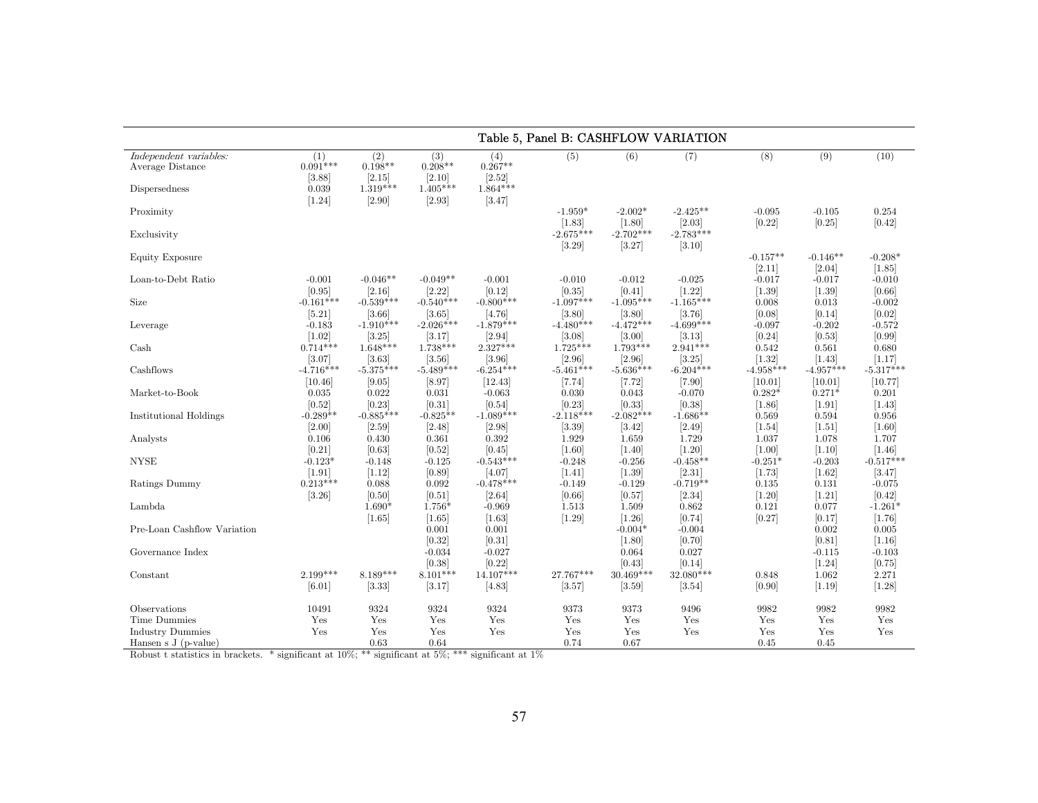|                                                                   | Table 5, Panel B: CASHFLOW VARIATION             |                                                    |                                                    |                                                    |                                    |                                    |                                      |                      |                      |                     |  |  |
|-------------------------------------------------------------------|--------------------------------------------------|----------------------------------------------------|----------------------------------------------------|----------------------------------------------------|------------------------------------|------------------------------------|--------------------------------------|----------------------|----------------------|---------------------|--|--|
| Independent variables:<br>Average Distance<br>Dispersedness       | (1)<br>$0.091***$<br>[3.88]<br>0.039<br>$[1.24]$ | (2)<br>$0.198**$<br>[2.15]<br>$1.319***$<br>[2.90] | (3)<br>$0.208**$<br>[2.10]<br>$1.405***$<br>[2.93] | (4)<br>$0.267**$<br>[2.52]<br>$1.864***$<br>[3.47] | (5)                                | (6)                                | (7)                                  | (8)                  | (9)                  | (10)                |  |  |
| Proximity<br>Exclusivity                                          |                                                  |                                                    |                                                    |                                                    | $-1.959*$<br>[1.83]<br>$-2.675***$ | $-2.002*$<br>[1.80]<br>$-2.702***$ | $-2.425***$<br>[2.03]<br>$-2.783***$ | $-0.095$<br>$[0.22]$ | $-0.105$<br>[0.25]   | 0.254<br>[0.42]     |  |  |
| Equity Exposure                                                   |                                                  |                                                    |                                                    |                                                    | [3.29]                             | [3.27]                             | [3.10]                               | $-0.157**$<br>[2.11] | $-0.146**$<br>[2.04] | $-0.208*$<br>[1.85] |  |  |
| Loan-to-Debt Ratio                                                | $-0.001$                                         | $-0.046**$                                         | $-0.049**$                                         | $-0.001$                                           | $-0.010$                           | $-0.012$                           | $-0.025$                             | $-0.017$             | $-0.017$             | $-0.010$            |  |  |
|                                                                   | [0.95]                                           | [2.16]                                             | [2.22]                                             | [0.12]                                             | [0.35]                             | [0.41]                             | [1.22]                               | $[1.39]$             | $[1.39]$             | [0.66]              |  |  |
| <b>Size</b>                                                       | $-0.161***$                                      | $-0.539***$                                        | $-0.540***$                                        | $-0.800***$                                        | $-1.097***$                        | $-1.095***$                        | $-1.165***$                          | 0.008                | 0.013                | $-0.002$            |  |  |
|                                                                   | $[5.21]$                                         | [3.66]                                             | [3.65]                                             | [4.76]                                             | [3.80]                             | [3.80]                             | [3.76]                               | [0.08]               | [0.14]               | [0.02]              |  |  |
| Leverage                                                          | $-0.183$                                         | $-1.910***$                                        | $-2.026***$                                        | $-1.879***$                                        | $-4.480***$                        | $-4.472***$                        | $-4.699***$                          | $-0.097$             | $-0.202$             | $-0.572$            |  |  |
|                                                                   | $[1.02]$                                         | [3.25]                                             | [3.17]                                             | $[2.94]$                                           | [3.08]                             | [3.00]                             | 3.13                                 | [0.24]               | [0.53]               | [0.99]              |  |  |
| Cash                                                              | $0.714***$                                       | $1.648***$                                         | $1.738***$                                         | $2.327***$                                         | $1.725***$                         | $1.793***$                         | $2.941***$                           | 0.542                | 0.561                | 0.680               |  |  |
|                                                                   | [3.07]                                           | [3.63]                                             | [3.56]                                             | [3.96]                                             | [2.96]                             | [2.96]                             | [3.25]                               | $[1.32]$             | [1.43]               | [1.17]              |  |  |
| Cashflows                                                         | $-4.716***$                                      | $-5.375***$                                        | $-5.489***$                                        | $-6.254***$                                        | $-5.461***$                        | $-5.636***$                        | $-6.204***$                          | $-4.958***$          | $-4.957***$          | $-5.317***$         |  |  |
|                                                                   | [10.46]                                          | [9.05]                                             | [8.97]                                             | [12.43]                                            | [7.74]                             | $[7.72]$                           | $[7.90]$                             | [10.01]              | [10.01]              | [10.77]             |  |  |
| Market-to-Book                                                    | 0.035                                            | 0.022                                              | 0.031                                              | $-0.063$                                           | 0.030                              | 0.043                              | $-0.070$                             | $0.282*$             | $0.271*$             | 0.201               |  |  |
|                                                                   | [0.52]                                           | [0.23]                                             | [0.31]                                             | [0.54]                                             | [0.23]                             | [0.33]                             | [0.38]                               | [1.86]               | $[1.91]$             | [1.43]              |  |  |
| <b>Institutional Holdings</b>                                     | $-0.289**$                                       | $-0.885***$                                        | $-0.825**$                                         | $-1.089***$                                        | $-2.118***$                        | $-2.082***$                        | $-1.686**$                           | 0.569                | 0.594                | 0.956               |  |  |
|                                                                   | $[2.00]$                                         | [2.59]                                             | [2.48]                                             | $[2.98]$                                           | [3.39]                             | [3.42]                             | $[2.49]$                             | $[1.54]$             | [1.51]               | [1.60]              |  |  |
| Analysts                                                          | 0.106                                            | 0.430                                              | 0.361                                              | 0.392                                              | 1.929                              | 1.659                              | 1.729                                | 1.037                | 1.078                | 1.707               |  |  |
|                                                                   | [0.21]                                           | [0.63]                                             | [0.52]                                             | [0.45]                                             | $[1.60]$                           | $[1.40]$                           | $[1.20]$                             | $[1.00]$             | $[1.10]$             | [1.46]              |  |  |
| $\ensuremath{\text{NYSE}}$                                        | $-0.123*$                                        | $-0.148$                                           | $-0.125$                                           | $-0.543***$                                        | $-0.248$                           | $-0.256$                           | $-0.458**$                           | $-0.251*$            | $-0.203$             | $-0.517***$         |  |  |
|                                                                   | $[1.91]$                                         | [1.12]                                             | [0.89]                                             | [4.07]                                             | $[1.41]$                           | $[1.39]$                           | [2.31]                               | [1.73]               | [1.62]               | [3.47]              |  |  |
| Ratings Dummy                                                     | $0.213***$                                       | 0.088                                              | 0.092                                              | $-0.478***$                                        | $-0.149$                           | $-0.129$                           | $-0.719**$                           | 0.135                | 0.131                | $-0.075$            |  |  |
|                                                                   | [3.26]                                           | [0.50]                                             | [0.51]                                             | [2.64]                                             | [0.66]                             | [0.57]                             | [2.34]                               | $[1.20]$             | [1.21]               | [0.42]              |  |  |
| Lambda                                                            |                                                  | $1.690*$<br>[1.65]                                 | 1.756*<br>[1.65]                                   | $-0.969$<br>[1.63]                                 | 1.513<br>$[1.29]$                  | 1.509<br>$[1.26]$                  | 0.862<br>[0.74]                      | 0.121<br>[0.27]      | 0.077<br>[0.17]      | $-1.261*$<br>[1.76] |  |  |
| Pre-Loan Cashflow Variation                                       |                                                  |                                                    | 0.001<br>[0.32]                                    | 0.001<br>[0.31]                                    |                                    | $-0.004*$<br>[1.80]                | $-0.004$<br>[0.70]                   |                      | 0.002<br>[0.81]      | 0.005<br>$[1.16]$   |  |  |
| Governance Index                                                  |                                                  |                                                    | $-0.034$<br>[0.38]                                 | $-0.027$<br>[0.22]                                 |                                    | 0.064<br>[0.43]                    | 0.027<br>[0.14]                      |                      | $-0.115$<br>$[1.24]$ | $-0.103$<br>[0.75]  |  |  |
| Constant                                                          | $2.199***$                                       | $8.189***$                                         | $8.101***$                                         | $14.107***$                                        | 27.767***                          | $30.469***$                        | $32.080***$                          | 0.848                | 1.062                | 2.271               |  |  |
|                                                                   | [6.01]                                           | [3.33]                                             | [3.17]                                             | [4.83]                                             | [3.57]                             | [3.59]                             | [3.54]                               | [0.90]               | $[1.19]$             | $[1.28]$            |  |  |
| Observations                                                      | 10491                                            | 9324                                               | 9324                                               | 9324                                               | 9373                               | 9373                               | 9496                                 | 9982                 | 9982                 | 9982                |  |  |
| Time Dummies<br><b>Industry Dummies</b><br>Hansen s $J$ (p-value) | Yes<br>Yes                                       | Yes<br>Yes<br>0.63                                 | Yes<br>Yes<br>0.64                                 | Yes<br>Yes                                         | Yes<br>Yes<br>0.74                 | Yes<br>Yes<br>0.67                 | Yes<br>Yes                           | Yes<br>Yes<br>0.45   | Yes<br>Yes<br>0.45   | Yes<br>Yes          |  |  |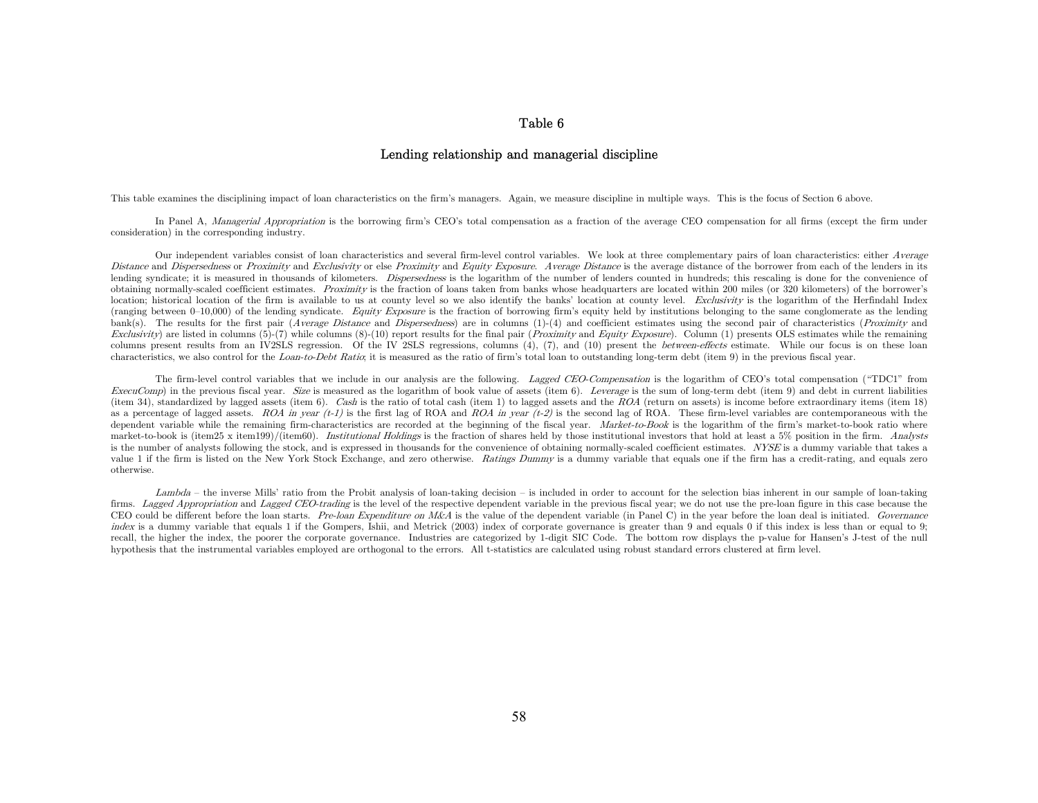## Table 6

#### Lending relationship and managerial discipline

This table examines the disciplining impact of loan characteristics on the firm's managers. Again, we measure discipline in multiple ways. This is the focus of Section 6 above.

In Panel A, Managerial Appropriation is the borrowing firm's CEO's total compensation as a fraction of the average CEO compensation for all firms (except the firm under consideration) in the corresponding industry.

Our independent variables consist of loan characteristics and several firm-level control variables. We look at three complementary pairs of loan characteristics: either Average Distance and Dispersedness or Proximity and Exclusivity or else Proximity and Equity Exposure. Average Distance is the average distance of the borrower from each of the lenders in its lending syndicate; it is measured in thousands of kilometers. *Dispersedness* is the logarithm of the number of lenders counted in hundreds; this rescaling is done for the convenience of obtaining normally-scaled coefficient estimates. *Proximity* is the fraction of loans taken from banks whose headquarters are located within 200 miles (or 320 kilometers) of the borrower's location; historical location of the firm is available to us at county level so we also identify the banks' location at county level. Exclusivity is the logarithm of the Herfindahl Index (ranging between  $0-10,000$ ) of the lending syndicate. Equity Exposure is the fraction of borrowing firm's equity held by institutions belonging to the same conglomerate as the lending bank(s). The results for the first pair (Average Distance and Dispersedness) are in columns  $(1)-(4)$  and coefficient estimates using the second pair of characteristics (Proximity and Exclusivity) are listed in columns (5)-(7) while columns (8)-(10) report results for the final pair (Proximity and Equity Exposure). Column (1) presents OLS estimates while the remaining columns present results from an IV2SLS regression. Of the IV 2SLS regressions, columns (4), (7), and (10) present the *between-effects* estimate. While our focus is on these loan characteristics, we also control for the Loan-to-Debt Ratio; it is measured as the ratio of firm's total loan to outstanding long-term debt (item 9) in the previous fiscal year.

The firm-level control variables that we include in our analysis are the following. Lagged CEO-Compensation is the logarithm of CEO's total compensation ("TDC1" from ExecuComp) in the previous fiscal year. Size is measured as the logarithm of book value of assets (item 6). Leverage is the sum of long-term debt (item 9) and debt in current liabilities (item 34), standardized by lagged assets (item 6). Cash is the ratio of total cash (item 1) to lagged assets and the ROA (return on assets) is income before extraordinary items (item 18) as a percentage of lagged assets. ROA in year  $(t-1)$  is the first lag of ROA and ROA in year  $(t-2)$  is the second lag of ROA. These firm-level variables are contemporaneous with the dependent variable while the remaining firm-characteristics are recorded at the beginning of the fiscal year. Market-to-Book is the logarithm of the firm's market-to-book ratio where market-to-book is (item25 x item199)/(item60). Institutional Holdings is the fraction of shares held by those institutional investors that hold at least a 5% position in the firm. Analysts is the number of analysts following the stock, and is expressed in thousands for the convenience of obtaining normally-scaled coefficient estimates. NYSE is a dummy variable that takes a value 1 if the firm is listed on the New York Stock Exchange, and zero otherwise. Ratings Dummy is a dummy variable that equals one if the firm has a credit-rating, and equals zero otherwise.

Lambda – the inverse Mills' ratio from the Probit analysis of loan-taking decision – is included in order to account for the selection bias inherent in our sample of loan-taking firms. Lagged Appropriation and Lagged CEO-trading is the level of the respective dependent variable in the previous fiscal year; we do not use the pre-loan figure in this case because the CEO could be different before the loan starts. Pre-loan Expenditure on M&A is the value of the dependent variable (in Panel C) in the year before the loan deal is initiated. Governance index is a dummy variable that equals 1 if the Gompers, Ishii, and Metrick (2003) index of corporate governance is greater than 9 and equals 0 if this index is less than or equal to 9; recall, the higher the index, the poorer the corporate governance. Industries are categorized by 1-digit SIC Code. The bottom row displays the p-value for Hansen's J-test of the null hypothesis that the instrumental variables employed are orthogonal to the errors. All t-statistics are calculated using robust standard errors clustered at firm level.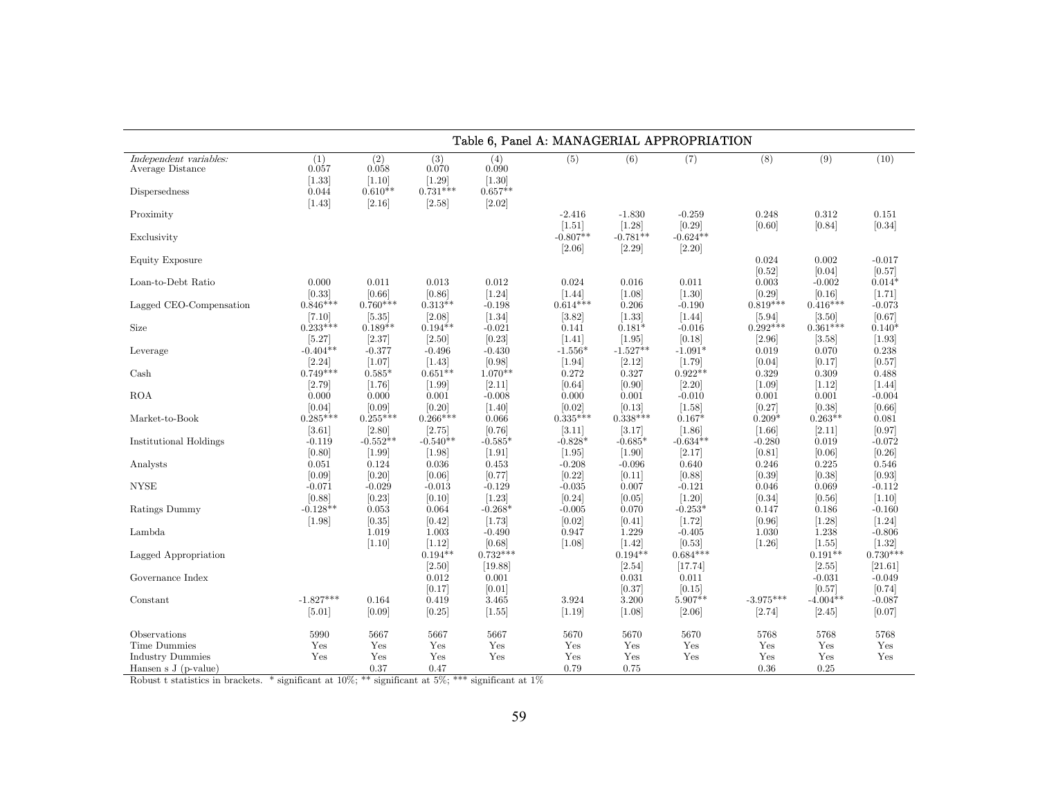|                                                                  | Table 6, Panel A: MANAGERIAL APPROPRIATION |                        |                                     |                                  |                      |                       |                        |                    |                       |                                    |  |  |  |
|------------------------------------------------------------------|--------------------------------------------|------------------------|-------------------------------------|----------------------------------|----------------------|-----------------------|------------------------|--------------------|-----------------------|------------------------------------|--|--|--|
| Independent variables:<br>Average Distance                       | (1)<br>0.057<br>$[1.33]$                   | (2)<br>0.058<br>[1.10] | (3)<br>0.070<br>$[1.29]$            | (4)<br>0.090<br>[1.30]           | (5)                  | (6)                   | (7)                    | (8)                | (9)                   | (10)                               |  |  |  |
| Dispersedness                                                    | 0.044<br>$[1.43]$                          | $0.610**$<br>[2.16]    | $0.731***$<br>[2.58]                | $0.657**$<br>[2.02]              |                      |                       |                        |                    |                       |                                    |  |  |  |
| Proximity                                                        |                                            |                        |                                     |                                  | $-2.416$<br>$[1.51]$ | $-1.830$<br>[1.28]    | $-0.259$<br>[0.29]     | 0.248<br>[0.60]    | 0.312<br>[0.84]       | 0.151<br>[0.34]                    |  |  |  |
| Exclusivity                                                      |                                            |                        |                                     |                                  | $-0.807**$<br>[2.06] | $-0.781**$<br>[2.29]  | $-0.624**$<br>$[2.20]$ |                    |                       |                                    |  |  |  |
| Equity Exposure                                                  |                                            |                        |                                     |                                  |                      |                       |                        | 0.024<br>[0.52]    | 0.002<br>[0.04]       | $-0.017$<br>[0.57]                 |  |  |  |
| Loan-to-Debt Ratio                                               | 0.000                                      | 0.011                  | 0.013                               | 0.012                            | 0.024                | 0.016                 | 0.011                  | 0.003              | $-0.002$              | $0.014*$                           |  |  |  |
|                                                                  | [0.33]                                     | [0.66]                 | [0.86]                              | $[1.24]$                         | [1.44]               | $[1.08]$              | $[1.30]$               | [0.29]             | [0.16]                | [1.71]                             |  |  |  |
| Lagged CEO-Compensation                                          | $0.846***$                                 | $0.760***$             | $0.313**$                           | $-0.198$                         | $0.614***$           | 0.206                 | $-0.190$               | $0.819***$         | $0.416***$            | $-0.073$                           |  |  |  |
|                                                                  | [7.10]                                     | [5.35]                 | [2.08]                              | [1.34]                           | [3.82]               | $[1.33]$              | [1.44]                 | [5.94]             | [3.50]                | [0.67]                             |  |  |  |
| Size                                                             | $0.233***$                                 | $0.189**$              | $0.194**$                           | $-0.021$                         | 0.141                | $0.181*$              | $-0.016$               | $0.292***$         | $0.361***$            | $0.140*$                           |  |  |  |
|                                                                  | [5.27]                                     | [2.37]                 | $[2.50]$                            | [0.23]                           | [1.41]               | $[1.95]$              | [0.18]                 | [2.96]             | [3.58]                | $[1.93]$                           |  |  |  |
| Leverage                                                         | $-0.404**$                                 | $-0.377$               | $-0.496$                            | $-0.430$                         | $-1.556*$            | $-1.527**$            | $-1.091*$              | 0.019              | 0.070                 | 0.238                              |  |  |  |
|                                                                  | [2.24]                                     | [1.07]                 | [1.43]                              | [0.98]                           | $[1.94]$             | [2.12]                | [1.79]                 | [0.04]             | [0.17]                | [0.57]                             |  |  |  |
| Cash                                                             | $0.749***$                                 | $0.585*$               | $0.651**$                           | $1.070**$                        | 0.272                | 0.327                 | $0.922**$              | 0.329              | 0.309                 | 0.488                              |  |  |  |
|                                                                  | [2.79]                                     | [1.76]                 | $[1.99]$                            | [2.11]                           | [0.64]               | [0.90]                | $[2.20]$               | $[1.09]$           | [1.12]                | $[1.44]$                           |  |  |  |
| <b>ROA</b>                                                       | 0.000                                      | 0.000                  | 0.001                               | $-0.008$                         | 0.000                | 0.001                 | $-0.010$               | 0.001              | 0.001                 | $-0.004$                           |  |  |  |
|                                                                  | [0.04]                                     | [0.09]                 | [0.20]                              | [1.40]                           | [0.02]               | [0.13]                | [1.58]                 | [0.27]             | [0.38]                | [0.66]                             |  |  |  |
| Market-to-Book                                                   | $0.285***$                                 | $0.255***$             | $0.266***$                          | 0.066                            | $0.335***$           | $0.338***$            | $0.167*$               | $0.209*$           | $0.263**$             | 0.081                              |  |  |  |
|                                                                  | [3.61]                                     | [2.80]                 | [2.75]                              | [0.76]                           | [3.11]               | [3.17]                | [1.86]                 | $[1.66]$           | [2.11]                | [0.97]                             |  |  |  |
| <b>Institutional Holdings</b>                                    | $-0.119$                                   | $-0.552**$             | $-0.540**$                          | $-0.585*$                        | $-0.828*$            | $-0.685*$             | $-0.634**$             | $-0.280$           | 0.019                 | $-0.072$                           |  |  |  |
|                                                                  | [0.80]                                     | $[1.99]$               | $[1.98]$                            | $[1.91]$                         | $[1.95]$             | $[1.90]$              | [2.17]                 | [0.81]             | [0.06]                | [0.26]                             |  |  |  |
| Analysts                                                         | 0.051                                      | 0.124                  | 0.036                               | 0.453                            | $-0.208$             | $-0.096$              | 0.640                  | 0.246              | 0.225                 | 0.546                              |  |  |  |
|                                                                  | [0.09]                                     | [0.20]                 | [0.06]                              | [0.77]                           | [0.22]               | [0.11]                | [0.88]                 | [0.39]             | [0.38]                | [0.93]                             |  |  |  |
| <b>NYSE</b>                                                      | $-0.071$                                   | $-0.029$               | $-0.013$                            | $-0.129$                         | $-0.035$             | 0.007                 | $-0.121$               | 0.046              | 0.069                 | $-0.112$                           |  |  |  |
|                                                                  | [0.88]                                     | [0.23]                 | [0.10]                              | [1.23]                           | [0.24]               | [0.05]                | $[1.20]$               | [0.34]             | [0.56]                | [1.10]                             |  |  |  |
| Ratings Dummy                                                    | $-0.128**$                                 | 0.053                  | 0.064                               | $-0.268*$                        | $-0.005$             | 0.070                 | $-0.253*$              | 0.147              | 0.186                 | $-0.160$                           |  |  |  |
|                                                                  | $[1.98]$                                   | [0.35]                 | [0.42]                              | [1.73]                           | [0.02]               | [0.41]                | [1.72]                 | [0.96]             | [1.28]                | $[1.24]$                           |  |  |  |
| Lambda                                                           |                                            | 1.019<br>$[1.10]$      | 1.003<br>$[1.12]$                   | $-0.490$<br>[0.68]<br>$0.732***$ | 0.947<br>[1.08]      | 1.229<br>$[1.42]$     | $-0.405$<br>[0.53]     | 1.030<br>$[1.26]$  | 1.238<br>$[1.55]$     | $-0.806$<br>$[1.32]$<br>$0.730***$ |  |  |  |
| Lagged Appropriation                                             |                                            |                        | $0.194**$<br>[2.50]                 | [19.88]                          |                      | $0.194**$<br>$[2.54]$ | $0.684***$<br>[17.74]  |                    | $0.191**$<br>$[2.55]$ | [21.61]                            |  |  |  |
| Governance Index                                                 |                                            |                        | 0.012<br>[0.17]                     | 0.001<br>[0.01]                  |                      | 0.031<br>[0.37]       | 0.011<br>[0.15]        |                    | $-0.031$<br>[0.57]    | $-0.049$<br>[0.74]                 |  |  |  |
| Constant                                                         | $-1.827***$                                | 0.164                  | 0.419                               | 3.465                            | 3.924                | 3.200                 | $5.907**$              | $-3.975***$        | $-4.004**$            | $-0.087$                           |  |  |  |
|                                                                  | $[5.01]$                                   | [0.09]                 | [0.25]                              | [1.55]                           | $[1.19]$             | $[1.08]$              | [2.06]                 | [2.74]             | $[2.45]$              | [0.07]                             |  |  |  |
| Observations                                                     | 5990                                       | 5667                   | 5667                                | 5667                             | 5670                 | 5670                  | 5670                   | 5768               | 5768                  | 5768                               |  |  |  |
| Time Dummies<br><b>Industry Dummies</b><br>Hansen s $J(p-value)$ | Yes<br>Yes                                 | Yes<br>Yes<br>0.37     | $\operatorname{Yes}$<br>Yes<br>0.47 | Yes<br>Yes                       | Yes<br>Yes<br>0.79   | Yes<br>Yes<br>0.75    | Yes<br>Yes             | Yes<br>Yes<br>0.36 | Yes<br>Yes<br>0.25    | Yes<br>Yes                         |  |  |  |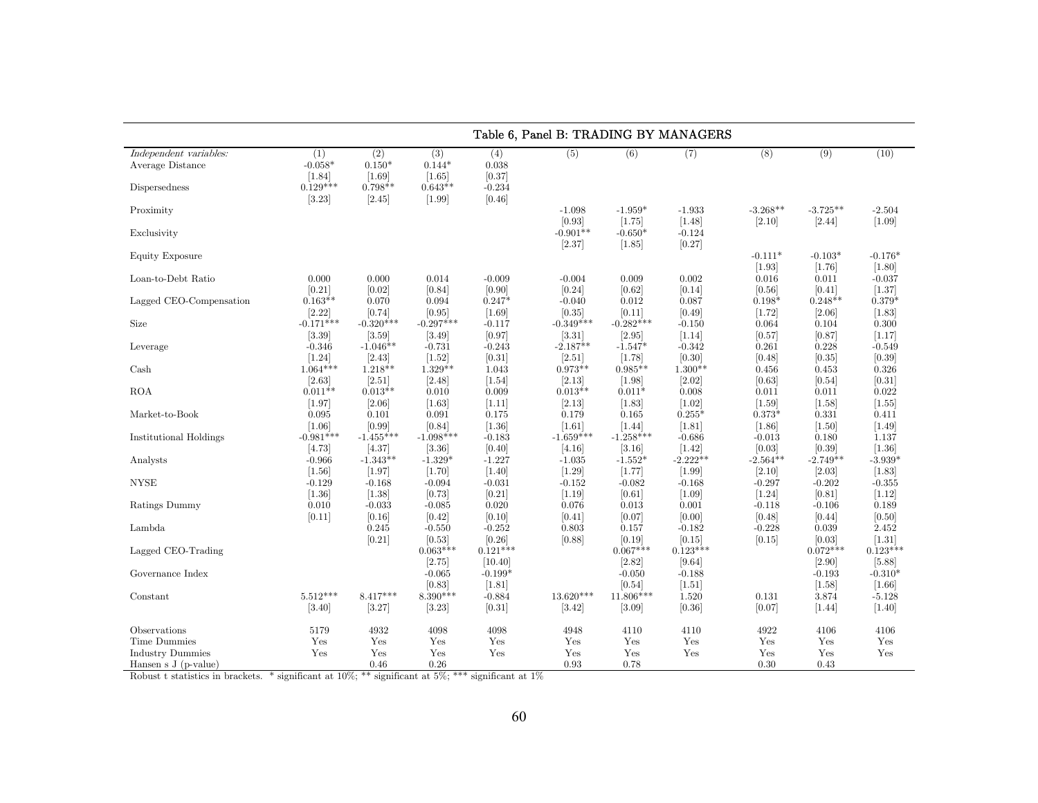|                                                             |                                                      |                                                      |                                                      |                                              | Table 6, Panel B: TRADING BY MANAGERS |                                    |                                    |                                  |                               |                                   |
|-------------------------------------------------------------|------------------------------------------------------|------------------------------------------------------|------------------------------------------------------|----------------------------------------------|---------------------------------------|------------------------------------|------------------------------------|----------------------------------|-------------------------------|-----------------------------------|
| Independent variables:<br>Average Distance<br>Dispersedness | (1)<br>$-0.058*$<br>$[1.84]$<br>$0.129***$<br>[3.23] | (2)<br>$0.150*$<br>$[1.69]$<br>$0.798**$<br>$[2.45]$ | (3)<br>$0.144*$<br>$[1.65]$<br>$0.643**$<br>$[1.99]$ | (4)<br>0.038<br>[0.37]<br>$-0.234$<br>[0.46] | (5)                                   | (6)                                | (7)                                | $\overline{(8)}$                 | (9)                           | (10)                              |
| Proximity<br>Exclusivity                                    |                                                      |                                                      |                                                      |                                              | $-1.098$<br>[0.93]<br>$-0.901**$      | $-1.959*$<br>[1.75]<br>$-0.650*$   | $-1.933$<br>[1.48]<br>$-0.124$     | $-3.268**$<br>[2.10]             | $-3.725**$<br>[2.44]          | $-2.504$<br>$[1.09]$              |
| Equity Exposure                                             |                                                      |                                                      |                                                      |                                              | [2.37]                                | $[1.85]$                           | [0.27]                             | $-0.111*$<br>$[1.93]$            | $-0.103*$<br>[1.76]           | $-0.176*$<br>$[1.80]$             |
| Loan-to-Debt Ratio                                          | 0.000<br>[0.21]                                      | 0.000<br>[0.02]                                      | 0.014<br>[0.84]                                      | $-0.009$<br>[0.90]                           | $-0.004$<br>[0.24]                    | 0.009<br>[0.62]                    | 0.002<br>[0.14]                    | 0.016<br>[0.56]                  | 0.011<br>[0.41]               | $-0.037$<br>[1.37]                |
| Lagged CEO-Compensation<br>Size                             | $0.163**$<br>$[2.22]$<br>$-0.171***$                 | 0.070<br>[0.74]<br>$-0.320***$                       | 0.094<br>[0.95]<br>$-0.297***$                       | $0.247*$<br>[1.69]<br>$-0.117$               | $-0.040$<br>[0.35]<br>$-0.349***$     | 0.012<br>[0.11]<br>$-0.282***$     | 0.087<br>[0.49]<br>$-0.150$        | $0.198*$<br>[1.72]<br>0.064      | $0.248**$<br>[2.06]           | $0.379*$<br>[1.83]<br>0.300       |
| Leverage                                                    | [3.39]<br>$-0.346$                                   | 3.59 <br>$-1.046**$                                  | $[3.49]$<br>$-0.731$                                 | [0.97]<br>$-0.243$                           | [3.31]<br>$-2.187**$                  | [2.95]<br>$-1.547*$                | [1.14]<br>$-0.342$                 | [0.57]<br>0.261                  | 0.104<br>[0.87]<br>0.228      | [1.17]<br>$-0.549$                |
| Cash                                                        | $[1.24]$<br>$1.064***$                               | [2.43]<br>$1.218**$                                  | $[1.52]$<br>$1.329**$                                | [0.31]<br>1.043                              | [2.51]<br>$0.973**$                   | [1.78]<br>$0.985**$                | [0.30]<br>$1.300**$                | [0.48]<br>0.456                  | [0.35]<br>0.453               | [0.39]<br>0.326                   |
| <b>ROA</b>                                                  | $[2.63]$<br>$0.011**$<br>$[1.97]$                    | [2.51]<br>$0.013**$<br>[2.06]                        | [2.48]<br>0.010<br>$[1.63]$                          | $[1.54]$<br>0.009<br>$[1.11]$                | $[2.13]$<br>$0.013**$<br>[2.13]       | $[1.98]$<br>$0.011*$<br>$[1.83]$   | [2.02]<br>0.008<br>$[1.02]$        | [0.63]<br>0.011<br>[1.59]        | [0.54]<br>0.011<br>$[1.58]$   | [0.31]<br>0.022<br>[1.55]         |
| Market-to-Book                                              | 0.095<br>$[1.06]$                                    | 0.101<br>[0.99]                                      | 0.091<br>[0.84]                                      | 0.175<br>$[1.36]$                            | 0.179<br>$[1.61]$                     | 0.165<br>$[1.44]$                  | $0.255*$<br>[1.81]                 | $0.373*$<br>$[1.86]$             | 0.331<br>$[1.50]$             | 0.411<br>[1.49]                   |
| Institutional Holdings<br>Analysts                          | $-0.981***$<br>[4.73]<br>$-0.966$                    | $-1.455***$<br>[4.37]<br>$-1.343**$                  | $-1.098***$<br>[3.36]<br>$-1.329*$                   | $-0.183$<br>[0.40]<br>$-1.227$               | $-1.659***$<br>[4.16]<br>$-1.035$     | $-1.258***$<br>[3.16]<br>$-1.552*$ | $-0.686$<br>$[1.42]$<br>$-2.222**$ | $-0.013$<br>[0.03]<br>$-2.564**$ | 0.180<br>[0.39]<br>$-2.749**$ | 1.137<br>[1.36]<br>$-3.939*$      |
| <b>NYSE</b>                                                 | $[1.56]$<br>$-0.129$                                 | $[1.97]$<br>$-0.168$                                 | [1.70]<br>$-0.094$                                   | $[1.40]$<br>$-0.031$                         | $[1.29]$<br>$-0.152$                  | [1.77]<br>$-0.082$                 | $[1.99]$<br>$-0.168$               | [2.10]<br>$-0.297$               | [2.03]<br>$-0.202$            | [1.83]<br>$-0.355$                |
| Ratings Dummy                                               | $[1.36]$<br>0.010<br>[0.11]                          | [1.38]<br>$-0.033$<br>[0.16]                         | [0.73]<br>$-0.085$<br>[0.42]                         | [0.21]<br>0.020<br>[0.10]                    | [1.19]<br>0.076<br>[0.41]             | [0.61]<br>0.013<br>[0.07]          | $[1.09]$<br>0.001<br>[0.00]        | [1.24]<br>$-0.118$<br>[0.48]     | [0.81]<br>$-0.106$<br>[0.44]  | [1.12]<br>0.189<br>[0.50]         |
| Lambda                                                      |                                                      | 0.245<br>[0.21]                                      | $-0.550$<br>[0.53]                                   | $-0.252$<br>[0.26]                           | 0.803<br>[0.88]                       | 0.157<br>[0.19]                    | $-0.182$<br>[0.15]                 | $-0.228$<br>[0.15]               | 0.039<br>[0.03]               | 2.452<br>[1.31]                   |
| Lagged CEO-Trading                                          |                                                      |                                                      | $0.063***$<br>[2.75]                                 | $0.121***$<br>[10.40]                        |                                       | $0.067***$<br>[2.82]               | $0.123***$<br>[9.64]               |                                  | $0.072***$<br>$[2.90]$        | $0.123***$<br>[5.88]              |
| Governance Index<br>Constant                                | $5.512***$                                           | $8.417***$                                           | $-0.065$<br>[0.83]<br>8.390***                       | $-0.199*$<br>[1.81]<br>$-0.884$              | $13.620***$                           | $-0.050$<br>[0.54]<br>11.806***    | $-0.188$<br>$[1.51]$<br>1.520      | 0.131                            | $-0.193$<br>$[1.58]$<br>3.874 | $-0.310*$<br>$[1.66]$<br>$-5.128$ |
|                                                             | [3.40]                                               | [3.27]                                               | [3.23]                                               | [0.31]                                       | [3.42]                                | [3.09]                             | [0.36]                             | [0.07]                           | $[1.44]$                      | $[1.40]$                          |
| Observations                                                | 5179                                                 | 4932                                                 | 4098                                                 | 4098                                         | 4948                                  | 4110                               | 4110                               | 4922                             | 4106                          | 4106                              |
| <b>Time Dummies</b>                                         | Yes                                                  | Yes                                                  | Yes                                                  | Yes                                          | Yes                                   | Yes                                | Yes                                | Yes                              | Yes                           | Yes                               |
| <b>Industry Dummies</b><br>Hansen s $J(p-value)$            | Yes                                                  | Yes<br>0.46                                          | Yes<br>0.26                                          | Yes                                          | Yes<br>0.93                           | Yes<br>0.78                        | Yes                                | Yes<br>0.30                      | Yes<br>0.43                   | Yes                               |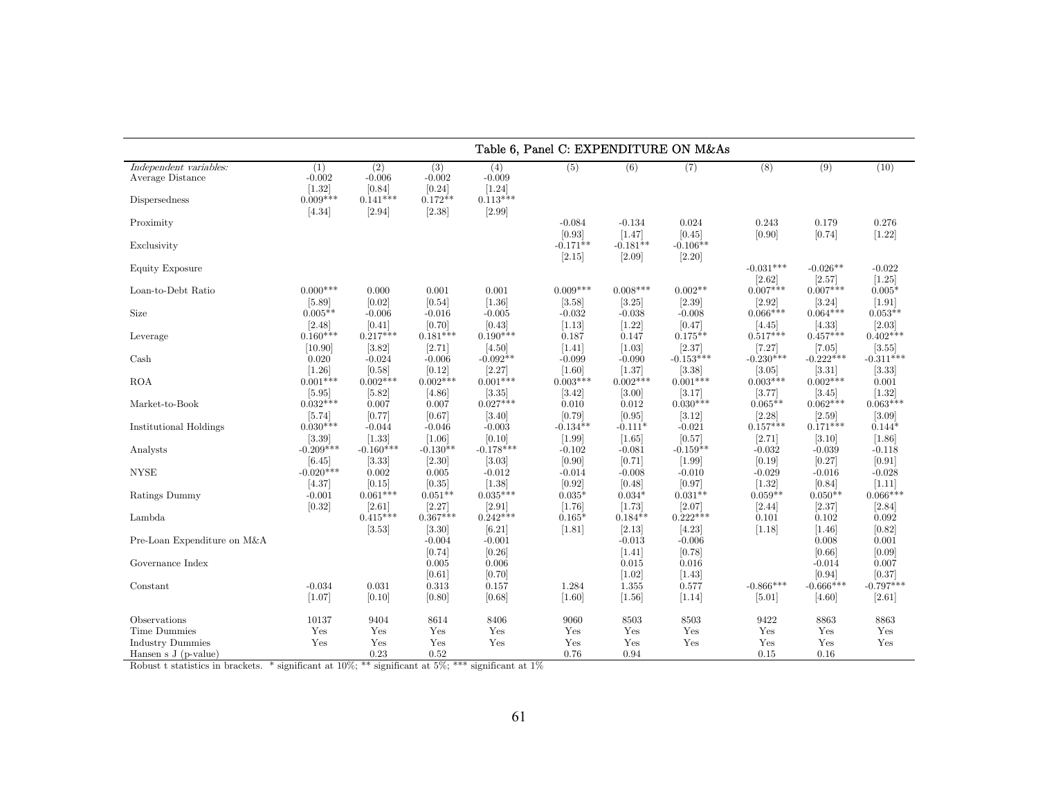|                                                             | Table 6, Panel C: EXPENDITURE ON M&As     |                                         |                                        |                                           |                                  |                                 |                                     |                                     |                                       |                                     |  |
|-------------------------------------------------------------|-------------------------------------------|-----------------------------------------|----------------------------------------|-------------------------------------------|----------------------------------|---------------------------------|-------------------------------------|-------------------------------------|---------------------------------------|-------------------------------------|--|
| Independent variables:<br>Average Distance<br>Dispersedness | (1)<br>$-0.002$<br>$[1.32]$<br>$0.009***$ | (2)<br>$-0.006$<br>[0.84]<br>$0.141***$ | (3)<br>$-0.002$<br>[0.24]<br>$0.172**$ | (4)<br>$-0.009$<br>$[1.24]$<br>$0.113***$ | (5)                              | (6)                             | (7)                                 | (8)                                 | (9)                                   | (10)                                |  |
| Proximity                                                   | [4.34]                                    | [2.94]                                  | [2.38]                                 | $[2.99]$                                  | $-0.084$<br>[0.93]               | $-0.134$<br>$[1.47]$            | 0.024<br>[0.45]                     | 0.243<br>[0.90]                     | 0.179<br>[0.74]                       | 0.276<br>$[1.22]$                   |  |
| Exclusivity                                                 |                                           |                                         |                                        |                                           | $-0.171**$<br>[2.15]             | $-0.181**$<br>$[2.09]$          | $-0.106**$<br>$[2.20]$              |                                     |                                       |                                     |  |
| Equity Exposure                                             |                                           |                                         |                                        |                                           |                                  |                                 |                                     | $-0.031***$<br>[2.62]               | $-0.026**$<br>[2.57]                  | $-0.022$<br>$[1.25]$                |  |
| Loan-to-Debt Ratio                                          | $0.000***$<br>[5.89]                      | 0.000<br>[0.02]                         | 0.001<br>[0.54]                        | 0.001<br>$[1.36]$                         | $0.009***$<br>[3.58]             | $0.008***$<br>[3.25]            | $0.002**$<br>[2.39]                 | $0.007***$<br>[2.92]                | $0.007***$<br>[3.24]                  | $0.005*$<br>$[1.91]$                |  |
| Size                                                        | $0.005**$<br>[2.48]                       | $-0.006$<br>[0.41]                      | $-0.016$<br>[0.70]                     | $-0.005$<br>[0.43]                        | $-0.032$<br>[1.13]               | $-0.038$<br>$[1.22]$            | $-0.008$<br>[0.47]                  | $0.066***$<br>[4.45]                | $0.064***$<br>[4.33]                  | $0.053**$<br>[2.03]                 |  |
| Leverage                                                    | $0.160***$<br>[10.90]                     | $0.217***$<br>[3.82]                    | $0.181***$<br>[2.71]                   | $0.190***$<br>[4.50]<br>$-0.092**$        | 0.187<br>$[1.41]$                | 0.147<br>$[1.03]$<br>$-0.090$   | $0.175**$<br>[2.37]                 | $0.517***$<br>[7.27]<br>$-0.230***$ | $0.457***$<br>$[7.05]$<br>$-0.222***$ | $0.402***$<br>[3.55]<br>$-0.311***$ |  |
| Cash<br><b>ROA</b>                                          | 0.020<br>$[1.26]$<br>$0.001***$           | $-0.024$<br>[0.58]<br>$0.002***$        | $-0.006$<br>[0.12]<br>$0.002***$       | [2.27]<br>$0.001***$                      | $-0.099$<br>[1.60]<br>$0.003***$ | [1.37]<br>$0.002***$            | $-0.153***$<br>[3.38]<br>$0.001***$ | $[3.05]$<br>$0.003***$              | [3.31]<br>$0.002***$                  | [3.33]<br>0.001                     |  |
| Market-to-Book                                              | $[5.95]$<br>$0.032***$                    | [5.82]<br>0.007                         | [4.86]<br>0.007                        | [3.35]<br>$0.027***$                      | [3.42]<br>0.010                  | [3.00]<br>0.012                 | 3.17 <br>$0.030***$                 | [3.77]<br>$0.065**$                 | [3.45]<br>$0.062***$                  | $[1.32]$<br>$0.063***$              |  |
| Institutional Holdings                                      | [5.74]<br>$0.030***$                      | [0.77]<br>$-0.044$                      | [0.67]<br>$-0.046$                     | [3.40]<br>$-0.003$                        | [0.79]<br>$-0.134**$             | [0.95]<br>$-0.111*$             | [3.12]<br>$-0.021$                  | [2.28]<br>$0.157***$                | [2.59]<br>$0.171***$                  | $[3.09]$<br>$0.144*$                |  |
| Analysts                                                    | [3.39]<br>$-0.209***$                     | $[1.33]$<br>$-0.160***$                 | [1.06]<br>$-0.130**$                   | [0.10]<br>$-0.178***$                     | $[1.99]$<br>$-0.102$             | $\left[1.65\right]$<br>$-0.081$ | [0.57]<br>$-0.159**$                | [2.71]<br>$-0.032$                  | [3.10]<br>$-0.039$                    | $[1.86]$<br>$-0.118$                |  |
| <b>NYSE</b>                                                 | $[6.45]$<br>$-0.020***$<br>[4.37]         | [3.33]<br>0.002<br>[0.15]               | [2.30]<br>0.005<br>[0.35]              | [3.03]<br>$-0.012$<br>[1.38]              | [0.90]<br>$-0.014$<br>[0.92]     | [0.71]<br>$-0.008$<br>[0.48]    | $[1.99]$<br>$-0.010$<br>[0.97]      | [0.19]<br>$-0.029$<br>$[1.32]$      | [0.27]<br>$-0.016$<br>[0.84]          | [0.91]<br>$-0.028$<br>[1.11]        |  |
| Ratings Dummy                                               | $-0.001$<br>[0.32]                        | $0.061***$<br>[2.61]                    | $0.051**$<br>[2.27]                    | $0.035***$<br>[2.91]                      | $0.035*$<br>[1.76]               | $0.034*$<br>[1.73]              | $0.031**$<br>[2.07]                 | $0.059**$<br>[2.44]                 | $0.050**$<br>[2.37]                   | $0.066***$<br>[2.84]                |  |
| Lambda                                                      |                                           | $0.415***$<br>[3.53]                    | $0.367***$<br>[3.30]                   | $0.242***$<br>$[6.21]$                    | $0.165*$<br>$[1.81]$             | $0.184**$<br>[2.13]             | $0.222***$<br>[4.23]                | 0.101<br>[1.18]                     | 0.102<br>$[1.46]$                     | 0.092<br>[0.82]                     |  |
| Pre-Loan Expenditure on M&A                                 |                                           |                                         | $-0.004$<br>[0.74]                     | $-0.001$<br>[0.26]                        |                                  | $-0.013$<br>$[1.41]$            | $-0.006$<br>[0.78]                  |                                     | 0.008<br>[0.66]                       | 0.001<br>[0.09]                     |  |
| Governance Index                                            |                                           |                                         | 0.005<br>[0.61]                        | 0.006<br>[0.70]                           |                                  | 0.015<br>$[1.02]$               | 0.016<br>$[1.43]$                   |                                     | $-0.014$<br>[0.94]                    | 0.007<br>[0.37]                     |  |
| Constant                                                    | $-0.034$<br>$[1.07]$                      | 0.031<br>[0.10]                         | 0.313<br>[0.80]                        | 0.157<br>[0.68]                           | 1.284<br>[1.60]                  | 1.355<br>$[1.56]$               | 0.577<br>[1.14]                     | $-0.866***$<br>$[5.01]$             | $-0.666***$<br>[4.60]                 | $-0.797***$<br>$[2.61]$             |  |
| Observations<br><b>Time Dummies</b>                         | 10137<br>Yes                              | 9404<br>Yes                             | 8614<br>Yes                            | 8406<br>Yes                               | 9060<br>Yes                      | 8503<br>Yes                     | 8503<br>Yes                         | 9422<br>Yes                         | 8863<br>Yes                           | 8863<br>Yes                         |  |
| <b>Industry Dummies</b><br>Hansen s $J$ (p-value)           | Yes                                       | Yes<br>0.23                             | Yes<br>0.52                            | Yes                                       | Yes<br>0.76                      | Yes<br>0.94                     | Yes                                 | Yes<br>0.15                         | Yes<br>0.16                           | Yes                                 |  |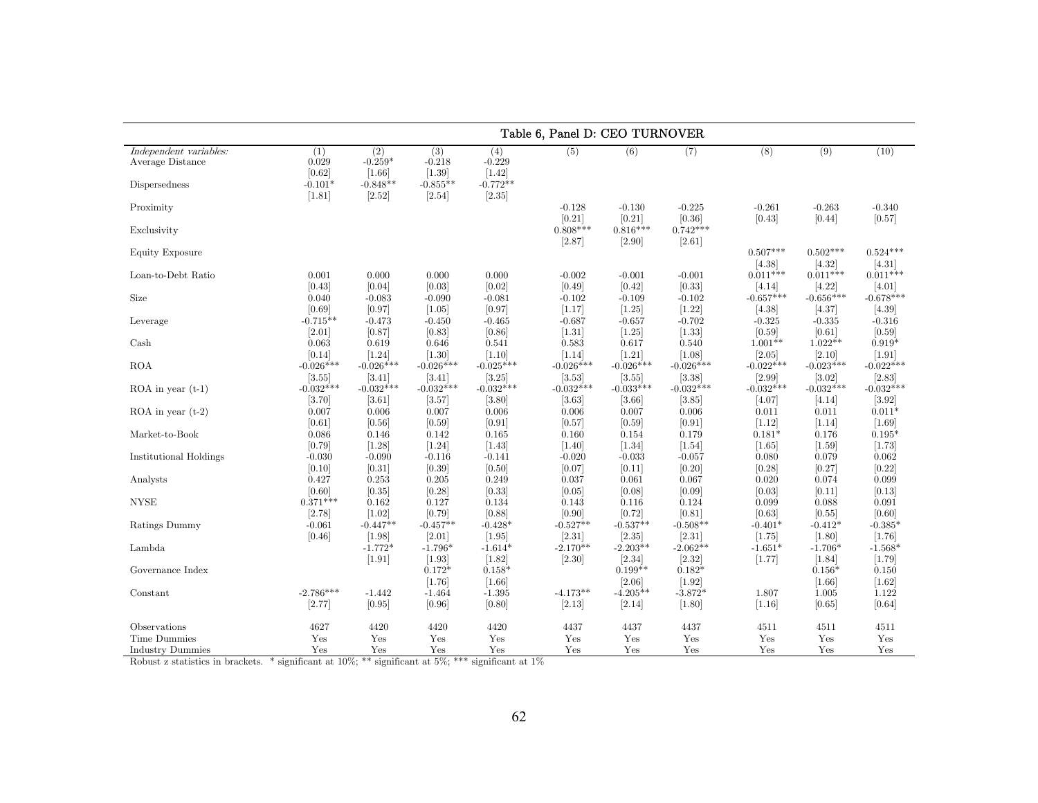|                                                             | Table 6, Panel D: CEO TURNOVER      |                                            |                                         |                                           |                                |                                   |                                   |                             |                             |                             |
|-------------------------------------------------------------|-------------------------------------|--------------------------------------------|-----------------------------------------|-------------------------------------------|--------------------------------|-----------------------------------|-----------------------------------|-----------------------------|-----------------------------|-----------------------------|
| Independent variables:<br>Average Distance<br>Dispersedness | (1)<br>0.029<br>[0.62]<br>$-0.101*$ | (2)<br>$-0.259*$<br>$[1.66]$<br>$-0.848**$ | (3)<br>$-0.218$<br>[1.39]<br>$-0.855**$ | (4)<br>$-0.229$<br>$[1.42]$<br>$-0.772**$ | (5)                            | (6)                               | (7)                               | (8)                         | (9)                         | (10)                        |
| Proximity                                                   | [1.81]                              | [2.52]                                     | $[2.54]$                                | [2.35]                                    | $-0.128$<br>[0.21]             | $-0.130$<br>$[0.21]$              | $-0.225$<br>[0.36]                | $-0.261$<br>[0.43]          | $-0.263$<br>[0.44]          | $-0.340$<br>[0.57]          |
| Exclusivity                                                 |                                     |                                            |                                         |                                           | $0.808***$<br>[2.87]           | $0.816***$<br>[2.90]              | $0.742***$<br>[2.61]              |                             |                             |                             |
| Equity Exposure                                             |                                     |                                            |                                         |                                           |                                |                                   |                                   | $0.507***$<br>[4.38]        | $0.502***$<br>[4.32]        | $0.524***$<br>[4.31]        |
| Loan-to-Debt Ratio                                          | 0.001<br>[0.43]                     | 0.000<br>[0.04]                            | 0.000<br>[0.03]                         | 0.000<br>[0.02]                           | $-0.002$<br>[0.49]             | $-0.001$<br>[0.42]                | $-0.001$<br>[0.33]                | $0.011***$<br>[4.14]        | $0.011***$<br>[4.22]        | $0.011***$<br>[4.01]        |
| Size                                                        | 0.040<br>[0.69]                     | $-0.083$<br>[0.97]                         | $-0.090$<br>[1.05]                      | $-0.081$<br>[0.97]                        | $-0.102$<br>[1.17]             | $-0.109$<br>[1.25]                | $-0.102$<br>[1.22]                | $-0.657***$<br>[4.38]       | $-0.656***$<br>[4.37]       | $-0.678***$<br>[4.39]       |
| Leverage                                                    | $-0.715**$<br>$[2.01]$              | $-0.473$<br>[0.87]                         | $-0.450$<br>[0.83]                      | $-0.465$<br>[0.86]                        | $-0.687$<br>[1.31]             | $-0.657$<br>$[1.25]$              | $-0.702$<br>[1.33]                | $-0.325$<br>[0.59]          | $-0.335$<br>[0.61]          | $-0.316$<br>[0.59]          |
| Cash                                                        | 0.063<br>[0.14]                     | 0.619<br>$[1.24]$                          | 0.646<br>[1.30]                         | 0.541<br>$[1.10]$                         | 0.583<br>$[1.14]$              | 0.617<br>$[1.21]$                 | 0.540<br>$[1.08]$                 | $1.001**$<br>[2.05]         | $1.022**$<br>[2.10]         | $0.919*$<br>$[1.91]$        |
| <b>ROA</b>                                                  | $-0.026***$<br>[3.55]               | $-0.026***$                                | $-0.026***$<br>[3.41]                   | $-0.025***$<br>[3.25]                     | $-0.026***$<br>[3.53]          | $-0.026***$                       | $-0.026***$<br>[3.38]             | $-0.022***$                 | $-0.023***$<br>[3.02]       | $-0.022***$<br>[2.83]       |
| $ROA$ in year $(t-1)$                                       | $-0.032***$                         | [3.41]<br>$-0.032***$<br>[3.61]            | $-0.032***$                             | $-0.032***$<br>[3.80]                     | $-0.032***$                    | $[3.55]$<br>$-0.033***$<br>[3.66] | $-0.032***$                       | $[2.99]$<br>$-0.032***$     | $-0.032***$                 | $-0.032***$                 |
| ROA in year $(t-2)$                                         | [3.70]<br>0.007                     | 0.006                                      | [3.57]<br>0.007                         | 0.006                                     | [3.63]<br>0.006                | 0.007                             | [3.85]<br>0.006                   | [4.07]<br>0.011             | [4.14]<br>0.011             | [3.92]<br>$0.011*$          |
| Market-to-Book                                              | [0.61]<br>0.086                     | [0.56]<br>0.146                            | [0.59]<br>0.142                         | $[0.91]$<br>$\,0.165\,$                   | [0.57]<br>0.160                | [0.59]<br>0.154                   | [0.91]<br>0.179                   | [1.12]<br>$0.181*$          | [1.14]<br>0.176             | $[1.69]$<br>$0.195*$        |
| Institutional Holdings                                      | [0.79]<br>$-0.030$<br>[0.10]        | $[1.28]$<br>$-0.090$<br>[0.31]             | $[1.24]$<br>$-0.116$<br>[0.39]          | $[1.43]$<br>$-0.141$<br>[0.50]            | $[1.40]$<br>$-0.020$<br>[0.07] | $[1.34]$<br>$-0.033$<br>[0.11]    | $[1.54]$<br>$-0.057$<br>$[0.20]$  | $[1.65]$<br>0.080<br>[0.28] | $[1.59]$<br>0.079<br>[0.27] | [1.73]<br>0.062<br>[0.22]   |
| Analysts                                                    | 0.427<br>[0.60]                     | 0.253<br>[0.35]                            | 0.205<br>[0.28]                         | 0.249<br>[0.33]                           | 0.037<br>[0.05]                | 0.061<br>[0.08]                   | 0.067<br>[0.09]                   | 0.020<br>[0.03]             | 0.074<br>[0.11]             | 0.099<br>[0.13]             |
| <b>NYSE</b>                                                 | $0.371***$<br>[2.78]                | 0.162                                      | 0.127<br>[0.79]                         | 0.134<br>[0.88]                           | 0.143<br>[0.90]                | 0.116                             | 0.124<br>[0.81]                   | 0.099<br>[0.63]             | 0.088<br>[0.55]             | 0.091                       |
| Ratings Dummy                                               | $-0.061$                            | [1.02]<br>$-0.447**$                       | $-0.457**$                              | $-0.428*$                                 | $-0.527**$                     | [0.72]<br>$-0.537**$              | $-0.508**$                        | $-0.401*$                   | $-0.412*$                   | [0.60]<br>$-0.385*$         |
| Lambda                                                      | [0.46]                              | [1.98]<br>$-1.772*$                        | $[2.01]$<br>$-1.796*$                   | [1.95]<br>$-1.614*$                       | [2.31]<br>$-2.170**$           | [2.35]<br>$-2.203**$              | $[2.31]$<br>$-2.062**$            | [1.75]<br>$-1.651*$         | [1.80]<br>$-1.706*$         | $[1.76]$<br>$-1.568*$       |
| Governance Index                                            |                                     | $[1.91]$                                   | $[1.93]$<br>$0.172*$                    | [1.82]<br>$0.158*$                        | [2.30]                         | [2.34]<br>$0.199**$               | [2.32]<br>$0.182*$                | [1.77]                      | [1.84]<br>$0.156*$          | [1.79]<br>0.150             |
| Constant                                                    | $-2.786***$<br>[2.77]               | $-1.442$<br>[0.95]                         | $[1.76]$<br>$-1.464$<br>[0.96]          | $[1.66]$<br>$-1.395$<br>[0.80]            | $-4.173**$<br>[2.13]           | [2.06]<br>$-4.205**$<br>[2.14]    | $[1.92]$<br>$-3.872*$<br>$[1.80]$ | 1.807<br>[1.16]             | $[1.66]$<br>1.005<br>[0.65] | $[1.62]$<br>1.122<br>[0.64] |
| Observations                                                | 4627                                | 4420                                       | 4420                                    | 4420                                      | 4437                           | 4437                              | 4437                              | 4511                        | 4511                        | 4511                        |
| <b>Time Dummies</b><br><b>Industry Dummies</b>              | Yes<br>Yes                          | Yes<br>Yes                                 | Yes<br>Yes                              | Yes<br>Yes                                | Yes<br>Yes                     | Yes<br>Yes                        | Yes<br>Yes                        | Yes<br>Yes                  | Yes<br>Yes                  | Yes<br>Yes                  |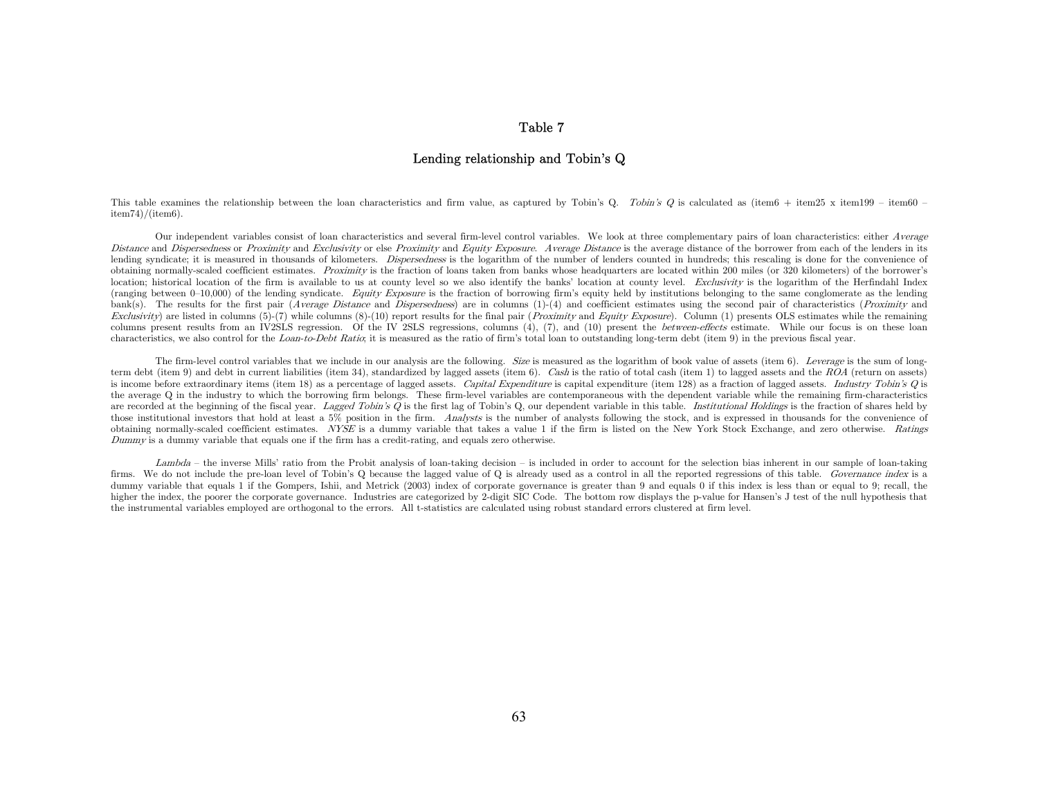## Table 7

### Lending relationship and Tobin's Q

This table examines the relationship between the loan characteristics and firm value, as captured by Tobin's Q. Tobin's Q is calculated as (item6 + item25 x item199 – item60  $item74)/(item6)$ .

Our independent variables consist of loan characteristics and several firm-level control variables. We look at three complementary pairs of loan characteristics: either Average Distance and Dispersedness or Proximity and Exclusivity or else Proximity and Equity Exposure. Average Distance is the average distance of the borrower from each of the lenders in its lending syndicate; it is measured in thousands of kilometers. *Dispersedness* is the logarithm of the number of lenders counted in hundreds; this rescaling is done for the convenience of obtaining normally-scaled coefficient estimates. Proximity is the fraction of loans taken from banks whose headquarters are located within 200 miles (or 320 kilometers) of the borrower's location; historical location of the firm is available to us at county level so we also identify the banks' location at county level. Exclusivity is the logarithm of the Herfindahl Index (ranging between  $0-10,000$ ) of the lending syndicate. Equity Exposure is the fraction of borrowing firm's equity held by institutions belonging to the same conglomerate as the lending bank(s). The results for the first pair (Average Distance and Dispersedness) are in columns  $(1)-(4)$  and coefficient estimates using the second pair of characteristics (Proximity and Exclusivity) are listed in columns  $(5)-(7)$  while columns  $(8)-(10)$  report results for the final pair (*Proximity* and *Equity Exposure*). Column (1) presents OLS estimates while the remaining columns present results from an IV2SLS regression. Of the IV 2SLS regressions, columns (4), (7), and (10) present the *between-effects* estimate. While our focus is on these loan characteristics, we also control for the Loan-to-Debt Ratio; it is measured as the ratio of firm's total loan to outstanding long-term debt (item 9) in the previous fiscal year.

The firm-level control variables that we include in our analysis are the following. Size is measured as the logarithm of book value of assets (item 6). Leverage is the sum of longterm debt (item 9) and debt in current liabilities (item 34), standardized by lagged assets (item 6). Cash is the ratio of total cash (item 1) to lagged assets and the ROA (return on assets) is income before extraordinary items (item 18) as a percentage of lagged assets. Capital Expenditure is capital expenditure (item 128) as a fraction of lagged assets. Industry Tobin's Q is the average Q in the industry to which the borrowing firm belongs. These firm-level variables are contemporaneous with the dependent variable while the remaining firm-characteristics are recorded at the beginning of the fiscal year. Lagged Tobin's Q is the first lag of Tobin's Q, our dependent variable in this table. Institutional Holdings is the fraction of shares held by those institutional investors that hold at least a 5% position in the firm. Analysts is the number of analysts following the stock, and is expressed in thousands for the convenience of obtaining normally-scaled coefficient estimates. NYSE is a dummy variable that takes a value 1 if the firm is listed on the New York Stock Exchange, and zero otherwise. Ratings Dummy is a dummy variable that equals one if the firm has a credit-rating, and equals zero otherwise.

Lambda – the inverse Mills' ratio from the Probit analysis of loan-taking decision – is included in order to account for the selection bias inherent in our sample of loan-taking firms. We do not include the pre-loan level of Tobin's Q because the lagged value of Q is already used as a control in all the reported regressions of this table. Governance index is a dummy variable that equals 1 if the Gompers, Ishii, and Metrick (2003) index of corporate governance is greater than 9 and equals 0 if this index is less than or equal to 9; recall, the higher the index, the poorer the corporate governance. Industries are categorized by 2-digit SIC Code. The bottom row displays the p-value for Hansen's J test of the null hypothesis that the instrumental variables employed are orthogonal to the errors. All t-statistics are calculated using robust standard errors clustered at firm level.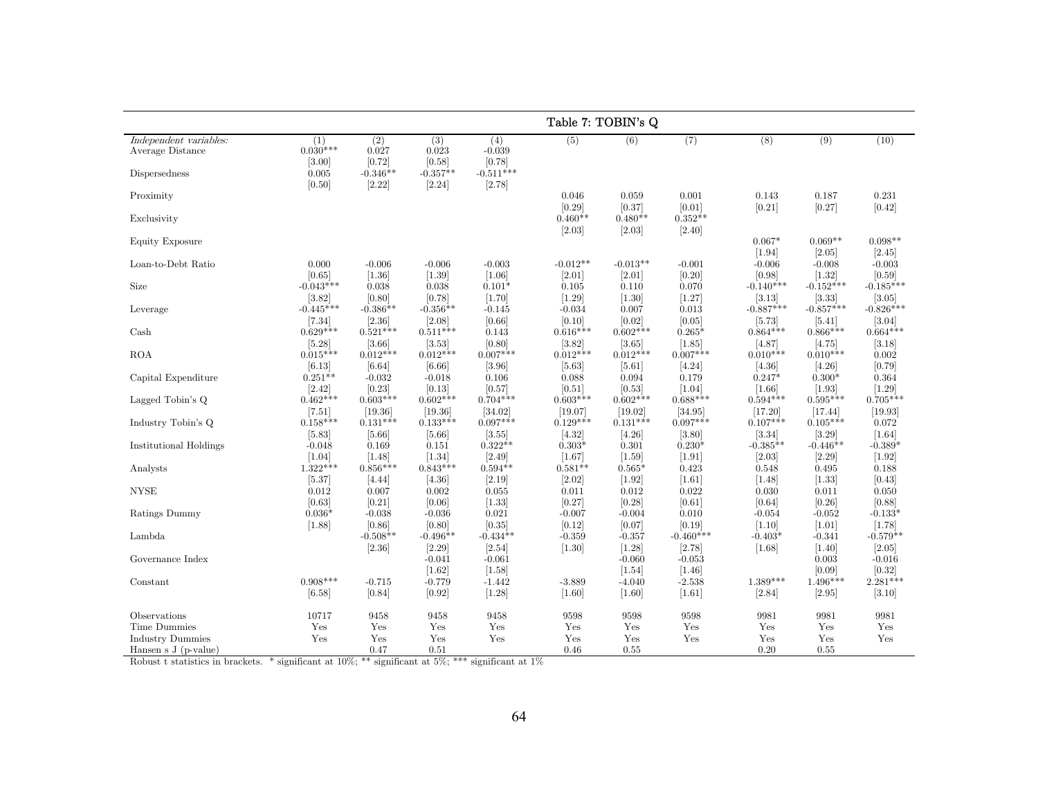|                                                  |                             |                        |                        |                           | Table 7: TOBIN's Q    |                       |                                   |                       |                         |                        |
|--------------------------------------------------|-----------------------------|------------------------|------------------------|---------------------------|-----------------------|-----------------------|-----------------------------------|-----------------------|-------------------------|------------------------|
| Independent variables:<br>Average Distance       | (1)<br>$0.030***$<br>[3.00] | (2)<br>0.027<br>[0.72] | (3)<br>0.023<br>[0.58] | (4)<br>$-0.039$<br>[0.78] | (5)                   | (6)                   | (7)                               | (8)                   | (9)                     | (10)                   |
| Dispersedness                                    | $\,0.005\,$<br>[0.50]       | $-0.346**$<br>[2.22]   | $-0.357**$<br>[2.24]   | $-0.511***$<br>[2.78]     |                       |                       |                                   |                       |                         |                        |
| Proximity                                        |                             |                        |                        |                           | 0.046<br>[0.29]       | 0.059<br>[0.37]       | 0.001<br>[0.01]                   | 0.143<br>[0.21]       | 0.187<br>[0.27]         | 0.231<br>[0.42]        |
| Exclusivity                                      |                             |                        |                        |                           | $0.460**$<br>[2.03]   | $0.480**$<br>$[2.03]$ | $0.352**$<br>[2.40]               |                       |                         |                        |
| Equity Exposure                                  |                             |                        |                        |                           |                       |                       |                                   | $0.067*$<br>$[1.94]$  | $0.069**$<br>$[2.05]$   | $0.098**$<br>[2.45]    |
| Loan-to-Debt Ratio                               | 0.000                       | $-0.006$               | $-0.006$               | $-0.003$                  | $-0.012**$            | $-0.013**$            | $-0.001$<br>[0.20]                | $-0.006$              | $-0.008$                | $-0.003$               |
| Size                                             | [0.65]<br>$-0.043***$       | $[1.36]$<br>0.038      | [1.39]<br>0.038        | $[1.06]$<br>$0.101*$      | $[2.01]$<br>0.105     | $[2.01]$<br>0.110     | 0.070                             | [0.98]<br>$-0.140**$  | $[1.32]$<br>$-0.152***$ | [0.59]<br>$-0.185***$  |
| Leverage                                         | [3.82]<br>$-0.445***$       | [0.80]<br>$-0.386**$   | [0.78]<br>$-0.356**$   | [1.70]<br>$-0.145$        | $[1.29]$<br>$-0.034$  | $[1.30]$<br>0.007     | [1.27]<br>0.013                   | [3.13]<br>$-0.887***$ | [3.33]<br>$-0.857***$   | [3.05]<br>$-0.826***$  |
| Cash                                             | $[7.34]$<br>$0.629***$      | [2.36]<br>$0.521***$   | [2.08]<br>$0.511***$   | [0.66]<br>0.143           | [0.10]<br>$0.616***$  | [0.02]<br>$0.602***$  | [0.05]<br>$0.265*$                | [5.73]<br>$0.864***$  | $[5.41]$<br>$0.866***$  | [3.04]<br>$0.664***$   |
| <b>ROA</b>                                       | [5.28]<br>$0.015***$        | [3.66]<br>$0.012***$   | [3.53]<br>$0.012***$   | [0.80]<br>$0.007***$      | [3.82]<br>$0.012***$  | [3.65]<br>$0.012***$  | [1.85]<br>$0.007***$              | [4.87]<br>$0.010***$  | [4.75]<br>$0.010***$    | [3.18]<br>0.002        |
| Capital Expenditure                              | [6.13]<br>$0.251**$         | [6.64]<br>$-0.032$     | [6.66]<br>$-0.018$     | [3.96]<br>0.106           | $[5.63]$<br>0.088     | $[5.61]$<br>0.094     | [4.24]<br>0.179                   | [4.36]<br>$0.247*$    | [4.26]<br>$0.300*$      | [0.79]<br>0.364        |
| Lagged Tobin's Q                                 | [2.42]<br>$0.462***$        | [0.23]<br>$0.603***$   | [0.13]<br>$0.602***$   | [0.57]<br>$0.704***$      | [0.51]<br>$0.603***$  | [0.53]<br>$0.602***$  | $\left[1.04\right]$<br>$0.688***$ | [1.66]<br>$0.594***$  | $[1.93]$<br>$0.595***$  | $[1.29]$<br>$0.705***$ |
| Industry Tobin's Q                               | $[7.51]$<br>$0.158***$      | [19.36]<br>$0.131***$  | [19.36]<br>$0.133***$  | [34.02]<br>$0.097***$     | [19.07]<br>$0.129***$ | [19.02]<br>$0.131***$ | [34.95]<br>$0.097***$             | [17.20]<br>$0.107***$ | [17.44]<br>$0.105***$   | [19.93]<br>0.072       |
| <b>Institutional Holdings</b>                    | [5.83]<br>$-0.048$          | $[5.66]$<br>0.169      | $[5.66]$<br>0.151      | [3.55]<br>$0.322**$       | [4.32]<br>$0.303*$    | [4.26]<br>0.301       | [3.80]<br>$0.230*$                | [3.34]<br>$-0.385**$  | [3.29]<br>$-0.446**$    | $[1.64]$<br>$-0.389*$  |
| Analysts                                         | $[1.04]$<br>$1.322***$      | [1.48]<br>$0.856***$   | [1.34]<br>$0.843***$   | $[2.49]$<br>$0.594**$     | [1.67]<br>$0.581**$   | $[1.59]$<br>$0.565*$  | $[1.91]$<br>0.423                 | $[2.03]$<br>0.548     | [2.29]<br>0.495         | $[1.92]$<br>0.188      |
| <b>NYSE</b>                                      | [5.37]<br>0.012             | [4.44]<br>0.007        | [4.36]<br>0.002        | [2.19]<br>0.055           | $[2.02]$<br>0.011     | $[1.92]$<br>0.012     | $[1.61]$<br>0.022                 | [1.48]<br>0.030       | $[1.33]$<br>0.011       | [0.43]<br>0.050        |
| Ratings Dummy                                    | [0.63]<br>$0.036*$          | [0.21]<br>$-0.038$     | [0.06]<br>$-0.036$     | [1.33]<br>0.021           | [0.27]<br>$-0.007$    | [0.28]<br>$-0.004$    | [0.61]<br>0.010                   | [0.64]<br>$-0.054$    | [0.26]<br>$-0.052$      | [0.88]<br>$-0.133*$    |
| Lambda                                           | [1.88]                      | [0.86]<br>$-0.508**$   | [0.80]<br>$-0.496**$   | [0.35]<br>$-0.434**$      | [0.12]<br>$-0.359$    | [0.07]<br>$-0.357$    | [0.19]<br>$-0.460***$             | [1.10]<br>$-0.403*$   | $[1.01]$<br>$-0.341$    | [1.78]<br>$-0.579**$   |
| Governance Index                                 |                             | [2.36]                 | [2.29]                 | [2.54]                    | $[1.30]$              | $[1.28]$              | [2.78]                            | $[1.68]$              | [1.40]                  | $[2.05]$               |
|                                                  |                             |                        | $-0.041$<br>$[1.62]$   | $-0.061$<br>$[1.58]$      |                       | $-0.060$<br>$[1.54]$  | $-0.053$<br>[1.46]                |                       | 0.003<br>[0.09]         | $-0.016$<br>[0.32]     |
| Constant                                         | $0.908***$<br>[6.58]        | $-0.715$<br>[0.84]     | $-0.779$<br>[0.92]     | $-1.442$<br>[1.28]        | $-3.889$<br>$[1.60]$  | $-4.040$<br>$[1.60]$  | $-2.538$<br>$[1.61]$              | $1.389***$<br>[2.84]  | $1.496***$<br>[2.95]    | $2.281***$<br>[3.10]   |
| Observations                                     | 10717                       | 9458                   | 9458                   | 9458                      | 9598                  | 9598                  | 9598                              | 9981                  | 9981                    | 9981                   |
| <b>Time Dummies</b>                              | Yes                         | Yes                    | Yes                    | Yes                       | Yes                   | Yes                   | Yes                               | Yes                   | Yes                     | Yes                    |
| <b>Industry Dummies</b><br>Hansen s $J(p-value)$ | $\operatorname{Yes}$        | Yes<br>0.47            | Yes<br>0.51            | Yes                       | Yes<br>0.46           | Yes<br>0.55           | Yes                               | Yes<br>0.20           | Yes<br>0.55             | Yes                    |